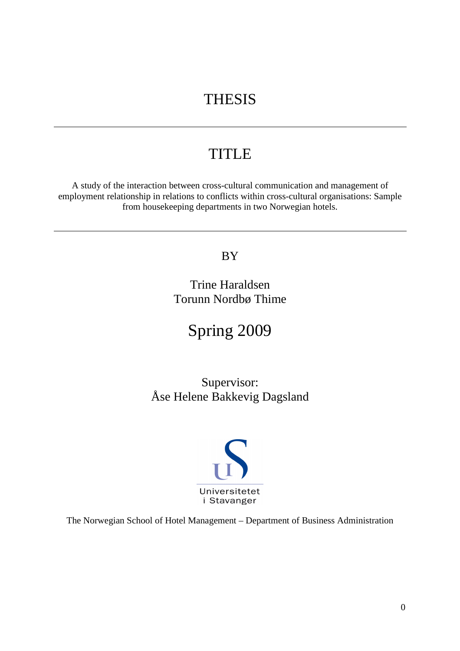# **THESIS**

# **TITLE**

A study of the interaction between cross-cultural communication and management of employment relationship in relations to conflicts within cross-cultural organisations: Sample from housekeeping departments in two Norwegian hotels.

# BY

Trine Haraldsen Torunn Nordbø Thime

Spring 2009

Supervisor: Åse Helene Bakkevig Dagsland



The Norwegian School of Hotel Management – Department of Business Administration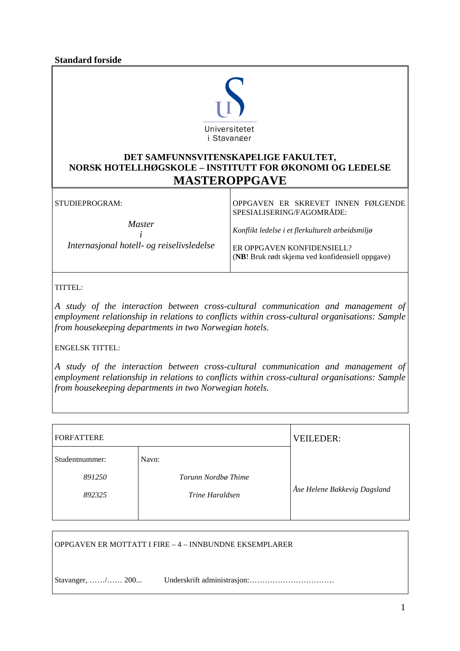**Standard forside** 



# **DET SAMFUNNSVITENSKAPELIGE FAKULTET, NORSK HOTELLHØGSKOLE – INSTITUTT FOR ØKONOMI OG LEDELSE MASTEROPPGAVE**

STUDIEPROGRAM: *Master i Internasjonal hotell- og reiselivsledelse*  OPPGAVEN ER SKREVET INNEN FØLGENDE SPESIALISERING/FAGOMRÅDE: *Konflikt ledelse i et flerkulturelt arbeidsmiljø*  ER OPPGAVEN KONFIDENSIELL? (**NB**! Bruk rødt skjema ved konfidensiell oppgave)

TITTEL:

*A study of the interaction between cross-cultural communication and management of employment relationship in relations to conflicts within cross-cultural organisations: Sample from housekeeping departments in two Norwegian hotels.* 

ENGELSK TITTEL:

*A study of the interaction between cross-cultural communication and management of employment relationship in relations to conflicts within cross-cultural organisations: Sample from housekeeping departments in two Norwegian hotels.* 

| <b>FORFATTERE</b>                  | <b>VEILEDER:</b>                                |                              |
|------------------------------------|-------------------------------------------------|------------------------------|
| Studentnummer:<br>891250<br>892325 | Navn:<br>Torunn Nordbø Thime<br>Trine Haraldsen | Åse Helene Bakkevig Dagsland |

OPPGAVEN ER MOTTATT I FIRE – 4 – INNBUNDNE EKSEMPLARER

Stavanger, ……/…… 200... Underskrift administrasjon:……………………………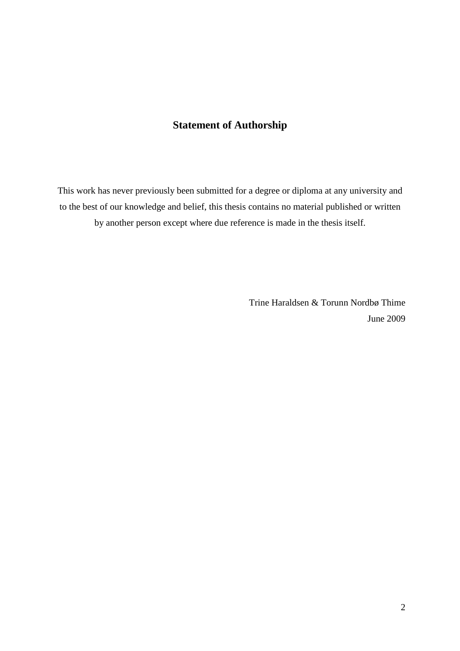# **Statement of Authorship**

This work has never previously been submitted for a degree or diploma at any university and to the best of our knowledge and belief, this thesis contains no material published or written by another person except where due reference is made in the thesis itself.

> Trine Haraldsen & Torunn Nordbø Thime June 2009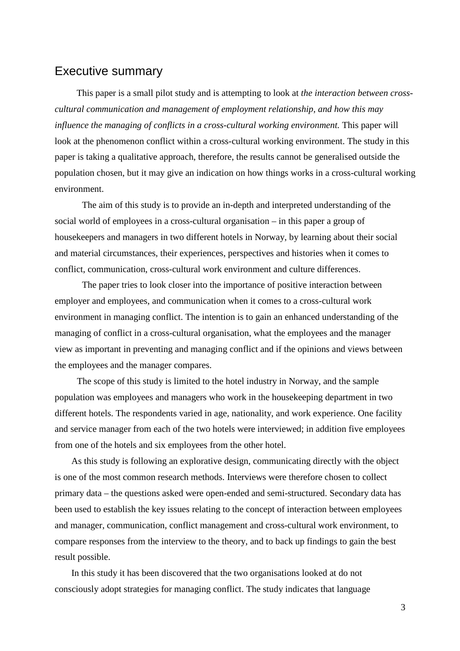# Executive summary

This paper is a small pilot study and is attempting to look at *the interaction between crosscultural communication and management of employment relationship, and how this may influence the managing of conflicts in a cross-cultural working environment. This paper will* look at the phenomenon conflict within a cross-cultural working environment. The study in this paper is taking a qualitative approach, therefore, the results cannot be generalised outside the population chosen, but it may give an indication on how things works in a cross-cultural working environment.

The aim of this study is to provide an in-depth and interpreted understanding of the social world of employees in a cross-cultural organisation – in this paper a group of housekeepers and managers in two different hotels in Norway, by learning about their social and material circumstances, their experiences, perspectives and histories when it comes to conflict, communication, cross-cultural work environment and culture differences.

The paper tries to look closer into the importance of positive interaction between employer and employees, and communication when it comes to a cross-cultural work environment in managing conflict. The intention is to gain an enhanced understanding of the managing of conflict in a cross-cultural organisation, what the employees and the manager view as important in preventing and managing conflict and if the opinions and views between the employees and the manager compares.

The scope of this study is limited to the hotel industry in Norway, and the sample population was employees and managers who work in the housekeeping department in two different hotels. The respondents varied in age, nationality, and work experience. One facility and service manager from each of the two hotels were interviewed; in addition five employees from one of the hotels and six employees from the other hotel.

As this study is following an explorative design, communicating directly with the object is one of the most common research methods. Interviews were therefore chosen to collect primary data – the questions asked were open-ended and semi-structured. Secondary data has been used to establish the key issues relating to the concept of interaction between employees and manager, communication, conflict management and cross-cultural work environment, to compare responses from the interview to the theory, and to back up findings to gain the best result possible.

In this study it has been discovered that the two organisations looked at do not consciously adopt strategies for managing conflict. The study indicates that language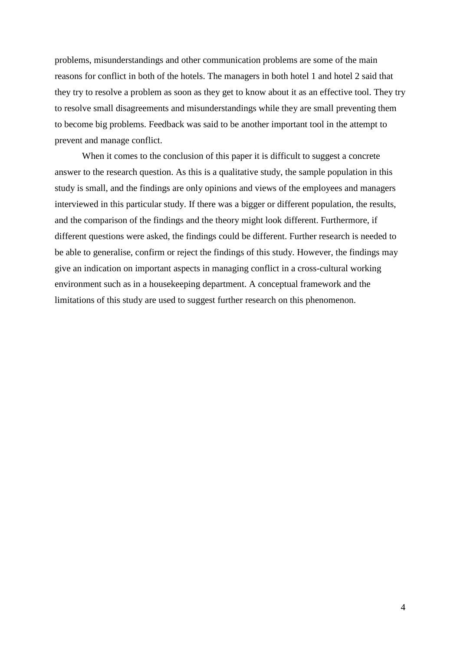problems, misunderstandings and other communication problems are some of the main reasons for conflict in both of the hotels. The managers in both hotel 1 and hotel 2 said that they try to resolve a problem as soon as they get to know about it as an effective tool. They try to resolve small disagreements and misunderstandings while they are small preventing them to become big problems. Feedback was said to be another important tool in the attempt to prevent and manage conflict.

When it comes to the conclusion of this paper it is difficult to suggest a concrete answer to the research question. As this is a qualitative study, the sample population in this study is small, and the findings are only opinions and views of the employees and managers interviewed in this particular study. If there was a bigger or different population, the results, and the comparison of the findings and the theory might look different. Furthermore, if different questions were asked, the findings could be different. Further research is needed to be able to generalise, confirm or reject the findings of this study. However, the findings may give an indication on important aspects in managing conflict in a cross-cultural working environment such as in a housekeeping department. A conceptual framework and the limitations of this study are used to suggest further research on this phenomenon.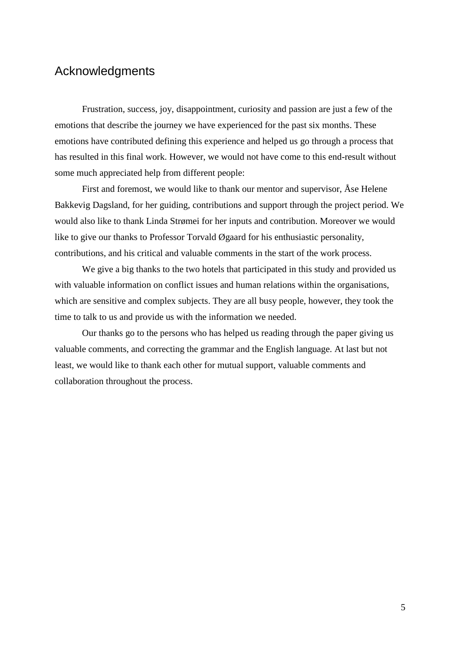# Acknowledgments

Frustration, success, joy, disappointment, curiosity and passion are just a few of the emotions that describe the journey we have experienced for the past six months. These emotions have contributed defining this experience and helped us go through a process that has resulted in this final work. However, we would not have come to this end-result without some much appreciated help from different people:

First and foremost, we would like to thank our mentor and supervisor, Åse Helene Bakkevig Dagsland, for her guiding, contributions and support through the project period. We would also like to thank Linda Strømei for her inputs and contribution. Moreover we would like to give our thanks to Professor Torvald Øgaard for his enthusiastic personality, contributions, and his critical and valuable comments in the start of the work process.

 We give a big thanks to the two hotels that participated in this study and provided us with valuable information on conflict issues and human relations within the organisations, which are sensitive and complex subjects. They are all busy people, however, they took the time to talk to us and provide us with the information we needed.

Our thanks go to the persons who has helped us reading through the paper giving us valuable comments, and correcting the grammar and the English language. At last but not least, we would like to thank each other for mutual support, valuable comments and collaboration throughout the process.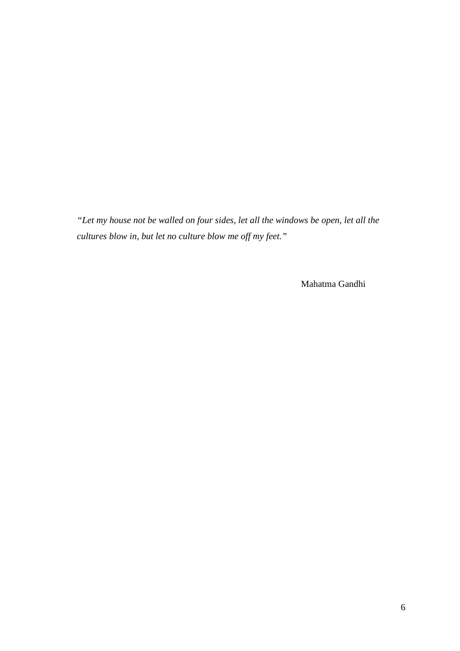*"Let my house not be walled on four sides, let all the windows be open, let all the cultures blow in, but let no culture blow me off my feet."*

Mahatma Gandhi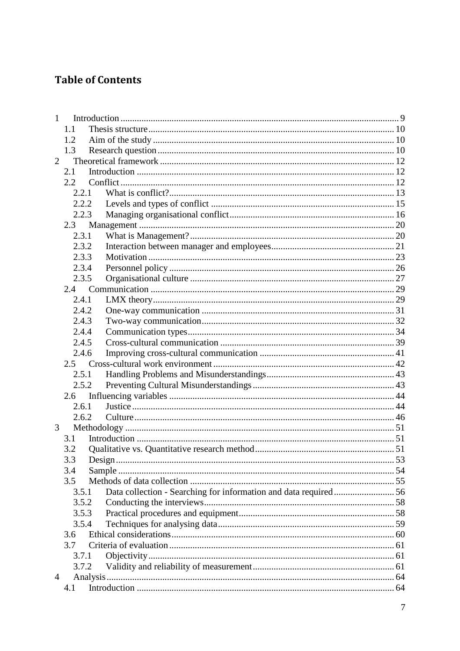# **Table of Contents**

| $\mathbf{1}$ |       |                                                                 |  |  |  |
|--------------|-------|-----------------------------------------------------------------|--|--|--|
|              | 1.1   |                                                                 |  |  |  |
|              | 1.2   |                                                                 |  |  |  |
|              | 1.3   |                                                                 |  |  |  |
| 2            |       |                                                                 |  |  |  |
|              | 2.1   |                                                                 |  |  |  |
|              | 2.2   |                                                                 |  |  |  |
|              | 2.2.1 |                                                                 |  |  |  |
|              | 2.2.2 |                                                                 |  |  |  |
|              | 2.2.3 |                                                                 |  |  |  |
|              | 2.3   |                                                                 |  |  |  |
|              | 2.3.1 |                                                                 |  |  |  |
|              | 2.3.2 |                                                                 |  |  |  |
|              | 2.3.3 |                                                                 |  |  |  |
|              | 2.3.4 |                                                                 |  |  |  |
|              | 2.3.5 |                                                                 |  |  |  |
|              |       |                                                                 |  |  |  |
|              | 2.4.1 |                                                                 |  |  |  |
|              | 2.4.2 |                                                                 |  |  |  |
|              | 2.4.3 |                                                                 |  |  |  |
|              | 2.4.4 |                                                                 |  |  |  |
|              | 2.4.5 |                                                                 |  |  |  |
|              | 2.4.6 |                                                                 |  |  |  |
|              | 2.5   |                                                                 |  |  |  |
|              | 2.5.1 |                                                                 |  |  |  |
|              | 2.5.2 |                                                                 |  |  |  |
|              | 2.6   |                                                                 |  |  |  |
|              | 2.6.1 |                                                                 |  |  |  |
|              | 2.6.2 |                                                                 |  |  |  |
| 3            |       |                                                                 |  |  |  |
|              | 3.1   |                                                                 |  |  |  |
|              | 3.2   |                                                                 |  |  |  |
|              | 3.3   | 53                                                              |  |  |  |
|              |       | Design                                                          |  |  |  |
|              | 3.4   |                                                                 |  |  |  |
|              | 3.5   |                                                                 |  |  |  |
|              | 3.5.1 | Data collection - Searching for information and data required56 |  |  |  |
|              | 3.5.2 |                                                                 |  |  |  |
|              | 3.5.3 |                                                                 |  |  |  |
|              | 3.5.4 |                                                                 |  |  |  |
|              | 3.6   |                                                                 |  |  |  |
|              | 3.7   |                                                                 |  |  |  |
|              | 3.7.1 |                                                                 |  |  |  |
|              | 3.7.2 |                                                                 |  |  |  |
| 4            |       |                                                                 |  |  |  |
|              | 4.1   |                                                                 |  |  |  |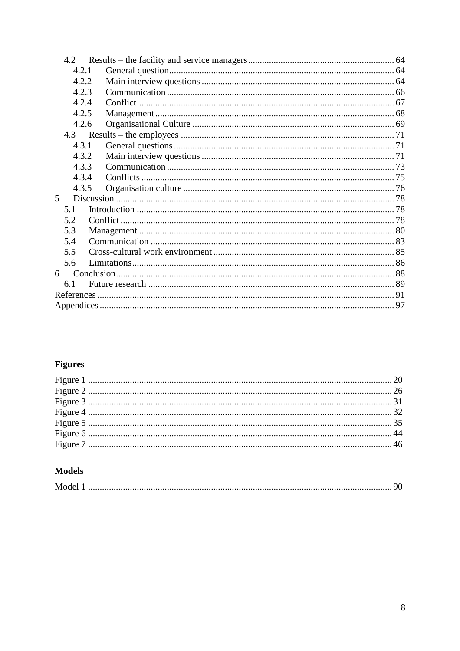|     | 4.2   |  |  |
|-----|-------|--|--|
|     | 4.2.1 |  |  |
|     | 4.2.2 |  |  |
|     | 4.2.3 |  |  |
|     | 4.2.4 |  |  |
|     | 4.2.5 |  |  |
|     | 4.2.6 |  |  |
|     |       |  |  |
|     | 4.3.1 |  |  |
|     | 4.3.2 |  |  |
|     | 4.3.3 |  |  |
|     | 4.3.4 |  |  |
|     | 4.3.5 |  |  |
| 5   |       |  |  |
|     | 5.1   |  |  |
| 5.2 |       |  |  |
|     | 5.3   |  |  |
|     | 5.4   |  |  |
|     | 5.5   |  |  |
|     | 5.6   |  |  |
| 6   |       |  |  |
|     | 6.1   |  |  |
|     |       |  |  |
|     |       |  |  |
|     |       |  |  |

# **Figures**

# **Models**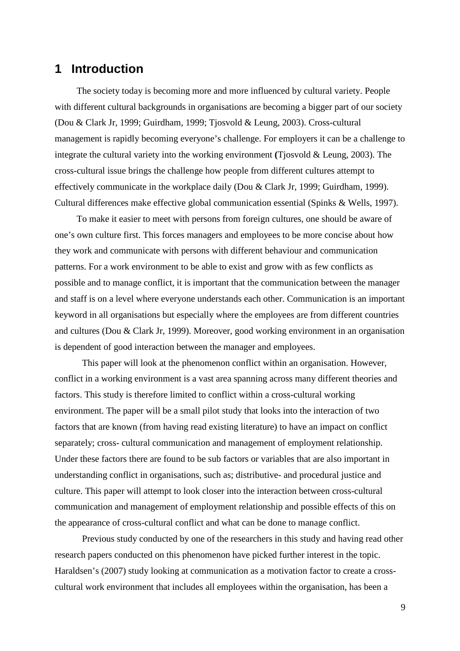# **1 Introduction**

The society today is becoming more and more influenced by cultural variety. People with different cultural backgrounds in organisations are becoming a bigger part of our society (Dou & Clark Jr, 1999; Guirdham, 1999; Tjosvold & Leung, 2003). Cross-cultural management is rapidly becoming everyone's challenge. For employers it can be a challenge to integrate the cultural variety into the working environment **(**Tjosvold & Leung, 2003). The cross-cultural issue brings the challenge how people from different cultures attempt to effectively communicate in the workplace daily (Dou & Clark Jr, 1999; Guirdham, 1999). Cultural differences make effective global communication essential (Spinks & Wells, 1997).

To make it easier to meet with persons from foreign cultures, one should be aware of one's own culture first. This forces managers and employees to be more concise about how they work and communicate with persons with different behaviour and communication patterns. For a work environment to be able to exist and grow with as few conflicts as possible and to manage conflict, it is important that the communication between the manager and staff is on a level where everyone understands each other. Communication is an important keyword in all organisations but especially where the employees are from different countries and cultures (Dou & Clark Jr, 1999). Moreover, good working environment in an organisation is dependent of good interaction between the manager and employees.

 This paper will look at the phenomenon conflict within an organisation. However, conflict in a working environment is a vast area spanning across many different theories and factors. This study is therefore limited to conflict within a cross-cultural working environment. The paper will be a small pilot study that looks into the interaction of two factors that are known (from having read existing literature) to have an impact on conflict separately; cross- cultural communication and management of employment relationship. Under these factors there are found to be sub factors or variables that are also important in understanding conflict in organisations, such as; distributive- and procedural justice and culture. This paper will attempt to look closer into the interaction between cross-cultural communication and management of employment relationship and possible effects of this on the appearance of cross-cultural conflict and what can be done to manage conflict.

 Previous study conducted by one of the researchers in this study and having read other research papers conducted on this phenomenon have picked further interest in the topic. Haraldsen's (2007) study looking at communication as a motivation factor to create a crosscultural work environment that includes all employees within the organisation, has been a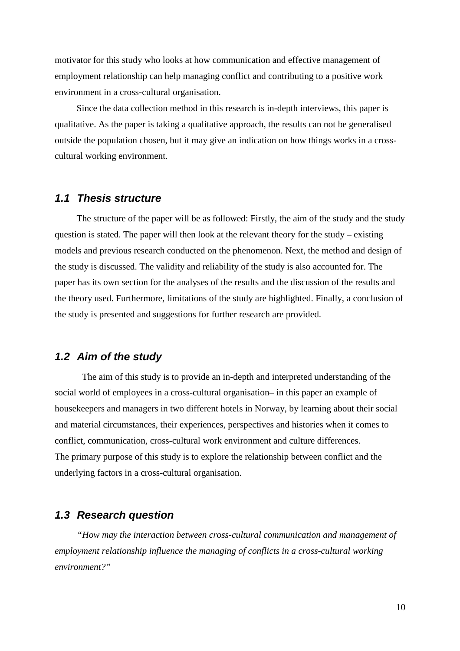motivator for this study who looks at how communication and effective management of employment relationship can help managing conflict and contributing to a positive work environment in a cross-cultural organisation.

Since the data collection method in this research is in-depth interviews, this paper is qualitative. As the paper is taking a qualitative approach, the results can not be generalised outside the population chosen, but it may give an indication on how things works in a crosscultural working environment.

### **1.1 Thesis structure**

The structure of the paper will be as followed: Firstly, the aim of the study and the study question is stated. The paper will then look at the relevant theory for the study – existing models and previous research conducted on the phenomenon. Next, the method and design of the study is discussed. The validity and reliability of the study is also accounted for. The paper has its own section for the analyses of the results and the discussion of the results and the theory used. Furthermore, limitations of the study are highlighted. Finally, a conclusion of the study is presented and suggestions for further research are provided.

## **1.2 Aim of the study**

The aim of this study is to provide an in-depth and interpreted understanding of the social world of employees in a cross-cultural organisation– in this paper an example of housekeepers and managers in two different hotels in Norway, by learning about their social and material circumstances, their experiences, perspectives and histories when it comes to conflict, communication, cross-cultural work environment and culture differences. The primary purpose of this study is to explore the relationship between conflict and the underlying factors in a cross-cultural organisation.

### **1.3 Research question**

*"How may the interaction between cross-cultural communication and management of employment relationship influence the managing of conflicts in a cross-cultural working environment?"*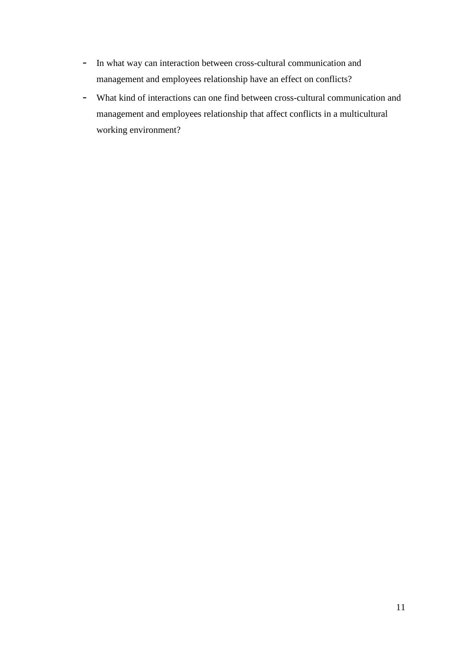- In what way can interaction between cross-cultural communication and management and employees relationship have an effect on conflicts?
- What kind of interactions can one find between cross-cultural communication and management and employees relationship that affect conflicts in a multicultural working environment?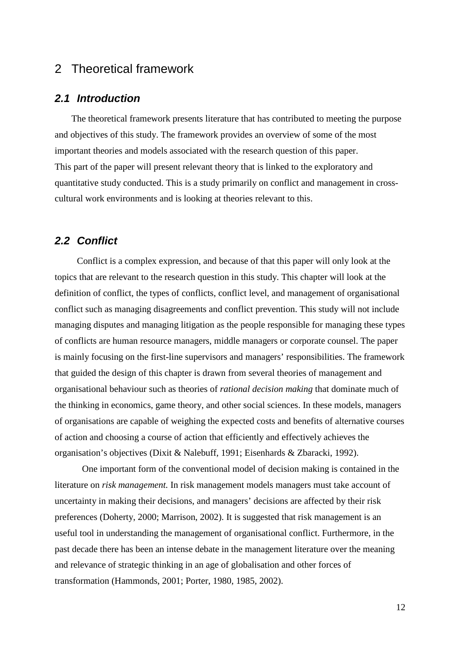# 2 Theoretical framework

## **2.1 Introduction**

The theoretical framework presents literature that has contributed to meeting the purpose and objectives of this study. The framework provides an overview of some of the most important theories and models associated with the research question of this paper. This part of the paper will present relevant theory that is linked to the exploratory and quantitative study conducted. This is a study primarily on conflict and management in crosscultural work environments and is looking at theories relevant to this.

### **2.2 Conflict**

Conflict is a complex expression, and because of that this paper will only look at the topics that are relevant to the research question in this study. This chapter will look at the definition of conflict, the types of conflicts, conflict level, and management of organisational conflict such as managing disagreements and conflict prevention. This study will not include managing disputes and managing litigation as the people responsible for managing these types of conflicts are human resource managers, middle managers or corporate counsel. The paper is mainly focusing on the first-line supervisors and managers' responsibilities. The framework that guided the design of this chapter is drawn from several theories of management and organisational behaviour such as theories of *rational decision making* that dominate much of the thinking in economics, game theory, and other social sciences. In these models, managers of organisations are capable of weighing the expected costs and benefits of alternative courses of action and choosing a course of action that efficiently and effectively achieves the organisation's objectives (Dixit & Nalebuff, 1991; Eisenhards & Zbaracki, 1992).

One important form of the conventional model of decision making is contained in the literature on *risk management.* In risk management models managers must take account of uncertainty in making their decisions, and managers' decisions are affected by their risk preferences (Doherty, 2000; Marrison, 2002). It is suggested that risk management is an useful tool in understanding the management of organisational conflict. Furthermore, in the past decade there has been an intense debate in the management literature over the meaning and relevance of strategic thinking in an age of globalisation and other forces of transformation (Hammonds, 2001; Porter, 1980, 1985, 2002).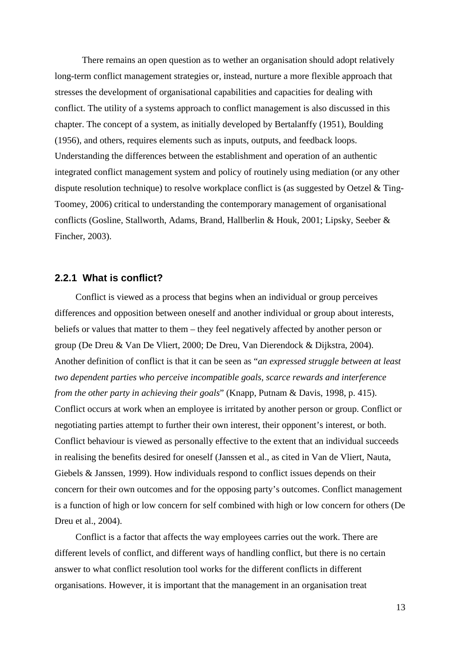There remains an open question as to wether an organisation should adopt relatively long-term conflict management strategies or, instead, nurture a more flexible approach that stresses the development of organisational capabilities and capacities for dealing with conflict. The utility of a systems approach to conflict management is also discussed in this chapter. The concept of a system, as initially developed by Bertalanffy (1951), Boulding (1956), and others, requires elements such as inputs, outputs, and feedback loops. Understanding the differences between the establishment and operation of an authentic integrated conflict management system and policy of routinely using mediation (or any other dispute resolution technique) to resolve workplace conflict is (as suggested by Oetzel & Ting-Toomey, 2006) critical to understanding the contemporary management of organisational conflicts (Gosline, Stallworth, Adams, Brand, Hallberlin & Houk, 2001; Lipsky, Seeber & Fincher, 2003).

### **2.2.1 What is conflict?**

Conflict is viewed as a process that begins when an individual or group perceives differences and opposition between oneself and another individual or group about interests, beliefs or values that matter to them – they feel negatively affected by another person or group (De Dreu & Van De Vliert, 2000; De Dreu, Van Dierendock & Dijkstra, 2004). Another definition of conflict is that it can be seen as "*an expressed struggle between at least two dependent parties who perceive incompatible goals, scarce rewards and interference from the other party in achieving their goals*" (Knapp, Putnam & Davis, 1998, p. 415). Conflict occurs at work when an employee is irritated by another person or group. Conflict or negotiating parties attempt to further their own interest, their opponent's interest, or both. Conflict behaviour is viewed as personally effective to the extent that an individual succeeds in realising the benefits desired for oneself (Janssen et al., as cited in Van de Vliert, Nauta, Giebels & Janssen, 1999). How individuals respond to conflict issues depends on their concern for their own outcomes and for the opposing party's outcomes. Conflict management is a function of high or low concern for self combined with high or low concern for others (De Dreu et al., 2004).

Conflict is a factor that affects the way employees carries out the work. There are different levels of conflict, and different ways of handling conflict, but there is no certain answer to what conflict resolution tool works for the different conflicts in different organisations. However, it is important that the management in an organisation treat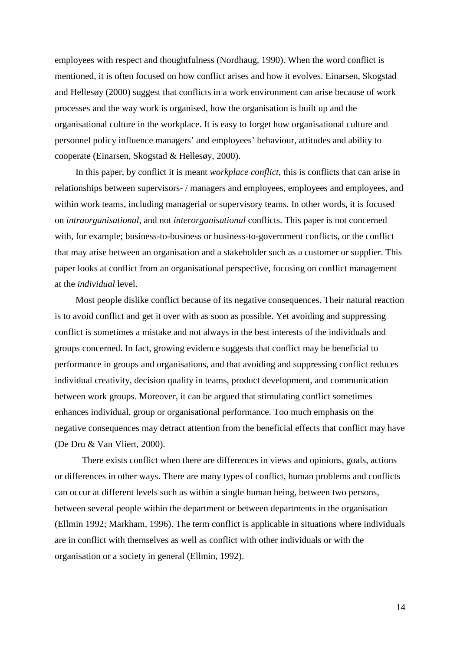employees with respect and thoughtfulness (Nordhaug, 1990). When the word conflict is mentioned, it is often focused on how conflict arises and how it evolves. Einarsen, Skogstad and Hellesøy (2000) suggest that conflicts in a work environment can arise because of work processes and the way work is organised, how the organisation is built up and the organisational culture in the workplace. It is easy to forget how organisational culture and personnel policy influence managers' and employees' behaviour, attitudes and ability to cooperate (Einarsen, Skogstad & Hellesøy, 2000).

In this paper, by conflict it is meant *workplace conflict*, this is conflicts that can arise in relationships between supervisors- / managers and employees, employees and employees, and within work teams, including managerial or supervisory teams. In other words, it is focused on *intraorganisational*, and not *interorganisational* conflicts. This paper is not concerned with, for example; business-to-business or business-to-government conflicts, or the conflict that may arise between an organisation and a stakeholder such as a customer or supplier. This paper looks at conflict from an organisational perspective, focusing on conflict management at the *individual* level.

Most people dislike conflict because of its negative consequences. Their natural reaction is to avoid conflict and get it over with as soon as possible. Yet avoiding and suppressing conflict is sometimes a mistake and not always in the best interests of the individuals and groups concerned. In fact, growing evidence suggests that conflict may be beneficial to performance in groups and organisations, and that avoiding and suppressing conflict reduces individual creativity, decision quality in teams, product development, and communication between work groups. Moreover, it can be argued that stimulating conflict sometimes enhances individual, group or organisational performance. Too much emphasis on the negative consequences may detract attention from the beneficial effects that conflict may have (De Dru & Van Vliert, 2000).

There exists conflict when there are differences in views and opinions, goals, actions or differences in other ways. There are many types of conflict, human problems and conflicts can occur at different levels such as within a single human being, between two persons, between several people within the department or between departments in the organisation (Ellmin 1992; Markham, 1996). The term conflict is applicable in situations where individuals are in conflict with themselves as well as conflict with other individuals or with the organisation or a society in general (Ellmin, 1992).

14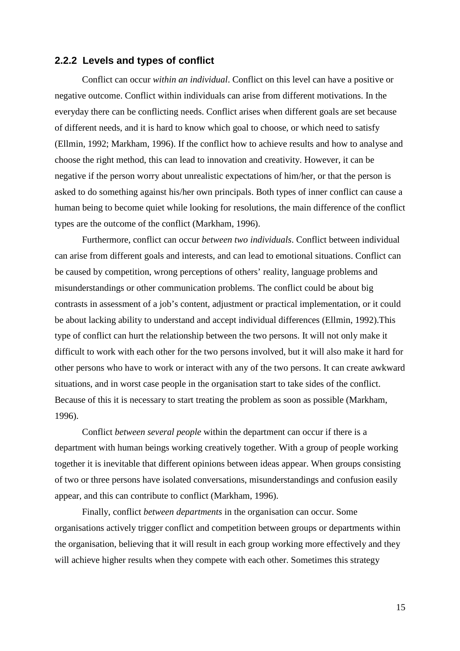#### **2.2.2 Levels and types of conflict**

Conflict can occur *within an individual*. Conflict on this level can have a positive or negative outcome. Conflict within individuals can arise from different motivations. In the everyday there can be conflicting needs. Conflict arises when different goals are set because of different needs, and it is hard to know which goal to choose, or which need to satisfy (Ellmin, 1992; Markham, 1996). If the conflict how to achieve results and how to analyse and choose the right method, this can lead to innovation and creativity. However, it can be negative if the person worry about unrealistic expectations of him/her, or that the person is asked to do something against his/her own principals. Both types of inner conflict can cause a human being to become quiet while looking for resolutions, the main difference of the conflict types are the outcome of the conflict (Markham, 1996).

Furthermore, conflict can occur *between two individuals*. Conflict between individual can arise from different goals and interests, and can lead to emotional situations. Conflict can be caused by competition, wrong perceptions of others' reality, language problems and misunderstandings or other communication problems. The conflict could be about big contrasts in assessment of a job's content, adjustment or practical implementation, or it could be about lacking ability to understand and accept individual differences (Ellmin, 1992).This type of conflict can hurt the relationship between the two persons. It will not only make it difficult to work with each other for the two persons involved, but it will also make it hard for other persons who have to work or interact with any of the two persons. It can create awkward situations, and in worst case people in the organisation start to take sides of the conflict. Because of this it is necessary to start treating the problem as soon as possible (Markham, 1996).

Conflict *between several people* within the department can occur if there is a department with human beings working creatively together. With a group of people working together it is inevitable that different opinions between ideas appear. When groups consisting of two or three persons have isolated conversations, misunderstandings and confusion easily appear, and this can contribute to conflict (Markham, 1996).

 Finally, conflict *between departments* in the organisation can occur. Some organisations actively trigger conflict and competition between groups or departments within the organisation, believing that it will result in each group working more effectively and they will achieve higher results when they compete with each other. Sometimes this strategy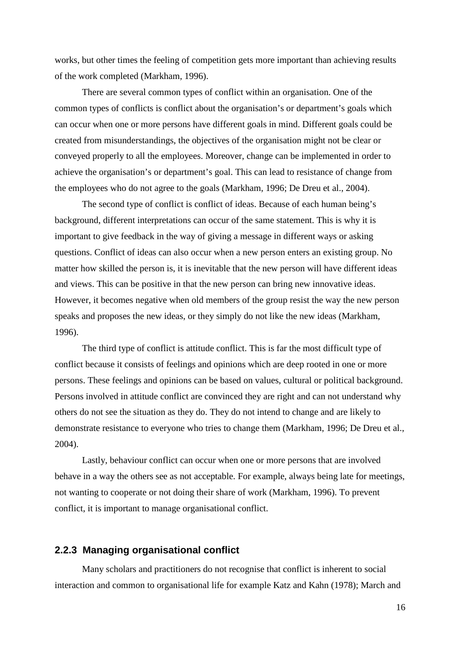works, but other times the feeling of competition gets more important than achieving results of the work completed (Markham, 1996).

There are several common types of conflict within an organisation. One of the common types of conflicts is conflict about the organisation's or department's goals which can occur when one or more persons have different goals in mind. Different goals could be created from misunderstandings, the objectives of the organisation might not be clear or conveyed properly to all the employees. Moreover, change can be implemented in order to achieve the organisation's or department's goal. This can lead to resistance of change from the employees who do not agree to the goals (Markham, 1996; De Dreu et al., 2004).

The second type of conflict is conflict of ideas. Because of each human being's background, different interpretations can occur of the same statement. This is why it is important to give feedback in the way of giving a message in different ways or asking questions. Conflict of ideas can also occur when a new person enters an existing group. No matter how skilled the person is, it is inevitable that the new person will have different ideas and views. This can be positive in that the new person can bring new innovative ideas. However, it becomes negative when old members of the group resist the way the new person speaks and proposes the new ideas, or they simply do not like the new ideas (Markham, 1996).

The third type of conflict is attitude conflict. This is far the most difficult type of conflict because it consists of feelings and opinions which are deep rooted in one or more persons. These feelings and opinions can be based on values, cultural or political background. Persons involved in attitude conflict are convinced they are right and can not understand why others do not see the situation as they do. They do not intend to change and are likely to demonstrate resistance to everyone who tries to change them (Markham, 1996; De Dreu et al., 2004).

Lastly, behaviour conflict can occur when one or more persons that are involved behave in a way the others see as not acceptable. For example, always being late for meetings, not wanting to cooperate or not doing their share of work (Markham, 1996). To prevent conflict, it is important to manage organisational conflict.

#### **2.2.3 Managing organisational conflict**

Many scholars and practitioners do not recognise that conflict is inherent to social interaction and common to organisational life for example Katz and Kahn (1978); March and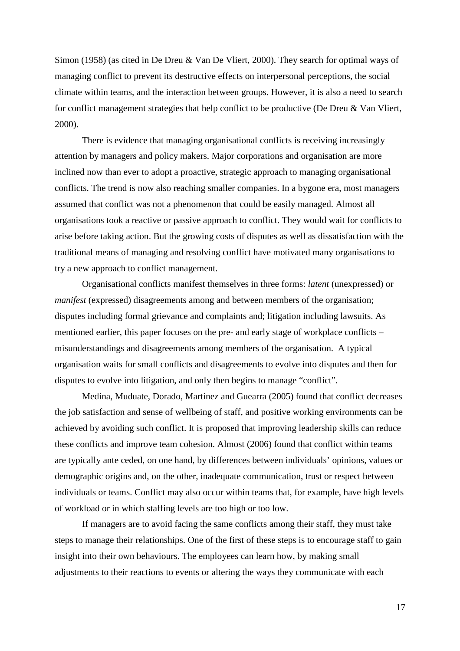Simon (1958) (as cited in De Dreu & Van De Vliert, 2000). They search for optimal ways of managing conflict to prevent its destructive effects on interpersonal perceptions, the social climate within teams, and the interaction between groups. However, it is also a need to search for conflict management strategies that help conflict to be productive (De Dreu & Van Vliert, 2000).

There is evidence that managing organisational conflicts is receiving increasingly attention by managers and policy makers. Major corporations and organisation are more inclined now than ever to adopt a proactive, strategic approach to managing organisational conflicts. The trend is now also reaching smaller companies. In a bygone era, most managers assumed that conflict was not a phenomenon that could be easily managed. Almost all organisations took a reactive or passive approach to conflict. They would wait for conflicts to arise before taking action. But the growing costs of disputes as well as dissatisfaction with the traditional means of managing and resolving conflict have motivated many organisations to try a new approach to conflict management.

Organisational conflicts manifest themselves in three forms: *latent* (unexpressed) or *manifest* (expressed) disagreements among and between members of the organisation; disputes including formal grievance and complaints and; litigation including lawsuits. As mentioned earlier, this paper focuses on the pre- and early stage of workplace conflicts – misunderstandings and disagreements among members of the organisation. A typical organisation waits for small conflicts and disagreements to evolve into disputes and then for disputes to evolve into litigation, and only then begins to manage "conflict".

Medina, Muduate, Dorado, Martinez and Guearra (2005) found that conflict decreases the job satisfaction and sense of wellbeing of staff, and positive working environments can be achieved by avoiding such conflict. It is proposed that improving leadership skills can reduce these conflicts and improve team cohesion. Almost (2006) found that conflict within teams are typically ante ceded, on one hand, by differences between individuals' opinions, values or demographic origins and, on the other, inadequate communication, trust or respect between individuals or teams. Conflict may also occur within teams that, for example, have high levels of workload or in which staffing levels are too high or too low.

 If managers are to avoid facing the same conflicts among their staff, they must take steps to manage their relationships. One of the first of these steps is to encourage staff to gain insight into their own behaviours. The employees can learn how, by making small adjustments to their reactions to events or altering the ways they communicate with each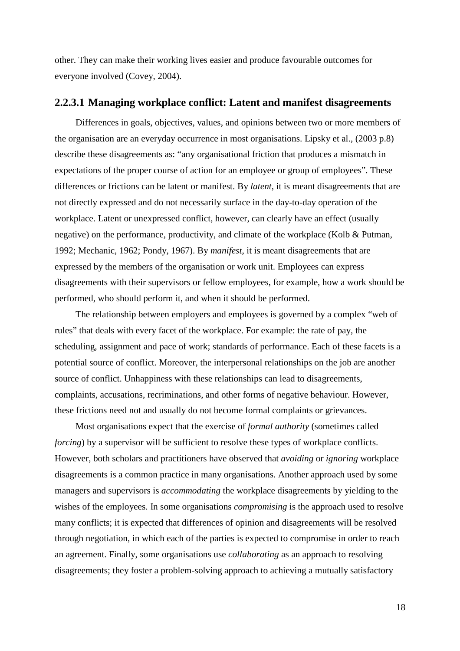other. They can make their working lives easier and produce favourable outcomes for everyone involved (Covey, 2004).

#### **2.2.3.1 Managing workplace conflict: Latent and manifest disagreements**

Differences in goals, objectives, values, and opinions between two or more members of the organisation are an everyday occurrence in most organisations. Lipsky et al., (2003 p.8) describe these disagreements as: "any organisational friction that produces a mismatch in expectations of the proper course of action for an employee or group of employees". These differences or frictions can be latent or manifest. By *latent*, it is meant disagreements that are not directly expressed and do not necessarily surface in the day-to-day operation of the workplace. Latent or unexpressed conflict, however, can clearly have an effect (usually negative) on the performance, productivity, and climate of the workplace (Kolb & Putman, 1992; Mechanic, 1962; Pondy, 1967). By *manifest*, it is meant disagreements that are expressed by the members of the organisation or work unit. Employees can express disagreements with their supervisors or fellow employees, for example, how a work should be performed, who should perform it, and when it should be performed.

The relationship between employers and employees is governed by a complex "web of rules" that deals with every facet of the workplace. For example: the rate of pay, the scheduling, assignment and pace of work; standards of performance. Each of these facets is a potential source of conflict. Moreover, the interpersonal relationships on the job are another source of conflict. Unhappiness with these relationships can lead to disagreements, complaints, accusations, recriminations, and other forms of negative behaviour. However, these frictions need not and usually do not become formal complaints or grievances.

Most organisations expect that the exercise of *formal authority* (sometimes called *forcing*) by a supervisor will be sufficient to resolve these types of workplace conflicts. However, both scholars and practitioners have observed that *avoiding* or *ignoring* workplace disagreements is a common practice in many organisations. Another approach used by some managers and supervisors is *accommodating* the workplace disagreements by yielding to the wishes of the employees. In some organisations *compromising* is the approach used to resolve many conflicts; it is expected that differences of opinion and disagreements will be resolved through negotiation, in which each of the parties is expected to compromise in order to reach an agreement. Finally, some organisations use *collaborating* as an approach to resolving disagreements; they foster a problem-solving approach to achieving a mutually satisfactory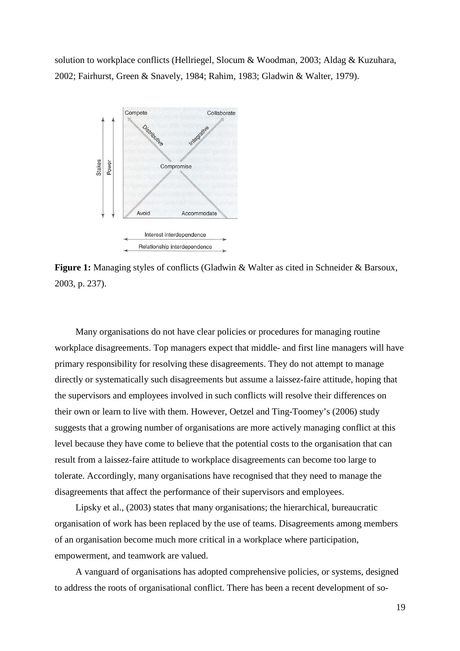solution to workplace conflicts (Hellriegel, Slocum & Woodman, 2003; Aldag & Kuzuhara, 2002; Fairhurst, Green & Snavely, 1984; Rahim, 1983; Gladwin & Walter, 1979).



Figure 1: Managing styles of conflicts (Gladwin & Walter as cited in Schneider & Barsoux, 2003, p. 237).

Many organisations do not have clear policies or procedures for managing routine workplace disagreements. Top managers expect that middle- and first line managers will have primary responsibility for resolving these disagreements. They do not attempt to manage directly or systematically such disagreements but assume a laissez-faire attitude, hoping that the supervisors and employees involved in such conflicts will resolve their differences on their own or learn to live with them. However, Oetzel and Ting-Toomey's (2006) study suggests that a growing number of organisations are more actively managing conflict at this level because they have come to believe that the potential costs to the organisation that can result from a laissez-faire attitude to workplace disagreements can become too large to tolerate. Accordingly, many organisations have recognised that they need to manage the disagreements that affect the performance of their supervisors and employees.

Lipsky et al., (2003) states that many organisations; the hierarchical, bureaucratic organisation of work has been replaced by the use of teams. Disagreements among members of an organisation become much more critical in a workplace where participation, empowerment, and teamwork are valued.

A vanguard of organisations has adopted comprehensive policies, or systems, designed to address the roots of organisational conflict. There has been a recent development of so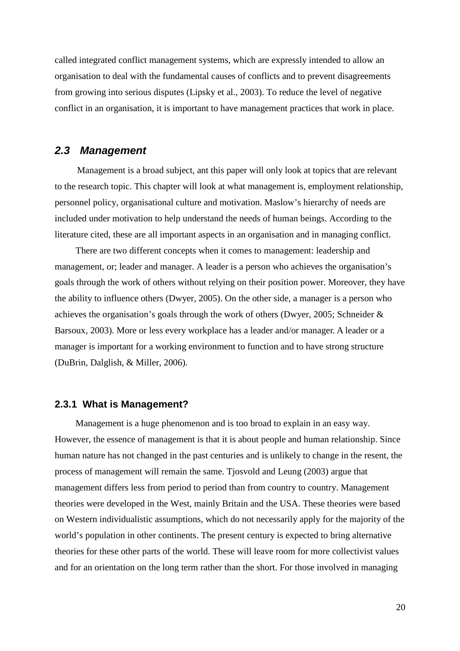called integrated conflict management systems, which are expressly intended to allow an organisation to deal with the fundamental causes of conflicts and to prevent disagreements from growing into serious disputes (Lipsky et al., 2003). To reduce the level of negative conflict in an organisation, it is important to have management practices that work in place.

### **2.3 Management**

Management is a broad subject, ant this paper will only look at topics that are relevant to the research topic. This chapter will look at what management is, employment relationship, personnel policy, organisational culture and motivation. Maslow's hierarchy of needs are included under motivation to help understand the needs of human beings. According to the literature cited, these are all important aspects in an organisation and in managing conflict.

There are two different concepts when it comes to management: leadership and management, or; leader and manager. A leader is a person who achieves the organisation's goals through the work of others without relying on their position power. Moreover, they have the ability to influence others (Dwyer, 2005). On the other side, a manager is a person who achieves the organisation's goals through the work of others (Dwyer, 2005; Schneider & Barsoux, 2003). More or less every workplace has a leader and/or manager. A leader or a manager is important for a working environment to function and to have strong structure (DuBrin, Dalglish, & Miller, 2006).

#### **2.3.1 What is Management?**

Management is a huge phenomenon and is too broad to explain in an easy way. However, the essence of management is that it is about people and human relationship. Since human nature has not changed in the past centuries and is unlikely to change in the resent, the process of management will remain the same. Tjosvold and Leung (2003) argue that management differs less from period to period than from country to country. Management theories were developed in the West, mainly Britain and the USA. These theories were based on Western individualistic assumptions, which do not necessarily apply for the majority of the world's population in other continents. The present century is expected to bring alternative theories for these other parts of the world. These will leave room for more collectivist values and for an orientation on the long term rather than the short. For those involved in managing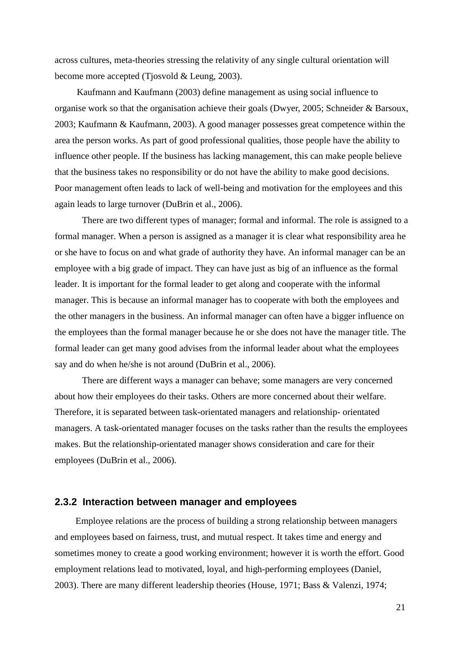across cultures, meta-theories stressing the relativity of any single cultural orientation will become more accepted (Tjosvold & Leung, 2003).

 Kaufmann and Kaufmann (2003) define management as using social influence to organise work so that the organisation achieve their goals (Dwyer, 2005; Schneider & Barsoux, 2003; Kaufmann & Kaufmann, 2003). A good manager possesses great competence within the area the person works. As part of good professional qualities, those people have the ability to influence other people. If the business has lacking management, this can make people believe that the business takes no responsibility or do not have the ability to make good decisions. Poor management often leads to lack of well-being and motivation for the employees and this again leads to large turnover (DuBrin et al., 2006).

 There are two different types of manager; formal and informal. The role is assigned to a formal manager. When a person is assigned as a manager it is clear what responsibility area he or she have to focus on and what grade of authority they have. An informal manager can be an employee with a big grade of impact. They can have just as big of an influence as the formal leader. It is important for the formal leader to get along and cooperate with the informal manager. This is because an informal manager has to cooperate with both the employees and the other managers in the business. An informal manager can often have a bigger influence on the employees than the formal manager because he or she does not have the manager title. The formal leader can get many good advises from the informal leader about what the employees say and do when he/she is not around (DuBrin et al., 2006).

 There are different ways a manager can behave; some managers are very concerned about how their employees do their tasks. Others are more concerned about their welfare. Therefore, it is separated between task-orientated managers and relationship- orientated managers. A task-orientated manager focuses on the tasks rather than the results the employees makes. But the relationship-orientated manager shows consideration and care for their employees (DuBrin et al., 2006).

#### **2.3.2 Interaction between manager and employees**

Employee relations are the process of building a strong relationship between managers and employees based on fairness, trust, and mutual respect. It takes time and energy and sometimes money to create a good working environment; however it is worth the effort. Good employment relations lead to motivated, loyal, and high-performing employees (Daniel, 2003). There are many different leadership theories (House, 1971; Bass & Valenzi, 1974;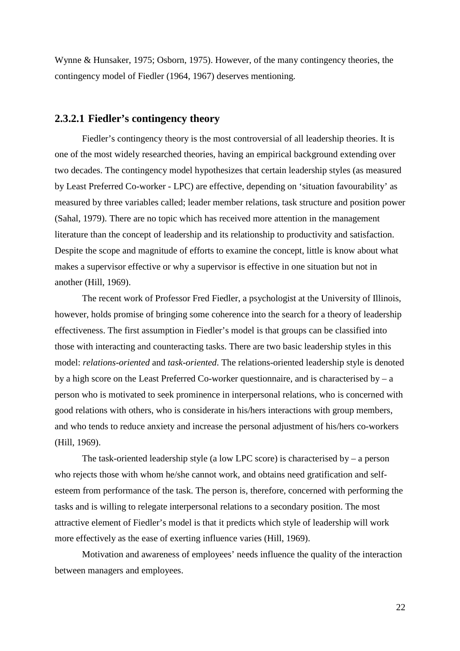Wynne & Hunsaker, 1975; Osborn, 1975). However, of the many contingency theories, the contingency model of Fiedler (1964, 1967) deserves mentioning.

### **2.3.2.1 Fiedler's contingency theory**

Fiedler's contingency theory is the most controversial of all leadership theories. It is one of the most widely researched theories, having an empirical background extending over two decades. The contingency model hypothesizes that certain leadership styles (as measured by Least Preferred Co-worker - LPC) are effective, depending on 'situation favourability' as measured by three variables called; leader member relations, task structure and position power (Sahal, 1979). There are no topic which has received more attention in the management literature than the concept of leadership and its relationship to productivity and satisfaction. Despite the scope and magnitude of efforts to examine the concept, little is know about what makes a supervisor effective or why a supervisor is effective in one situation but not in another (Hill, 1969).

 The recent work of Professor Fred Fiedler, a psychologist at the University of Illinois, however, holds promise of bringing some coherence into the search for a theory of leadership effectiveness. The first assumption in Fiedler's model is that groups can be classified into those with interacting and counteracting tasks. There are two basic leadership styles in this model: *relations-oriented* and *task-oriented*. The relations-oriented leadership style is denoted by a high score on the Least Preferred Co-worker questionnaire, and is characterised by  $-$  a person who is motivated to seek prominence in interpersonal relations, who is concerned with good relations with others, who is considerate in his/hers interactions with group members, and who tends to reduce anxiety and increase the personal adjustment of his/hers co-workers (Hill, 1969).

 The task-oriented leadership style (a low LPC score) is characterised by – a person who rejects those with whom he/she cannot work, and obtains need gratification and selfesteem from performance of the task. The person is, therefore, concerned with performing the tasks and is willing to relegate interpersonal relations to a secondary position. The most attractive element of Fiedler's model is that it predicts which style of leadership will work more effectively as the ease of exerting influence varies (Hill, 1969).

 Motivation and awareness of employees' needs influence the quality of the interaction between managers and employees.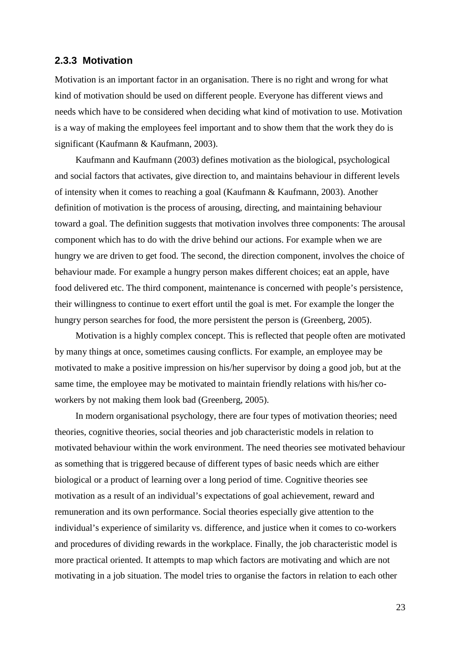#### **2.3.3 Motivation**

Motivation is an important factor in an organisation. There is no right and wrong for what kind of motivation should be used on different people. Everyone has different views and needs which have to be considered when deciding what kind of motivation to use. Motivation is a way of making the employees feel important and to show them that the work they do is significant (Kaufmann & Kaufmann, 2003).

Kaufmann and Kaufmann (2003) defines motivation as the biological, psychological and social factors that activates, give direction to, and maintains behaviour in different levels of intensity when it comes to reaching a goal (Kaufmann & Kaufmann, 2003). Another definition of motivation is the process of arousing, directing, and maintaining behaviour toward a goal. The definition suggests that motivation involves three components: The arousal component which has to do with the drive behind our actions. For example when we are hungry we are driven to get food. The second, the direction component, involves the choice of behaviour made. For example a hungry person makes different choices; eat an apple, have food delivered etc. The third component, maintenance is concerned with people's persistence, their willingness to continue to exert effort until the goal is met. For example the longer the hungry person searches for food, the more persistent the person is (Greenberg, 2005).

Motivation is a highly complex concept. This is reflected that people often are motivated by many things at once, sometimes causing conflicts. For example, an employee may be motivated to make a positive impression on his/her supervisor by doing a good job, but at the same time, the employee may be motivated to maintain friendly relations with his/her coworkers by not making them look bad (Greenberg, 2005).

In modern organisational psychology, there are four types of motivation theories; need theories, cognitive theories, social theories and job characteristic models in relation to motivated behaviour within the work environment. The need theories see motivated behaviour as something that is triggered because of different types of basic needs which are either biological or a product of learning over a long period of time. Cognitive theories see motivation as a result of an individual's expectations of goal achievement, reward and remuneration and its own performance. Social theories especially give attention to the individual's experience of similarity vs. difference, and justice when it comes to co-workers and procedures of dividing rewards in the workplace. Finally, the job characteristic model is more practical oriented. It attempts to map which factors are motivating and which are not motivating in a job situation. The model tries to organise the factors in relation to each other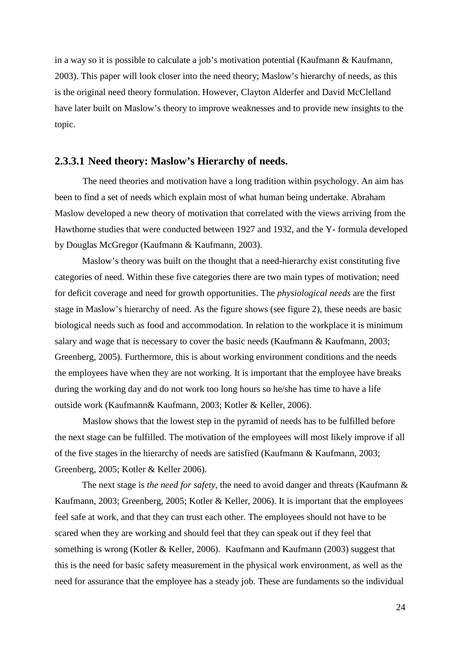in a way so it is possible to calculate a job's motivation potential (Kaufmann & Kaufmann, 2003). This paper will look closer into the need theory; Maslow's hierarchy of needs, as this is the original need theory formulation. However, Clayton Alderfer and David McClelland have later built on Maslow's theory to improve weaknesses and to provide new insights to the topic.

#### **2.3.3.1 Need theory: Maslow's Hierarchy of needs.**

The need theories and motivation have a long tradition within psychology. An aim has been to find a set of needs which explain most of what human being undertake. Abraham Maslow developed a new theory of motivation that correlated with the views arriving from the Hawthorne studies that were conducted between 1927 and 1932, and the Y- formula developed by Douglas McGregor (Kaufmann & Kaufmann, 2003).

 Maslow's theory was built on the thought that a need-hierarchy exist constituting five categories of need. Within these five categories there are two main types of motivation; need for deficit coverage and need for growth opportunities. The *physiological needs* are the first stage in Maslow's hierarchy of need. As the figure shows (see figure 2), these needs are basic biological needs such as food and accommodation. In relation to the workplace it is minimum salary and wage that is necessary to cover the basic needs (Kaufmann & Kaufmann, 2003; Greenberg, 2005). Furthermore, this is about working environment conditions and the needs the employees have when they are not working. It is important that the employee have breaks during the working day and do not work too long hours so he/she has time to have a life outside work (Kaufmann& Kaufmann, 2003; Kotler & Keller, 2006).

 Maslow shows that the lowest step in the pyramid of needs has to be fulfilled before the next stage can be fulfilled. The motivation of the employees will most likely improve if all of the five stages in the hierarchy of needs are satisfied (Kaufmann & Kaufmann, 2003; Greenberg, 2005; Kotler & Keller 2006).

 The next stage is *the need for safety*, the need to avoid danger and threats (Kaufmann & Kaufmann, 2003; Greenberg, 2005; Kotler & Keller, 2006). It is important that the employees feel safe at work, and that they can trust each other. The employees should not have to be scared when they are working and should feel that they can speak out if they feel that something is wrong (Kotler & Keller, 2006). Kaufmann and Kaufmann (2003) suggest that this is the need for basic safety measurement in the physical work environment, as well as the need for assurance that the employee has a steady job. These are fundaments so the individual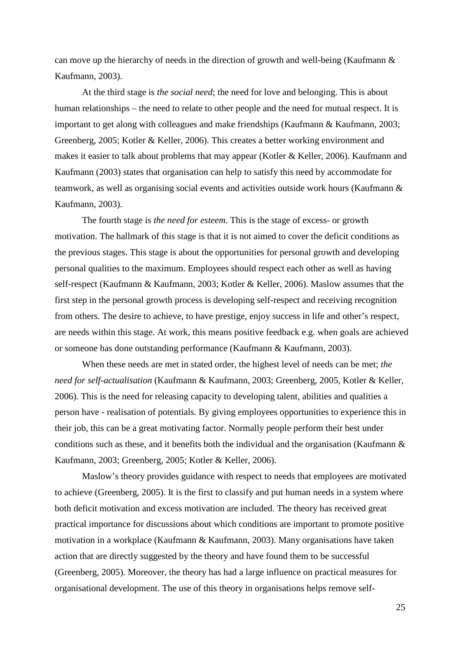can move up the hierarchy of needs in the direction of growth and well-being (Kaufmann & Kaufmann, 2003).

 At the third stage is *the social need*; the need for love and belonging. This is about human relationships – the need to relate to other people and the need for mutual respect. It is important to get along with colleagues and make friendships (Kaufmann & Kaufmann, 2003; Greenberg, 2005; Kotler & Keller, 2006). This creates a better working environment and makes it easier to talk about problems that may appear (Kotler & Keller, 2006). Kaufmann and Kaufmann (2003) states that organisation can help to satisfy this need by accommodate for teamwork, as well as organising social events and activities outside work hours (Kaufmann & Kaufmann, 2003).

 The fourth stage is *the need for esteem*. This is the stage of excess- or growth motivation. The hallmark of this stage is that it is not aimed to cover the deficit conditions as the previous stages. This stage is about the opportunities for personal growth and developing personal qualities to the maximum. Employees should respect each other as well as having self-respect (Kaufmann & Kaufmann, 2003; Kotler & Keller, 2006). Maslow assumes that the first step in the personal growth process is developing self-respect and receiving recognition from others. The desire to achieve, to have prestige, enjoy success in life and other's respect, are needs within this stage. At work, this means positive feedback e.g. when goals are achieved or someone has done outstanding performance (Kaufmann & Kaufmann, 2003).

 When these needs are met in stated order, the highest level of needs can be met; *the need for self-actualisation* (Kaufmann & Kaufmann, 2003; Greenberg, 2005, Kotler & Keller, 2006). This is the need for releasing capacity to developing talent, abilities and qualities a person have - realisation of potentials. By giving employees opportunities to experience this in their job, this can be a great motivating factor. Normally people perform their best under conditions such as these, and it benefits both the individual and the organisation (Kaufmann & Kaufmann, 2003; Greenberg, 2005; Kotler & Keller, 2006).

 Maslow's theory provides guidance with respect to needs that employees are motivated to achieve (Greenberg, 2005). It is the first to classify and put human needs in a system where both deficit motivation and excess motivation are included. The theory has received great practical importance for discussions about which conditions are important to promote positive motivation in a workplace (Kaufmann & Kaufmann, 2003). Many organisations have taken action that are directly suggested by the theory and have found them to be successful (Greenberg, 2005). Moreover, the theory has had a large influence on practical measures for organisational development. The use of this theory in organisations helps remove self-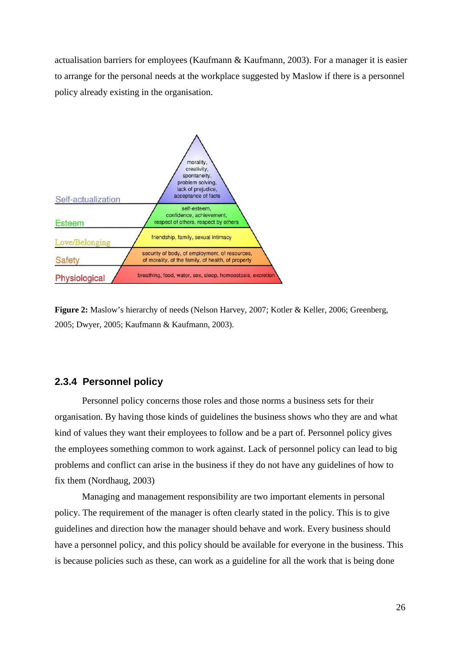actualisation barriers for employees (Kaufmann & Kaufmann, 2003). For a manager it is easier to arrange for the personal needs at the workplace suggested by Maslow if there is a personnel policy already existing in the organisation.



**Figure 2:** Maslow's hierarchy of needs (Nelson Harvey, 2007; Kotler & Keller, 2006; Greenberg, 2005; Dwyer, 2005; Kaufmann & Kaufmann, 2003).

#### **2.3.4 Personnel policy**

Personnel policy concerns those roles and those norms a business sets for their organisation. By having those kinds of guidelines the business shows who they are and what kind of values they want their employees to follow and be a part of. Personnel policy gives the employees something common to work against. Lack of personnel policy can lead to big problems and conflict can arise in the business if they do not have any guidelines of how to fix them (Nordhaug, 2003)

Managing and management responsibility are two important elements in personal policy. The requirement of the manager is often clearly stated in the policy. This is to give guidelines and direction how the manager should behave and work. Every business should have a personnel policy, and this policy should be available for everyone in the business. This is because policies such as these, can work as a guideline for all the work that is being done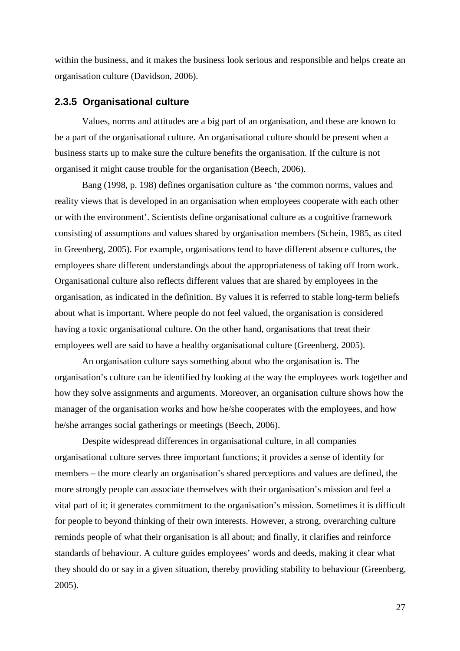within the business, and it makes the business look serious and responsible and helps create an organisation culture (Davidson, 2006).

#### **2.3.5 Organisational culture**

 Values, norms and attitudes are a big part of an organisation, and these are known to be a part of the organisational culture. An organisational culture should be present when a business starts up to make sure the culture benefits the organisation. If the culture is not organised it might cause trouble for the organisation (Beech, 2006).

 Bang (1998, p. 198) defines organisation culture as 'the common norms, values and reality views that is developed in an organisation when employees cooperate with each other or with the environment'. Scientists define organisational culture as a cognitive framework consisting of assumptions and values shared by organisation members (Schein, 1985, as cited in Greenberg, 2005). For example, organisations tend to have different absence cultures, the employees share different understandings about the appropriateness of taking off from work. Organisational culture also reflects different values that are shared by employees in the organisation, as indicated in the definition. By values it is referred to stable long-term beliefs about what is important. Where people do not feel valued, the organisation is considered having a toxic organisational culture. On the other hand, organisations that treat their employees well are said to have a healthy organisational culture (Greenberg, 2005).

 An organisation culture says something about who the organisation is. The organisation's culture can be identified by looking at the way the employees work together and how they solve assignments and arguments. Moreover, an organisation culture shows how the manager of the organisation works and how he/she cooperates with the employees, and how he/she arranges social gatherings or meetings (Beech, 2006).

 Despite widespread differences in organisational culture, in all companies organisational culture serves three important functions; it provides a sense of identity for members – the more clearly an organisation's shared perceptions and values are defined, the more strongly people can associate themselves with their organisation's mission and feel a vital part of it; it generates commitment to the organisation's mission. Sometimes it is difficult for people to beyond thinking of their own interests. However, a strong, overarching culture reminds people of what their organisation is all about; and finally, it clarifies and reinforce standards of behaviour. A culture guides employees' words and deeds, making it clear what they should do or say in a given situation, thereby providing stability to behaviour (Greenberg, 2005).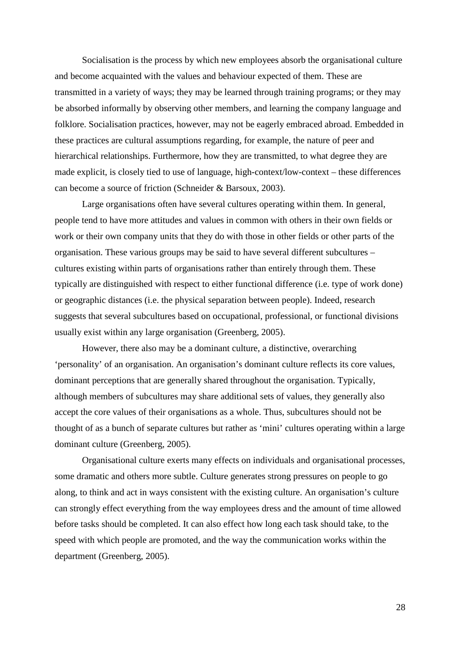Socialisation is the process by which new employees absorb the organisational culture and become acquainted with the values and behaviour expected of them. These are transmitted in a variety of ways; they may be learned through training programs; or they may be absorbed informally by observing other members, and learning the company language and folklore. Socialisation practices, however, may not be eagerly embraced abroad. Embedded in these practices are cultural assumptions regarding, for example, the nature of peer and hierarchical relationships. Furthermore, how they are transmitted, to what degree they are made explicit, is closely tied to use of language, high-context/low-context – these differences can become a source of friction (Schneider & Barsoux, 2003).

Large organisations often have several cultures operating within them. In general, people tend to have more attitudes and values in common with others in their own fields or work or their own company units that they do with those in other fields or other parts of the organisation. These various groups may be said to have several different subcultures – cultures existing within parts of organisations rather than entirely through them. These typically are distinguished with respect to either functional difference (i.e. type of work done) or geographic distances (i.e. the physical separation between people). Indeed, research suggests that several subcultures based on occupational, professional, or functional divisions usually exist within any large organisation (Greenberg, 2005).

However, there also may be a dominant culture, a distinctive, overarching 'personality' of an organisation. An organisation's dominant culture reflects its core values, dominant perceptions that are generally shared throughout the organisation. Typically, although members of subcultures may share additional sets of values, they generally also accept the core values of their organisations as a whole. Thus, subcultures should not be thought of as a bunch of separate cultures but rather as 'mini' cultures operating within a large dominant culture (Greenberg, 2005).

Organisational culture exerts many effects on individuals and organisational processes, some dramatic and others more subtle. Culture generates strong pressures on people to go along, to think and act in ways consistent with the existing culture. An organisation's culture can strongly effect everything from the way employees dress and the amount of time allowed before tasks should be completed. It can also effect how long each task should take, to the speed with which people are promoted, and the way the communication works within the department (Greenberg, 2005).

28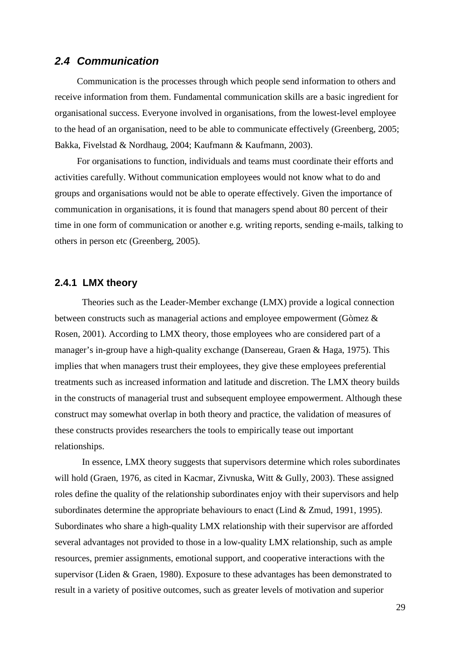### **2.4 Communication**

Communication is the processes through which people send information to others and receive information from them. Fundamental communication skills are a basic ingredient for organisational success. Everyone involved in organisations, from the lowest-level employee to the head of an organisation, need to be able to communicate effectively (Greenberg, 2005; Bakka, Fivelstad & Nordhaug, 2004; Kaufmann & Kaufmann, 2003).

For organisations to function, individuals and teams must coordinate their efforts and activities carefully. Without communication employees would not know what to do and groups and organisations would not be able to operate effectively. Given the importance of communication in organisations, it is found that managers spend about 80 percent of their time in one form of communication or another e.g. writing reports, sending e-mails, talking to others in person etc (Greenberg, 2005).

#### **2.4.1 LMX theory**

Theories such as the Leader-Member exchange (LMX) provide a logical connection between constructs such as managerial actions and employee empowerment (Gòmez & Rosen, 2001). According to LMX theory, those employees who are considered part of a manager's in-group have a high-quality exchange (Dansereau, Graen & Haga, 1975). This implies that when managers trust their employees, they give these employees preferential treatments such as increased information and latitude and discretion. The LMX theory builds in the constructs of managerial trust and subsequent employee empowerment. Although these construct may somewhat overlap in both theory and practice, the validation of measures of these constructs provides researchers the tools to empirically tease out important relationships.

In essence, LMX theory suggests that supervisors determine which roles subordinates will hold (Graen, 1976, as cited in Kacmar, Zivnuska, Witt & Gully, 2003). These assigned roles define the quality of the relationship subordinates enjoy with their supervisors and help subordinates determine the appropriate behaviours to enact (Lind & Zmud, 1991, 1995). Subordinates who share a high-quality LMX relationship with their supervisor are afforded several advantages not provided to those in a low-quality LMX relationship, such as ample resources, premier assignments, emotional support, and cooperative interactions with the supervisor (Liden & Graen, 1980). Exposure to these advantages has been demonstrated to result in a variety of positive outcomes, such as greater levels of motivation and superior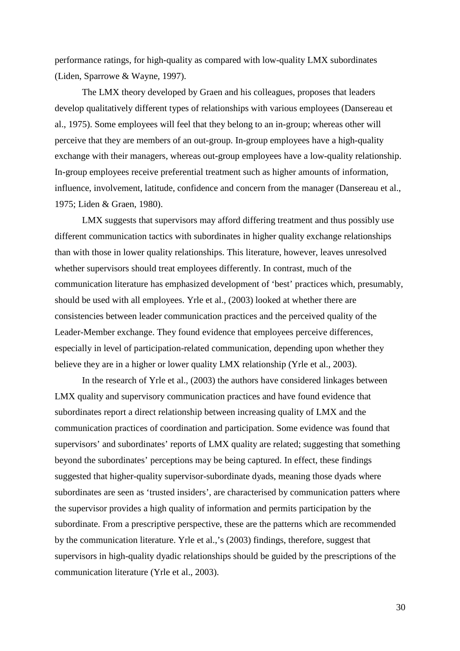performance ratings, for high-quality as compared with low-quality LMX subordinates (Liden, Sparrowe & Wayne, 1997).

 The LMX theory developed by Graen and his colleagues, proposes that leaders develop qualitatively different types of relationships with various employees (Dansereau et al., 1975). Some employees will feel that they belong to an in-group; whereas other will perceive that they are members of an out-group. In-group employees have a high-quality exchange with their managers, whereas out-group employees have a low-quality relationship. In-group employees receive preferential treatment such as higher amounts of information, influence, involvement, latitude, confidence and concern from the manager (Dansereau et al., 1975; Liden & Graen, 1980).

 LMX suggests that supervisors may afford differing treatment and thus possibly use different communication tactics with subordinates in higher quality exchange relationships than with those in lower quality relationships. This literature, however, leaves unresolved whether supervisors should treat employees differently. In contrast, much of the communication literature has emphasized development of 'best' practices which, presumably, should be used with all employees. Yrle et al., (2003) looked at whether there are consistencies between leader communication practices and the perceived quality of the Leader-Member exchange. They found evidence that employees perceive differences, especially in level of participation-related communication, depending upon whether they believe they are in a higher or lower quality LMX relationship (Yrle et al., 2003).

 In the research of Yrle et al., (2003) the authors have considered linkages between LMX quality and supervisory communication practices and have found evidence that subordinates report a direct relationship between increasing quality of LMX and the communication practices of coordination and participation. Some evidence was found that supervisors' and subordinates' reports of LMX quality are related; suggesting that something beyond the subordinates' perceptions may be being captured. In effect, these findings suggested that higher-quality supervisor-subordinate dyads, meaning those dyads where subordinates are seen as 'trusted insiders', are characterised by communication patters where the supervisor provides a high quality of information and permits participation by the subordinate. From a prescriptive perspective, these are the patterns which are recommended by the communication literature. Yrle et al.,'s (2003) findings, therefore, suggest that supervisors in high-quality dyadic relationships should be guided by the prescriptions of the communication literature (Yrle et al., 2003).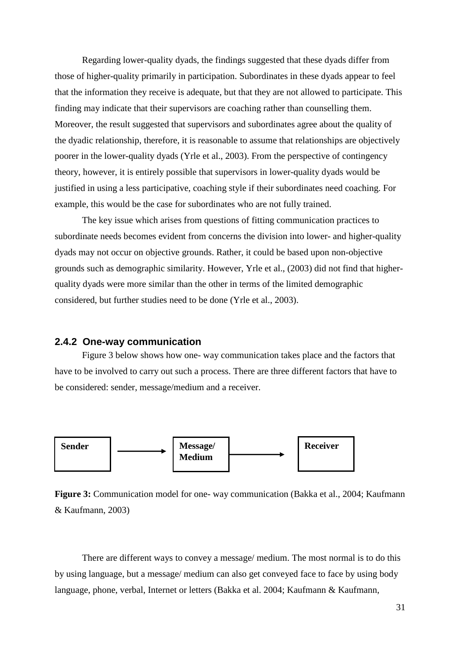Regarding lower-quality dyads, the findings suggested that these dyads differ from those of higher-quality primarily in participation. Subordinates in these dyads appear to feel that the information they receive is adequate, but that they are not allowed to participate. This finding may indicate that their supervisors are coaching rather than counselling them. Moreover, the result suggested that supervisors and subordinates agree about the quality of the dyadic relationship, therefore, it is reasonable to assume that relationships are objectively poorer in the lower-quality dyads (Yrle et al., 2003). From the perspective of contingency theory, however, it is entirely possible that supervisors in lower-quality dyads would be justified in using a less participative, coaching style if their subordinates need coaching. For example, this would be the case for subordinates who are not fully trained.

The key issue which arises from questions of fitting communication practices to subordinate needs becomes evident from concerns the division into lower- and higher-quality dyads may not occur on objective grounds. Rather, it could be based upon non-objective grounds such as demographic similarity. However, Yrle et al., (2003) did not find that higherquality dyads were more similar than the other in terms of the limited demographic considered, but further studies need to be done (Yrle et al., 2003).

#### **2.4.2 One-way communication**

Figure 3 below shows how one- way communication takes place and the factors that have to be involved to carry out such a process. There are three different factors that have to be considered: sender, message/medium and a receiver.





There are different ways to convey a message/ medium. The most normal is to do this by using language, but a message/ medium can also get conveyed face to face by using body language, phone, verbal, Internet or letters (Bakka et al. 2004; Kaufmann & Kaufmann,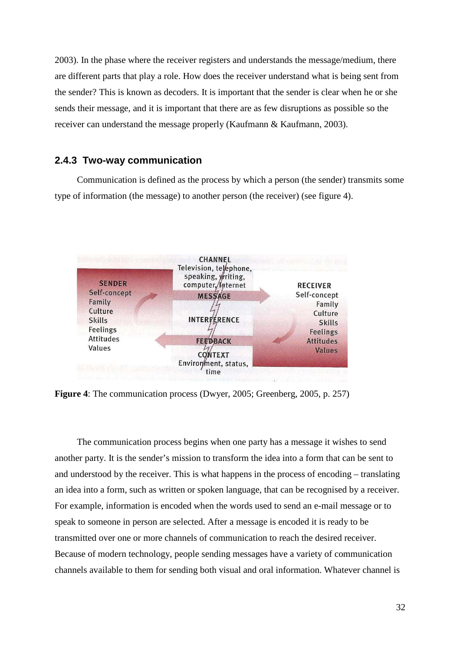2003). In the phase where the receiver registers and understands the message/medium, there are different parts that play a role. How does the receiver understand what is being sent from the sender? This is known as decoders. It is important that the sender is clear when he or she sends their message, and it is important that there are as few disruptions as possible so the receiver can understand the message properly (Kaufmann & Kaufmann, 2003).

#### **2.4.3 Two-way communication**

Communication is defined as the process by which a person (the sender) transmits some type of information (the message) to another person (the receiver) (see figure 4).



**Figure 4**: The communication process (Dwyer, 2005; Greenberg, 2005, p. 257)

The communication process begins when one party has a message it wishes to send another party. It is the sender's mission to transform the idea into a form that can be sent to and understood by the receiver. This is what happens in the process of encoding – translating an idea into a form, such as written or spoken language, that can be recognised by a receiver. For example, information is encoded when the words used to send an e-mail message or to speak to someone in person are selected. After a message is encoded it is ready to be transmitted over one or more channels of communication to reach the desired receiver. Because of modern technology, people sending messages have a variety of communication channels available to them for sending both visual and oral information. Whatever channel is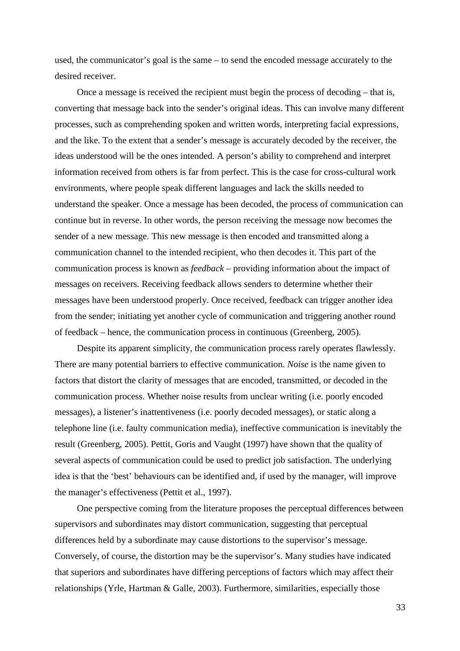used, the communicator's goal is the same – to send the encoded message accurately to the desired receiver.

Once a message is received the recipient must begin the process of decoding – that is, converting that message back into the sender's original ideas. This can involve many different processes, such as comprehending spoken and written words, interpreting facial expressions, and the like. To the extent that a sender's message is accurately decoded by the receiver, the ideas understood will be the ones intended. A person's ability to comprehend and interpret information received from others is far from perfect. This is the case for cross-cultural work environments, where people speak different languages and lack the skills needed to understand the speaker. Once a message has been decoded, the process of communication can continue but in reverse. In other words, the person receiving the message now becomes the sender of a new message. This new message is then encoded and transmitted along a communication channel to the intended recipient, who then decodes it. This part of the communication process is known as *feedback* – providing information about the impact of messages on receivers. Receiving feedback allows senders to determine whether their messages have been understood properly. Once received, feedback can trigger another idea from the sender; initiating yet another cycle of communication and triggering another round of feedback – hence, the communication process in continuous (Greenberg, 2005).

Despite its apparent simplicity, the communication process rarely operates flawlessly. There are many potential barriers to effective communication. *Noise* is the name given to factors that distort the clarity of messages that are encoded, transmitted, or decoded in the communication process. Whether noise results from unclear writing (i.e. poorly encoded messages), a listener's inattentiveness (i.e. poorly decoded messages), or static along a telephone line (i.e. faulty communication media), ineffective communication is inevitably the result (Greenberg, 2005). Pettit, Goris and Vaught (1997) have shown that the quality of several aspects of communication could be used to predict job satisfaction. The underlying idea is that the 'best' behaviours can be identified and, if used by the manager, will improve the manager's effectiveness (Pettit et al., 1997).

One perspective coming from the literature proposes the perceptual differences between supervisors and subordinates may distort communication, suggesting that perceptual differences held by a subordinate may cause distortions to the supervisor's message. Conversely, of course, the distortion may be the supervisor's. Many studies have indicated that superiors and subordinates have differing perceptions of factors which may affect their relationships (Yrle, Hartman & Galle, 2003). Furthermore, similarities, especially those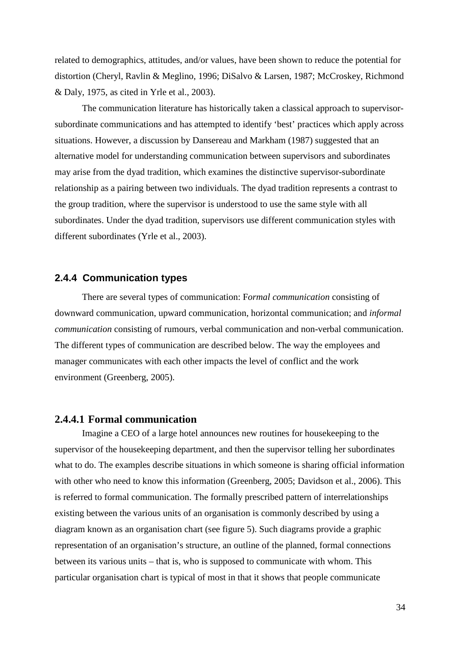related to demographics, attitudes, and/or values, have been shown to reduce the potential for distortion (Cheryl, Ravlin & Meglino, 1996; DiSalvo & Larsen, 1987; McCroskey, Richmond & Daly, 1975, as cited in Yrle et al., 2003).

 The communication literature has historically taken a classical approach to supervisorsubordinate communications and has attempted to identify 'best' practices which apply across situations. However, a discussion by Dansereau and Markham (1987) suggested that an alternative model for understanding communication between supervisors and subordinates may arise from the dyad tradition, which examines the distinctive supervisor-subordinate relationship as a pairing between two individuals. The dyad tradition represents a contrast to the group tradition, where the supervisor is understood to use the same style with all subordinates. Under the dyad tradition, supervisors use different communication styles with different subordinates (Yrle et al., 2003).

#### **2.4.4 Communication types**

There are several types of communication: F*ormal communication* consisting of downward communication, upward communication, horizontal communication; and *informal communication* consisting of rumours, verbal communication and non-verbal communication. The different types of communication are described below. The way the employees and manager communicates with each other impacts the level of conflict and the work environment (Greenberg, 2005).

### **2.4.4.1 Formal communication**

Imagine a CEO of a large hotel announces new routines for housekeeping to the supervisor of the housekeeping department, and then the supervisor telling her subordinates what to do. The examples describe situations in which someone is sharing official information with other who need to know this information (Greenberg, 2005; Davidson et al., 2006). This is referred to formal communication. The formally prescribed pattern of interrelationships existing between the various units of an organisation is commonly described by using a diagram known as an organisation chart (see figure 5). Such diagrams provide a graphic representation of an organisation's structure, an outline of the planned, formal connections between its various units – that is, who is supposed to communicate with whom. This particular organisation chart is typical of most in that it shows that people communicate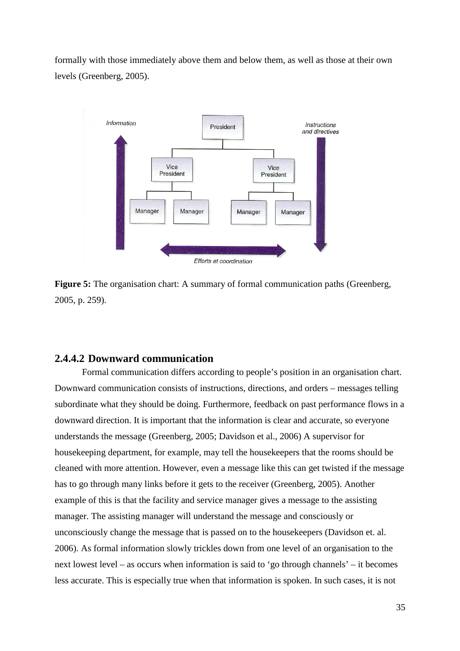formally with those immediately above them and below them, as well as those at their own levels (Greenberg, 2005).



**Figure 5:** The organisation chart: A summary of formal communication paths (Greenberg, 2005, p. 259).

### **2.4.4.2 Downward communication**

Formal communication differs according to people's position in an organisation chart. Downward communication consists of instructions, directions, and orders – messages telling subordinate what they should be doing. Furthermore, feedback on past performance flows in a downward direction. It is important that the information is clear and accurate, so everyone understands the message (Greenberg, 2005; Davidson et al., 2006) A supervisor for housekeeping department, for example, may tell the housekeepers that the rooms should be cleaned with more attention. However, even a message like this can get twisted if the message has to go through many links before it gets to the receiver (Greenberg, 2005). Another example of this is that the facility and service manager gives a message to the assisting manager. The assisting manager will understand the message and consciously or unconsciously change the message that is passed on to the housekeepers (Davidson et. al. 2006). As formal information slowly trickles down from one level of an organisation to the next lowest level – as occurs when information is said to 'go through channels' – it becomes less accurate. This is especially true when that information is spoken. In such cases, it is not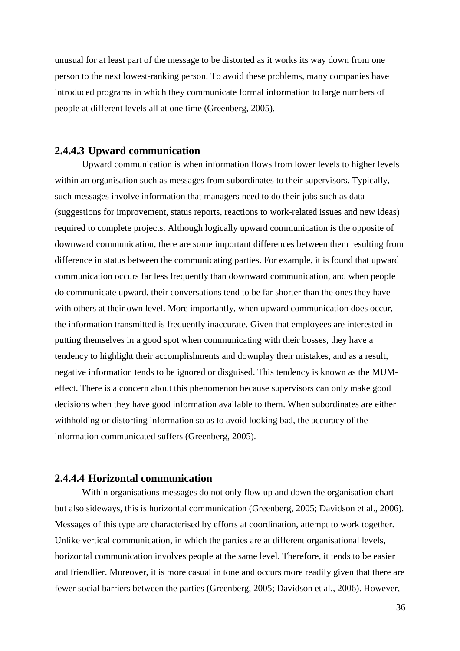unusual for at least part of the message to be distorted as it works its way down from one person to the next lowest-ranking person. To avoid these problems, many companies have introduced programs in which they communicate formal information to large numbers of people at different levels all at one time (Greenberg, 2005).

## **2.4.4.3 Upward communication**

Upward communication is when information flows from lower levels to higher levels within an organisation such as messages from subordinates to their supervisors. Typically, such messages involve information that managers need to do their jobs such as data (suggestions for improvement, status reports, reactions to work-related issues and new ideas) required to complete projects. Although logically upward communication is the opposite of downward communication, there are some important differences between them resulting from difference in status between the communicating parties. For example, it is found that upward communication occurs far less frequently than downward communication, and when people do communicate upward, their conversations tend to be far shorter than the ones they have with others at their own level. More importantly, when upward communication does occur, the information transmitted is frequently inaccurate. Given that employees are interested in putting themselves in a good spot when communicating with their bosses, they have a tendency to highlight their accomplishments and downplay their mistakes, and as a result, negative information tends to be ignored or disguised. This tendency is known as the MUMeffect. There is a concern about this phenomenon because supervisors can only make good decisions when they have good information available to them. When subordinates are either withholding or distorting information so as to avoid looking bad, the accuracy of the information communicated suffers (Greenberg, 2005).

## **2.4.4.4 Horizontal communication**

Within organisations messages do not only flow up and down the organisation chart but also sideways, this is horizontal communication (Greenberg, 2005; Davidson et al., 2006). Messages of this type are characterised by efforts at coordination, attempt to work together. Unlike vertical communication, in which the parties are at different organisational levels, horizontal communication involves people at the same level. Therefore, it tends to be easier and friendlier. Moreover, it is more casual in tone and occurs more readily given that there are fewer social barriers between the parties (Greenberg, 2005; Davidson et al., 2006). However,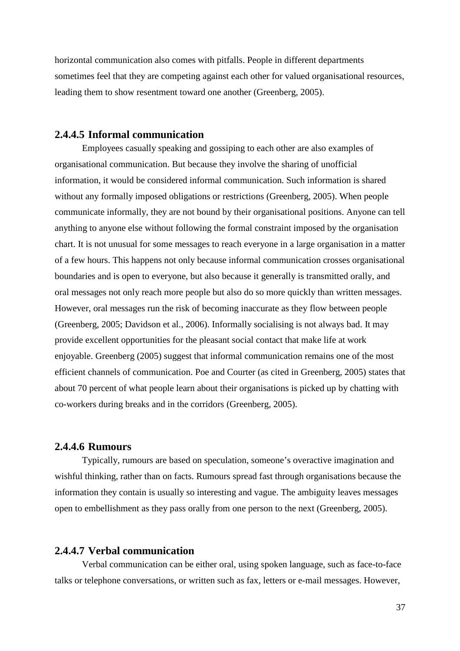horizontal communication also comes with pitfalls. People in different departments sometimes feel that they are competing against each other for valued organisational resources, leading them to show resentment toward one another (Greenberg, 2005).

## **2.4.4.5 Informal communication**

Employees casually speaking and gossiping to each other are also examples of organisational communication. But because they involve the sharing of unofficial information, it would be considered informal communication. Such information is shared without any formally imposed obligations or restrictions (Greenberg, 2005). When people communicate informally, they are not bound by their organisational positions. Anyone can tell anything to anyone else without following the formal constraint imposed by the organisation chart. It is not unusual for some messages to reach everyone in a large organisation in a matter of a few hours. This happens not only because informal communication crosses organisational boundaries and is open to everyone, but also because it generally is transmitted orally, and oral messages not only reach more people but also do so more quickly than written messages. However, oral messages run the risk of becoming inaccurate as they flow between people (Greenberg, 2005; Davidson et al., 2006). Informally socialising is not always bad. It may provide excellent opportunities for the pleasant social contact that make life at work enjoyable. Greenberg (2005) suggest that informal communication remains one of the most efficient channels of communication. Poe and Courter (as cited in Greenberg, 2005) states that about 70 percent of what people learn about their organisations is picked up by chatting with co-workers during breaks and in the corridors (Greenberg, 2005).

## **2.4.4.6 Rumours**

Typically, rumours are based on speculation, someone's overactive imagination and wishful thinking, rather than on facts. Rumours spread fast through organisations because the information they contain is usually so interesting and vague. The ambiguity leaves messages open to embellishment as they pass orally from one person to the next (Greenberg, 2005).

## **2.4.4.7 Verbal communication**

Verbal communication can be either oral, using spoken language, such as face-to-face talks or telephone conversations, or written such as fax, letters or e-mail messages. However,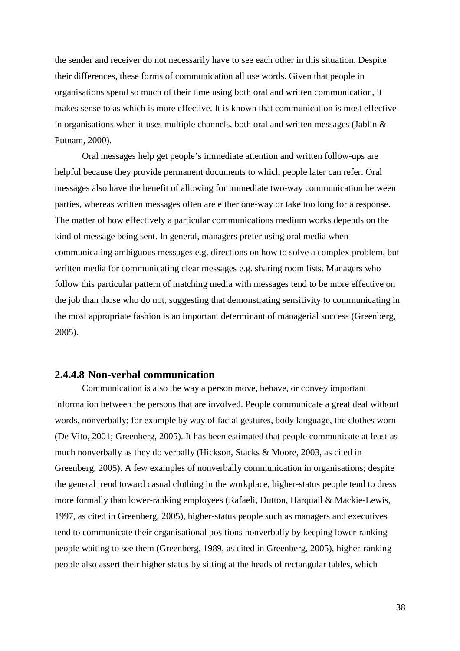the sender and receiver do not necessarily have to see each other in this situation. Despite their differences, these forms of communication all use words. Given that people in organisations spend so much of their time using both oral and written communication, it makes sense to as which is more effective. It is known that communication is most effective in organisations when it uses multiple channels, both oral and written messages (Jablin & Putnam, 2000).

Oral messages help get people's immediate attention and written follow-ups are helpful because they provide permanent documents to which people later can refer. Oral messages also have the benefit of allowing for immediate two-way communication between parties, whereas written messages often are either one-way or take too long for a response. The matter of how effectively a particular communications medium works depends on the kind of message being sent. In general, managers prefer using oral media when communicating ambiguous messages e.g. directions on how to solve a complex problem, but written media for communicating clear messages e.g. sharing room lists. Managers who follow this particular pattern of matching media with messages tend to be more effective on the job than those who do not, suggesting that demonstrating sensitivity to communicating in the most appropriate fashion is an important determinant of managerial success (Greenberg, 2005).

## **2.4.4.8 Non-verbal communication**

Communication is also the way a person move, behave, or convey important information between the persons that are involved. People communicate a great deal without words, nonverbally; for example by way of facial gestures, body language, the clothes worn (De Vito, 2001; Greenberg, 2005). It has been estimated that people communicate at least as much nonverbally as they do verbally (Hickson, Stacks & Moore, 2003, as cited in Greenberg, 2005). A few examples of nonverbally communication in organisations; despite the general trend toward casual clothing in the workplace, higher-status people tend to dress more formally than lower-ranking employees (Rafaeli, Dutton, Harquail & Mackie-Lewis, 1997, as cited in Greenberg, 2005), higher-status people such as managers and executives tend to communicate their organisational positions nonverbally by keeping lower-ranking people waiting to see them (Greenberg, 1989, as cited in Greenberg, 2005), higher-ranking people also assert their higher status by sitting at the heads of rectangular tables, which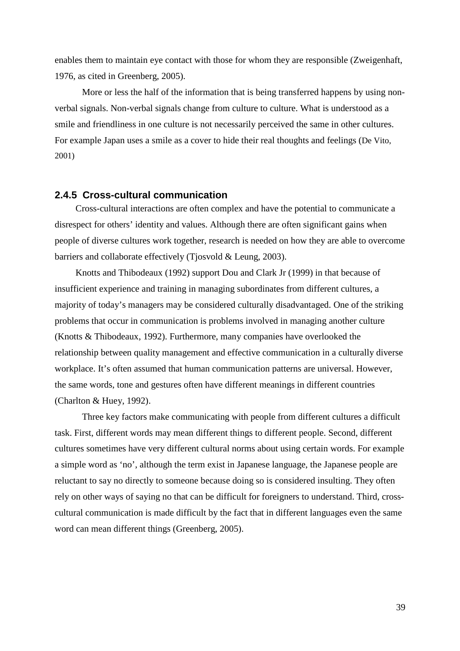enables them to maintain eye contact with those for whom they are responsible (Zweigenhaft, 1976, as cited in Greenberg, 2005).

More or less the half of the information that is being transferred happens by using nonverbal signals. Non-verbal signals change from culture to culture. What is understood as a smile and friendliness in one culture is not necessarily perceived the same in other cultures. For example Japan uses a smile as a cover to hide their real thoughts and feelings (De Vito, 2001)

### **2.4.5 Cross-cultural communication**

Cross-cultural interactions are often complex and have the potential to communicate a disrespect for others' identity and values. Although there are often significant gains when people of diverse cultures work together, research is needed on how they are able to overcome barriers and collaborate effectively (Tjosvold & Leung, 2003).

Knotts and Thibodeaux (1992) support Dou and Clark Jr (1999) in that because of insufficient experience and training in managing subordinates from different cultures, a majority of today's managers may be considered culturally disadvantaged. One of the striking problems that occur in communication is problems involved in managing another culture (Knotts & Thibodeaux, 1992). Furthermore, many companies have overlooked the relationship between quality management and effective communication in a culturally diverse workplace. It's often assumed that human communication patterns are universal. However, the same words, tone and gestures often have different meanings in different countries (Charlton & Huey, 1992).

 Three key factors make communicating with people from different cultures a difficult task. First, different words may mean different things to different people. Second, different cultures sometimes have very different cultural norms about using certain words. For example a simple word as 'no', although the term exist in Japanese language, the Japanese people are reluctant to say no directly to someone because doing so is considered insulting. They often rely on other ways of saying no that can be difficult for foreigners to understand. Third, crosscultural communication is made difficult by the fact that in different languages even the same word can mean different things (Greenberg, 2005).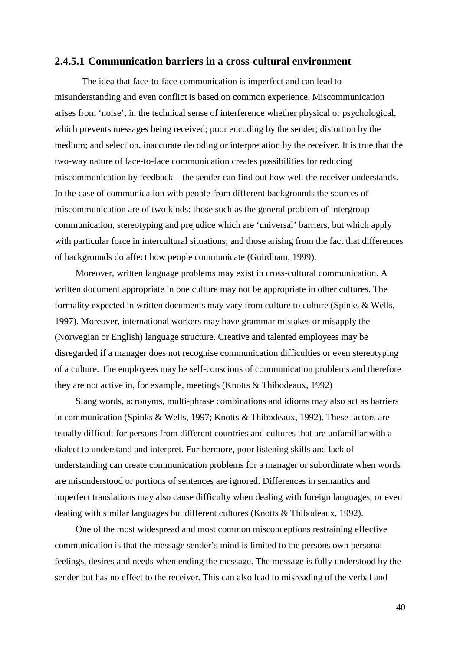### **2.4.5.1 Communication barriers in a cross-cultural environment**

The idea that face-to-face communication is imperfect and can lead to misunderstanding and even conflict is based on common experience. Miscommunication arises from 'noise', in the technical sense of interference whether physical or psychological, which prevents messages being received; poor encoding by the sender; distortion by the medium; and selection, inaccurate decoding or interpretation by the receiver. It is true that the two-way nature of face-to-face communication creates possibilities for reducing miscommunication by feedback – the sender can find out how well the receiver understands. In the case of communication with people from different backgrounds the sources of miscommunication are of two kinds: those such as the general problem of intergroup communication, stereotyping and prejudice which are 'universal' barriers, but which apply with particular force in intercultural situations; and those arising from the fact that differences of backgrounds do affect how people communicate (Guirdham, 1999).

Moreover, written language problems may exist in cross-cultural communication. A written document appropriate in one culture may not be appropriate in other cultures. The formality expected in written documents may vary from culture to culture (Spinks & Wells, 1997). Moreover, international workers may have grammar mistakes or misapply the (Norwegian or English) language structure. Creative and talented employees may be disregarded if a manager does not recognise communication difficulties or even stereotyping of a culture. The employees may be self-conscious of communication problems and therefore they are not active in, for example, meetings (Knotts & Thibodeaux, 1992)

Slang words, acronyms, multi-phrase combinations and idioms may also act as barriers in communication (Spinks & Wells, 1997; Knotts & Thibodeaux, 1992). These factors are usually difficult for persons from different countries and cultures that are unfamiliar with a dialect to understand and interpret. Furthermore, poor listening skills and lack of understanding can create communication problems for a manager or subordinate when words are misunderstood or portions of sentences are ignored. Differences in semantics and imperfect translations may also cause difficulty when dealing with foreign languages, or even dealing with similar languages but different cultures (Knotts & Thibodeaux, 1992).

One of the most widespread and most common misconceptions restraining effective communication is that the message sender's mind is limited to the persons own personal feelings, desires and needs when ending the message. The message is fully understood by the sender but has no effect to the receiver. This can also lead to misreading of the verbal and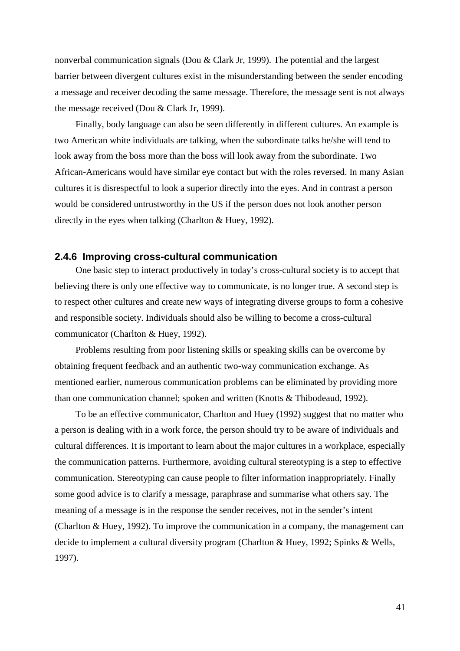nonverbal communication signals (Dou & Clark Jr, 1999). The potential and the largest barrier between divergent cultures exist in the misunderstanding between the sender encoding a message and receiver decoding the same message. Therefore, the message sent is not always the message received (Dou & Clark Jr, 1999).

Finally, body language can also be seen differently in different cultures. An example is two American white individuals are talking, when the subordinate talks he/she will tend to look away from the boss more than the boss will look away from the subordinate. Two African-Americans would have similar eye contact but with the roles reversed. In many Asian cultures it is disrespectful to look a superior directly into the eyes. And in contrast a person would be considered untrustworthy in the US if the person does not look another person directly in the eyes when talking (Charlton & Huey, 1992).

#### **2.4.6 Improving cross-cultural communication**

One basic step to interact productively in today's cross-cultural society is to accept that believing there is only one effective way to communicate, is no longer true. A second step is to respect other cultures and create new ways of integrating diverse groups to form a cohesive and responsible society. Individuals should also be willing to become a cross-cultural communicator (Charlton & Huey, 1992).

Problems resulting from poor listening skills or speaking skills can be overcome by obtaining frequent feedback and an authentic two-way communication exchange. As mentioned earlier, numerous communication problems can be eliminated by providing more than one communication channel; spoken and written (Knotts & Thibodeaud, 1992).

To be an effective communicator, Charlton and Huey (1992) suggest that no matter who a person is dealing with in a work force, the person should try to be aware of individuals and cultural differences. It is important to learn about the major cultures in a workplace, especially the communication patterns. Furthermore, avoiding cultural stereotyping is a step to effective communication. Stereotyping can cause people to filter information inappropriately. Finally some good advice is to clarify a message, paraphrase and summarise what others say. The meaning of a message is in the response the sender receives, not in the sender's intent (Charlton & Huey, 1992). To improve the communication in a company, the management can decide to implement a cultural diversity program (Charlton & Huey, 1992; Spinks & Wells, 1997).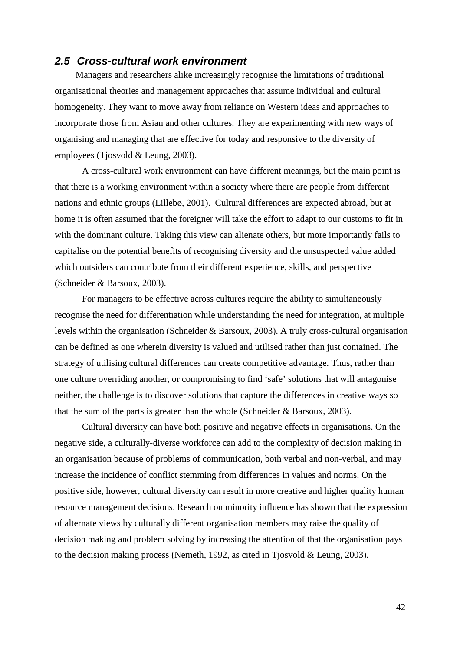### **2.5 Cross-cultural work environment**

Managers and researchers alike increasingly recognise the limitations of traditional organisational theories and management approaches that assume individual and cultural homogeneity. They want to move away from reliance on Western ideas and approaches to incorporate those from Asian and other cultures. They are experimenting with new ways of organising and managing that are effective for today and responsive to the diversity of employees (Tjosvold & Leung, 2003).

A cross-cultural work environment can have different meanings, but the main point is that there is a working environment within a society where there are people from different nations and ethnic groups (Lillebø, 2001). Cultural differences are expected abroad, but at home it is often assumed that the foreigner will take the effort to adapt to our customs to fit in with the dominant culture. Taking this view can alienate others, but more importantly fails to capitalise on the potential benefits of recognising diversity and the unsuspected value added which outsiders can contribute from their different experience, skills, and perspective (Schneider & Barsoux, 2003).

 For managers to be effective across cultures require the ability to simultaneously recognise the need for differentiation while understanding the need for integration, at multiple levels within the organisation (Schneider & Barsoux, 2003). A truly cross-cultural organisation can be defined as one wherein diversity is valued and utilised rather than just contained. The strategy of utilising cultural differences can create competitive advantage. Thus, rather than one culture overriding another, or compromising to find 'safe' solutions that will antagonise neither, the challenge is to discover solutions that capture the differences in creative ways so that the sum of the parts is greater than the whole (Schneider  $\&$  Barsoux, 2003).

 Cultural diversity can have both positive and negative effects in organisations. On the negative side, a culturally-diverse workforce can add to the complexity of decision making in an organisation because of problems of communication, both verbal and non-verbal, and may increase the incidence of conflict stemming from differences in values and norms. On the positive side, however, cultural diversity can result in more creative and higher quality human resource management decisions. Research on minority influence has shown that the expression of alternate views by culturally different organisation members may raise the quality of decision making and problem solving by increasing the attention of that the organisation pays to the decision making process (Nemeth, 1992, as cited in Tjosvold & Leung, 2003).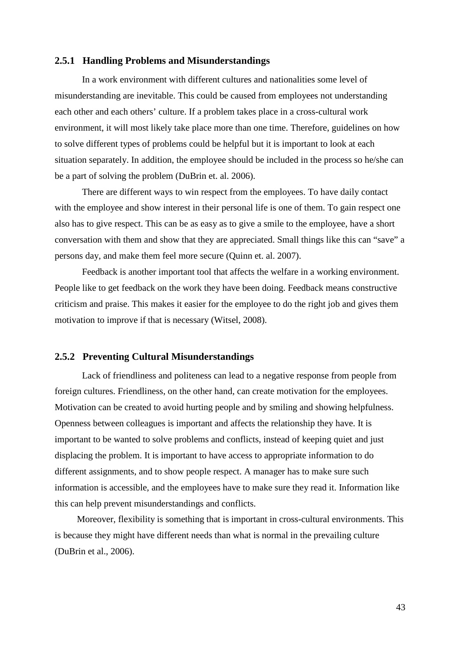#### **2.5.1 Handling Problems and Misunderstandings**

In a work environment with different cultures and nationalities some level of misunderstanding are inevitable. This could be caused from employees not understanding each other and each others' culture. If a problem takes place in a cross-cultural work environment, it will most likely take place more than one time. Therefore, guidelines on how to solve different types of problems could be helpful but it is important to look at each situation separately. In addition, the employee should be included in the process so he/she can be a part of solving the problem (DuBrin et. al. 2006).

There are different ways to win respect from the employees. To have daily contact with the employee and show interest in their personal life is one of them. To gain respect one also has to give respect. This can be as easy as to give a smile to the employee, have a short conversation with them and show that they are appreciated. Small things like this can "save" a persons day, and make them feel more secure (Quinn et. al. 2007).

Feedback is another important tool that affects the welfare in a working environment. People like to get feedback on the work they have been doing. Feedback means constructive criticism and praise. This makes it easier for the employee to do the right job and gives them motivation to improve if that is necessary (Witsel, 2008).

#### **2.5.2 Preventing Cultural Misunderstandings**

Lack of friendliness and politeness can lead to a negative response from people from foreign cultures. Friendliness, on the other hand, can create motivation for the employees. Motivation can be created to avoid hurting people and by smiling and showing helpfulness. Openness between colleagues is important and affects the relationship they have. It is important to be wanted to solve problems and conflicts, instead of keeping quiet and just displacing the problem. It is important to have access to appropriate information to do different assignments, and to show people respect. A manager has to make sure such information is accessible, and the employees have to make sure they read it. Information like this can help prevent misunderstandings and conflicts.

Moreover, flexibility is something that is important in cross-cultural environments. This is because they might have different needs than what is normal in the prevailing culture (DuBrin et al., 2006).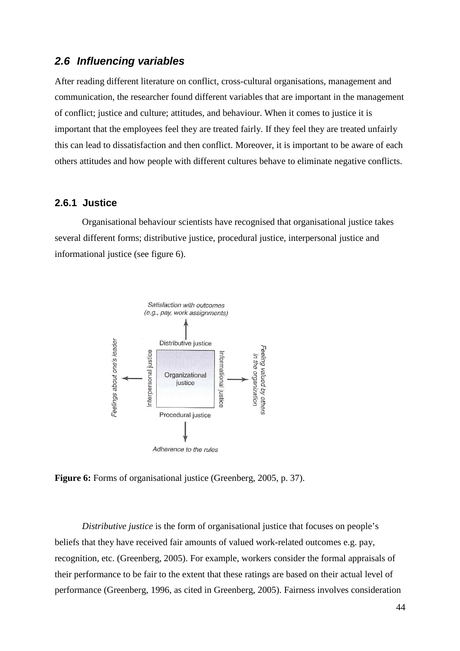## **2.6 Influencing variables**

After reading different literature on conflict, cross-cultural organisations, management and communication, the researcher found different variables that are important in the management of conflict; justice and culture; attitudes, and behaviour. When it comes to justice it is important that the employees feel they are treated fairly. If they feel they are treated unfairly this can lead to dissatisfaction and then conflict. Moreover, it is important to be aware of each others attitudes and how people with different cultures behave to eliminate negative conflicts.

## **2.6.1 Justice**

Organisational behaviour scientists have recognised that organisational justice takes several different forms; distributive justice, procedural justice, interpersonal justice and informational justice (see figure 6).



**Figure 6:** Forms of organisational justice (Greenberg, 2005, p. 37).

*Distributive justice* is the form of organisational justice that focuses on people's beliefs that they have received fair amounts of valued work-related outcomes e.g. pay, recognition, etc. (Greenberg, 2005). For example, workers consider the formal appraisals of their performance to be fair to the extent that these ratings are based on their actual level of performance (Greenberg, 1996, as cited in Greenberg, 2005). Fairness involves consideration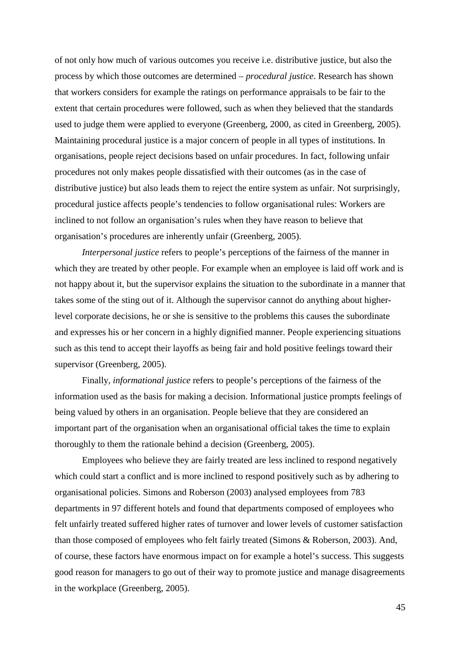of not only how much of various outcomes you receive i.e. distributive justice, but also the process by which those outcomes are determined – *procedural justice*. Research has shown that workers considers for example the ratings on performance appraisals to be fair to the extent that certain procedures were followed, such as when they believed that the standards used to judge them were applied to everyone (Greenberg, 2000, as cited in Greenberg, 2005). Maintaining procedural justice is a major concern of people in all types of institutions. In organisations, people reject decisions based on unfair procedures. In fact, following unfair procedures not only makes people dissatisfied with their outcomes (as in the case of distributive justice) but also leads them to reject the entire system as unfair. Not surprisingly, procedural justice affects people's tendencies to follow organisational rules: Workers are inclined to not follow an organisation's rules when they have reason to believe that organisation's procedures are inherently unfair (Greenberg, 2005).

*Interpersonal justice* refers to people's perceptions of the fairness of the manner in which they are treated by other people. For example when an employee is laid off work and is not happy about it, but the supervisor explains the situation to the subordinate in a manner that takes some of the sting out of it. Although the supervisor cannot do anything about higherlevel corporate decisions, he or she is sensitive to the problems this causes the subordinate and expresses his or her concern in a highly dignified manner. People experiencing situations such as this tend to accept their layoffs as being fair and hold positive feelings toward their supervisor (Greenberg, 2005).

Finally, *informational justice* refers to people's perceptions of the fairness of the information used as the basis for making a decision. Informational justice prompts feelings of being valued by others in an organisation. People believe that they are considered an important part of the organisation when an organisational official takes the time to explain thoroughly to them the rationale behind a decision (Greenberg, 2005).

Employees who believe they are fairly treated are less inclined to respond negatively which could start a conflict and is more inclined to respond positively such as by adhering to organisational policies. Simons and Roberson (2003) analysed employees from 783 departments in 97 different hotels and found that departments composed of employees who felt unfairly treated suffered higher rates of turnover and lower levels of customer satisfaction than those composed of employees who felt fairly treated (Simons & Roberson, 2003). And, of course, these factors have enormous impact on for example a hotel's success. This suggests good reason for managers to go out of their way to promote justice and manage disagreements in the workplace (Greenberg, 2005).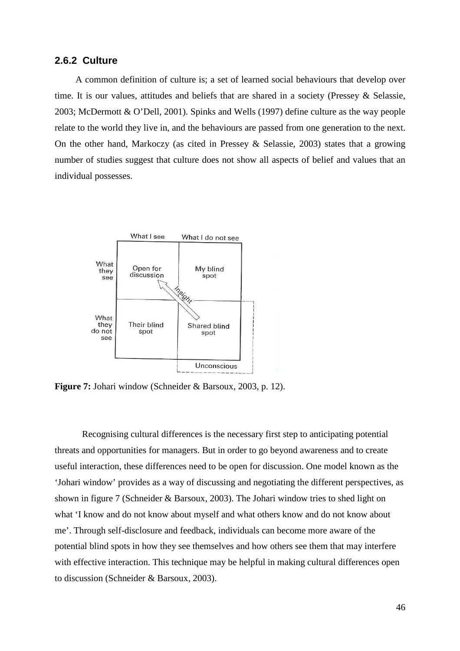#### **2.6.2 Culture**

A common definition of culture is; a set of learned social behaviours that develop over time. It is our values, attitudes and beliefs that are shared in a society (Pressey & Selassie, 2003; McDermott & O'Dell, 2001). Spinks and Wells (1997) define culture as the way people relate to the world they live in, and the behaviours are passed from one generation to the next. On the other hand, Markoczy (as cited in Pressey & Selassie, 2003) states that a growing number of studies suggest that culture does not show all aspects of belief and values that an individual possesses.



**Figure 7:** Johari window (Schneider & Barsoux, 2003, p. 12).

 Recognising cultural differences is the necessary first step to anticipating potential threats and opportunities for managers. But in order to go beyond awareness and to create useful interaction, these differences need to be open for discussion. One model known as the 'Johari window' provides as a way of discussing and negotiating the different perspectives, as shown in figure 7 (Schneider & Barsoux, 2003). The Johari window tries to shed light on what 'I know and do not know about myself and what others know and do not know about me'. Through self-disclosure and feedback, individuals can become more aware of the potential blind spots in how they see themselves and how others see them that may interfere with effective interaction. This technique may be helpful in making cultural differences open to discussion (Schneider & Barsoux, 2003).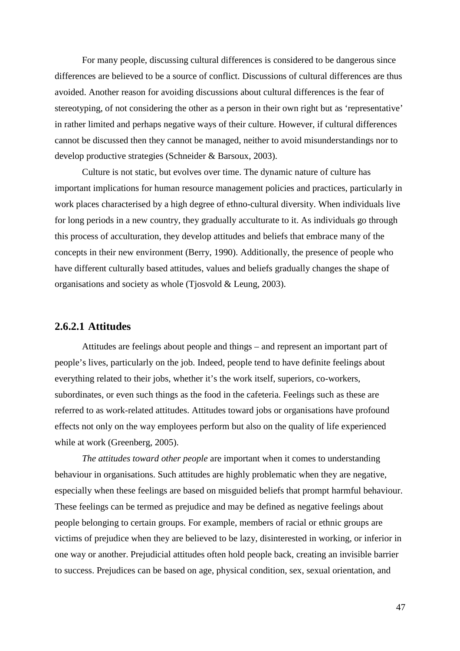For many people, discussing cultural differences is considered to be dangerous since differences are believed to be a source of conflict. Discussions of cultural differences are thus avoided. Another reason for avoiding discussions about cultural differences is the fear of stereotyping, of not considering the other as a person in their own right but as 'representative' in rather limited and perhaps negative ways of their culture. However, if cultural differences cannot be discussed then they cannot be managed, neither to avoid misunderstandings nor to develop productive strategies (Schneider & Barsoux, 2003).

 Culture is not static, but evolves over time. The dynamic nature of culture has important implications for human resource management policies and practices, particularly in work places characterised by a high degree of ethno-cultural diversity. When individuals live for long periods in a new country, they gradually acculturate to it. As individuals go through this process of acculturation, they develop attitudes and beliefs that embrace many of the concepts in their new environment (Berry, 1990). Additionally, the presence of people who have different culturally based attitudes, values and beliefs gradually changes the shape of organisations and society as whole (Tjosvold & Leung, 2003).

### **2.6.2.1 Attitudes**

Attitudes are feelings about people and things – and represent an important part of people's lives, particularly on the job. Indeed, people tend to have definite feelings about everything related to their jobs, whether it's the work itself, superiors, co-workers, subordinates, or even such things as the food in the cafeteria. Feelings such as these are referred to as work-related attitudes. Attitudes toward jobs or organisations have profound effects not only on the way employees perform but also on the quality of life experienced while at work (Greenberg, 2005).

*The attitudes toward other people* are important when it comes to understanding behaviour in organisations. Such attitudes are highly problematic when they are negative, especially when these feelings are based on misguided beliefs that prompt harmful behaviour. These feelings can be termed as prejudice and may be defined as negative feelings about people belonging to certain groups. For example, members of racial or ethnic groups are victims of prejudice when they are believed to be lazy, disinterested in working, or inferior in one way or another. Prejudicial attitudes often hold people back, creating an invisible barrier to success. Prejudices can be based on age, physical condition, sex, sexual orientation, and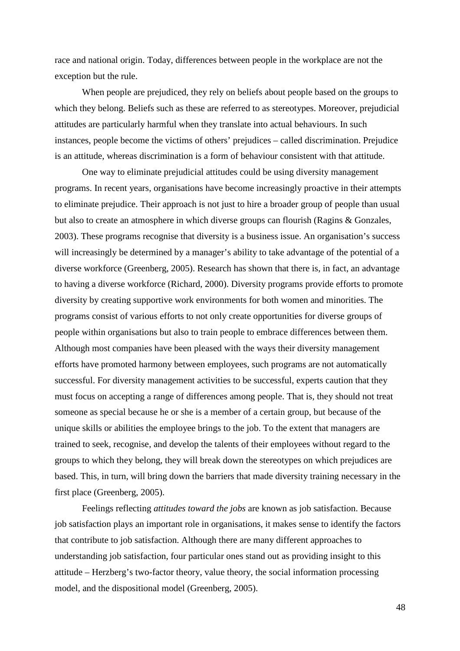race and national origin. Today, differences between people in the workplace are not the exception but the rule.

 When people are prejudiced, they rely on beliefs about people based on the groups to which they belong. Beliefs such as these are referred to as stereotypes. Moreover, prejudicial attitudes are particularly harmful when they translate into actual behaviours. In such instances, people become the victims of others' prejudices – called discrimination. Prejudice is an attitude, whereas discrimination is a form of behaviour consistent with that attitude.

 One way to eliminate prejudicial attitudes could be using diversity management programs. In recent years, organisations have become increasingly proactive in their attempts to eliminate prejudice. Their approach is not just to hire a broader group of people than usual but also to create an atmosphere in which diverse groups can flourish (Ragins & Gonzales, 2003). These programs recognise that diversity is a business issue. An organisation's success will increasingly be determined by a manager's ability to take advantage of the potential of a diverse workforce (Greenberg, 2005). Research has shown that there is, in fact, an advantage to having a diverse workforce (Richard, 2000). Diversity programs provide efforts to promote diversity by creating supportive work environments for both women and minorities. The programs consist of various efforts to not only create opportunities for diverse groups of people within organisations but also to train people to embrace differences between them. Although most companies have been pleased with the ways their diversity management efforts have promoted harmony between employees, such programs are not automatically successful. For diversity management activities to be successful, experts caution that they must focus on accepting a range of differences among people. That is, they should not treat someone as special because he or she is a member of a certain group, but because of the unique skills or abilities the employee brings to the job. To the extent that managers are trained to seek, recognise, and develop the talents of their employees without regard to the groups to which they belong, they will break down the stereotypes on which prejudices are based. This, in turn, will bring down the barriers that made diversity training necessary in the first place (Greenberg, 2005).

 Feelings reflecting *attitudes toward the jobs* are known as job satisfaction. Because job satisfaction plays an important role in organisations, it makes sense to identify the factors that contribute to job satisfaction. Although there are many different approaches to understanding job satisfaction, four particular ones stand out as providing insight to this attitude – Herzberg's two-factor theory, value theory, the social information processing model, and the dispositional model (Greenberg, 2005).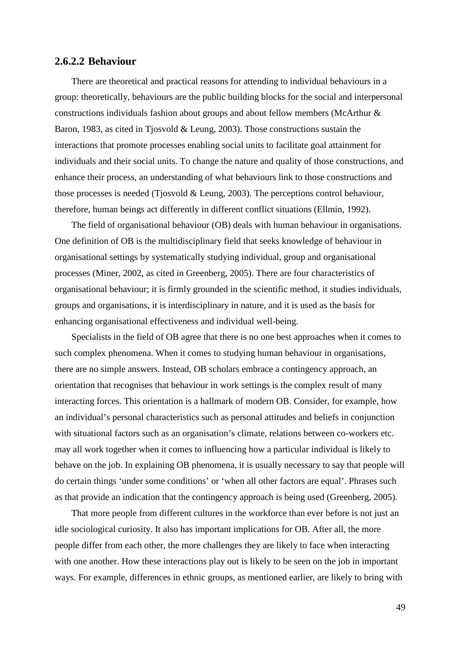#### **2.6.2.2 Behaviour**

There are theoretical and practical reasons for attending to individual behaviours in a group: theoretically, behaviours are the public building blocks for the social and interpersonal constructions individuals fashion about groups and about fellow members (McArthur & Baron, 1983, as cited in Tjosvold & Leung, 2003). Those constructions sustain the interactions that promote processes enabling social units to facilitate goal attainment for individuals and their social units. To change the nature and quality of those constructions, and enhance their process, an understanding of what behaviours link to those constructions and those processes is needed (Tipsvold & Leung, 2003). The perceptions control behaviour, therefore, human beings act differently in different conflict situations (Ellmin, 1992).

The field of organisational behaviour (OB) deals with human behaviour in organisations. One definition of OB is the multidisciplinary field that seeks knowledge of behaviour in organisational settings by systematically studying individual, group and organisational processes (Miner, 2002, as cited in Greenberg, 2005). There are four characteristics of organisational behaviour; it is firmly grounded in the scientific method, it studies individuals, groups and organisations, it is interdisciplinary in nature, and it is used as the basis for enhancing organisational effectiveness and individual well-being.

Specialists in the field of OB agree that there is no one best approaches when it comes to such complex phenomena. When it comes to studying human behaviour in organisations, there are no simple answers. Instead, OB scholars embrace a contingency approach, an orientation that recognises that behaviour in work settings is the complex result of many interacting forces. This orientation is a hallmark of modern OB. Consider, for example, how an individual's personal characteristics such as personal attitudes and beliefs in conjunction with situational factors such as an organisation's climate, relations between co-workers etc. may all work together when it comes to influencing how a particular individual is likely to behave on the job. In explaining OB phenomena, it is usually necessary to say that people will do certain things 'under some conditions' or 'when all other factors are equal'. Phrases such as that provide an indication that the contingency approach is being used (Greenberg, 2005).

That more people from different cultures in the workforce than ever before is not just an idle sociological curiosity. It also has important implications for OB. After all, the more people differ from each other, the more challenges they are likely to face when interacting with one another. How these interactions play out is likely to be seen on the job in important ways. For example, differences in ethnic groups, as mentioned earlier, are likely to bring with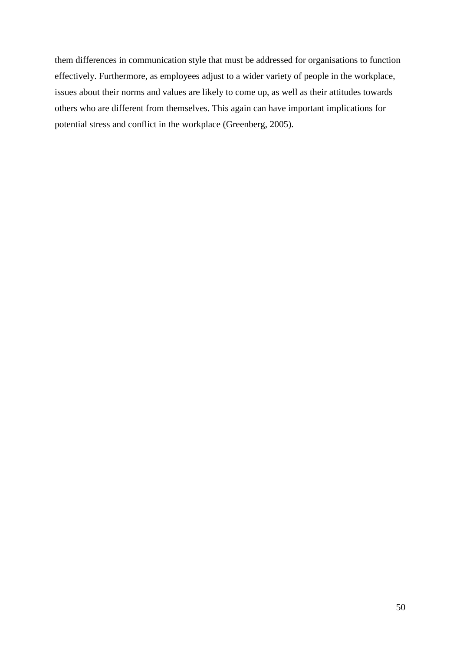them differences in communication style that must be addressed for organisations to function effectively. Furthermore, as employees adjust to a wider variety of people in the workplace, issues about their norms and values are likely to come up, as well as their attitudes towards others who are different from themselves. This again can have important implications for potential stress and conflict in the workplace (Greenberg, 2005).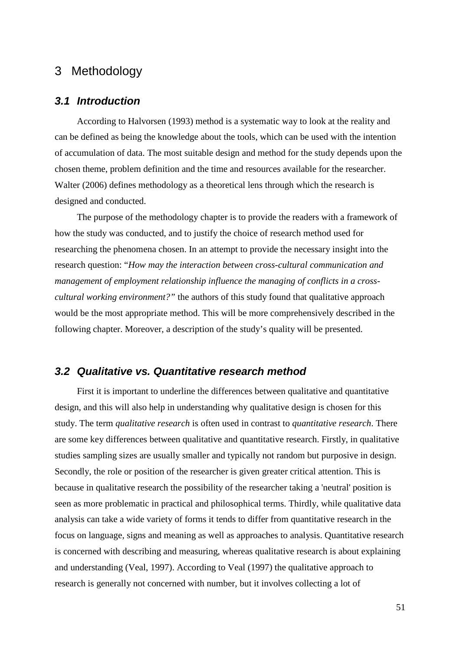# 3 Methodology

## **3.1 Introduction**

According to Halvorsen (1993) method is a systematic way to look at the reality and can be defined as being the knowledge about the tools, which can be used with the intention of accumulation of data. The most suitable design and method for the study depends upon the chosen theme, problem definition and the time and resources available for the researcher. Walter (2006) defines methodology as a theoretical lens through which the research is designed and conducted.

The purpose of the methodology chapter is to provide the readers with a framework of how the study was conducted, and to justify the choice of research method used for researching the phenomena chosen. In an attempt to provide the necessary insight into the research question: "*How may the interaction between cross-cultural communication and management of employment relationship influence the managing of conflicts in a crosscultural working environment?"* the authors of this study found that qualitative approach would be the most appropriate method. This will be more comprehensively described in the following chapter. Moreover, a description of the study's quality will be presented.

## **3.2 Qualitative vs. Quantitative research method**

First it is important to underline the differences between qualitative and quantitative design, and this will also help in understanding why qualitative design is chosen for this study. The term *qualitative research* is often used in contrast to *quantitative research*. There are some key differences between qualitative and quantitative research. Firstly, in qualitative studies sampling sizes are usually smaller and typically not random but purposive in design. Secondly, the role or position of the researcher is given greater critical attention. This is because in qualitative research the possibility of the researcher taking a 'neutral' position is seen as more problematic in practical and philosophical terms. Thirdly, while qualitative data analysis can take a wide variety of forms it tends to differ from quantitative research in the focus on language, signs and meaning as well as approaches to analysis. Quantitative research is concerned with describing and measuring, whereas qualitative research is about explaining and understanding (Veal, 1997). According to Veal (1997) the qualitative approach to research is generally not concerned with number, but it involves collecting a lot of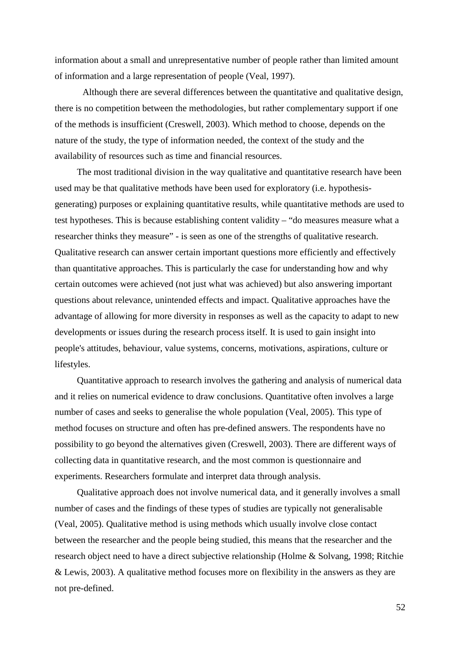information about a small and unrepresentative number of people rather than limited amount of information and a large representation of people (Veal, 1997).

Although there are several differences between the quantitative and qualitative design, there is no competition between the methodologies, but rather complementary support if one of the methods is insufficient (Creswell, 2003). Which method to choose, depends on the nature of the study, the type of information needed, the context of the study and the availability of resources such as time and financial resources.

The most traditional division in the way qualitative and quantitative research have been used may be that qualitative methods have been used for exploratory (i.e. hypothesisgenerating) purposes or explaining quantitative results, while quantitative methods are used to test hypotheses. This is because establishing content validity – "do measures measure what a researcher thinks they measure" - is seen as one of the strengths of qualitative research. Qualitative research can answer certain important questions more efficiently and effectively than quantitative approaches. This is particularly the case for understanding how and why certain outcomes were achieved (not just what was achieved) but also answering important questions about relevance, unintended effects and impact. Qualitative approaches have the advantage of allowing for more diversity in responses as well as the capacity to adapt to new developments or issues during the research process itself. It is used to gain insight into people's attitudes, behaviour, value systems, concerns, motivations, aspirations, culture or lifestyles.

Quantitative approach to research involves the gathering and analysis of numerical data and it relies on numerical evidence to draw conclusions. Quantitative often involves a large number of cases and seeks to generalise the whole population (Veal, 2005). This type of method focuses on structure and often has pre-defined answers. The respondents have no possibility to go beyond the alternatives given (Creswell, 2003). There are different ways of collecting data in quantitative research, and the most common is questionnaire and experiments. Researchers formulate and interpret data through analysis.

Qualitative approach does not involve numerical data, and it generally involves a small number of cases and the findings of these types of studies are typically not generalisable (Veal, 2005). Qualitative method is using methods which usually involve close contact between the researcher and the people being studied, this means that the researcher and the research object need to have a direct subjective relationship (Holme & Solvang, 1998; Ritchie & Lewis, 2003). A qualitative method focuses more on flexibility in the answers as they are not pre-defined.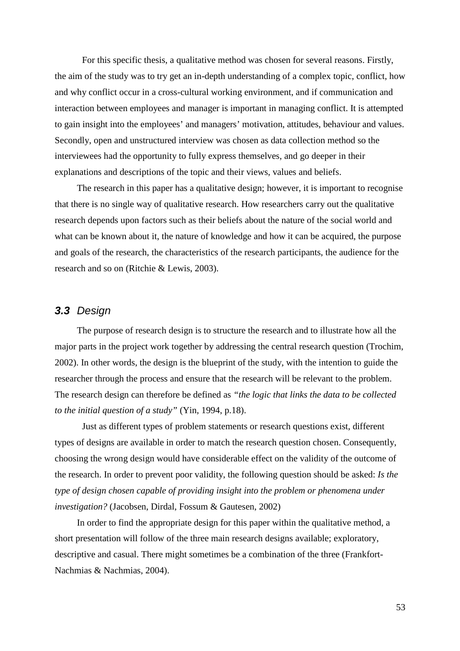For this specific thesis, a qualitative method was chosen for several reasons. Firstly, the aim of the study was to try get an in-depth understanding of a complex topic, conflict, how and why conflict occur in a cross-cultural working environment, and if communication and interaction between employees and manager is important in managing conflict. It is attempted to gain insight into the employees' and managers' motivation, attitudes, behaviour and values. Secondly, open and unstructured interview was chosen as data collection method so the interviewees had the opportunity to fully express themselves, and go deeper in their explanations and descriptions of the topic and their views, values and beliefs.

The research in this paper has a qualitative design; however, it is important to recognise that there is no single way of qualitative research. How researchers carry out the qualitative research depends upon factors such as their beliefs about the nature of the social world and what can be known about it, the nature of knowledge and how it can be acquired, the purpose and goals of the research, the characteristics of the research participants, the audience for the research and so on (Ritchie & Lewis, 2003).

## **3.3** Design

The purpose of research design is to structure the research and to illustrate how all the major parts in the project work together by addressing the central research question (Trochim, 2002). In other words, the design is the blueprint of the study, with the intention to guide the researcher through the process and ensure that the research will be relevant to the problem. The research design can therefore be defined as *"the logic that links the data to be collected to the initial question of a study"* (Yin, 1994, p.18).

 Just as different types of problem statements or research questions exist, different types of designs are available in order to match the research question chosen. Consequently, choosing the wrong design would have considerable effect on the validity of the outcome of the research. In order to prevent poor validity, the following question should be asked: *Is the type of design chosen capable of providing insight into the problem or phenomena under investigation?* (Jacobsen, Dirdal, Fossum & Gautesen, 2002)

In order to find the appropriate design for this paper within the qualitative method, a short presentation will follow of the three main research designs available; exploratory, descriptive and casual. There might sometimes be a combination of the three (Frankfort-Nachmias & Nachmias, 2004).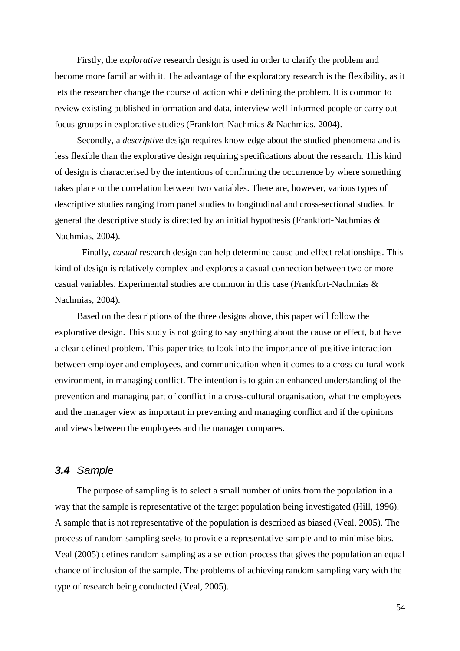Firstly, the *explorative* research design is used in order to clarify the problem and become more familiar with it. The advantage of the exploratory research is the flexibility, as it lets the researcher change the course of action while defining the problem. It is common to review existing published information and data, interview well-informed people or carry out focus groups in explorative studies (Frankfort-Nachmias & Nachmias, 2004).

Secondly, a *descriptive* design requires knowledge about the studied phenomena and is less flexible than the explorative design requiring specifications about the research. This kind of design is characterised by the intentions of confirming the occurrence by where something takes place or the correlation between two variables. There are, however, various types of descriptive studies ranging from panel studies to longitudinal and cross-sectional studies. In general the descriptive study is directed by an initial hypothesis (Frankfort-Nachmias & Nachmias, 2004).

 Finally, *casual* research design can help determine cause and effect relationships. This kind of design is relatively complex and explores a casual connection between two or more casual variables. Experimental studies are common in this case (Frankfort-Nachmias & Nachmias, 2004).

Based on the descriptions of the three designs above, this paper will follow the explorative design. This study is not going to say anything about the cause or effect, but have a clear defined problem. This paper tries to look into the importance of positive interaction between employer and employees, and communication when it comes to a cross-cultural work environment, in managing conflict. The intention is to gain an enhanced understanding of the prevention and managing part of conflict in a cross-cultural organisation, what the employees and the manager view as important in preventing and managing conflict and if the opinions and views between the employees and the manager compares.

## **3.4** Sample

The purpose of sampling is to select a small number of units from the population in a way that the sample is representative of the target population being investigated (Hill, 1996). A sample that is not representative of the population is described as biased (Veal, 2005). The process of random sampling seeks to provide a representative sample and to minimise bias. Veal (2005) defines random sampling as a selection process that gives the population an equal chance of inclusion of the sample. The problems of achieving random sampling vary with the type of research being conducted (Veal, 2005).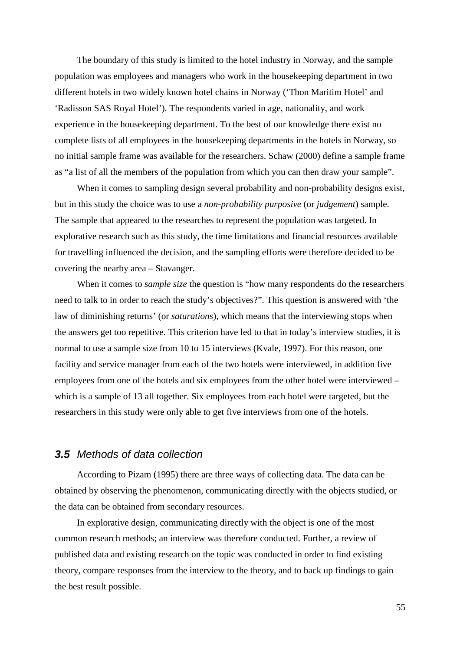The boundary of this study is limited to the hotel industry in Norway, and the sample population was employees and managers who work in the housekeeping department in two different hotels in two widely known hotel chains in Norway ('Thon Maritim Hotel' and 'Radisson SAS Royal Hotel'). The respondents varied in age, nationality, and work experience in the housekeeping department. To the best of our knowledge there exist no complete lists of all employees in the housekeeping departments in the hotels in Norway, so no initial sample frame was available for the researchers. Schaw (2000) define a sample frame as "a list of all the members of the population from which you can then draw your sample".

When it comes to sampling design several probability and non-probability designs exist, but in this study the choice was to use a *non-probability purposive* (or *judgement*) sample. The sample that appeared to the researches to represent the population was targeted. In explorative research such as this study, the time limitations and financial resources available for travelling influenced the decision, and the sampling efforts were therefore decided to be covering the nearby area – Stavanger.

When it comes to *sample size* the question is "how many respondents do the researchers need to talk to in order to reach the study's objectives?". This question is answered with 'the law of diminishing returns' (or *saturations*), which means that the interviewing stops when the answers get too repetitive. This criterion have led to that in today's interview studies, it is normal to use a sample size from 10 to 15 interviews (Kvale, 1997). For this reason, one facility and service manager from each of the two hotels were interviewed, in addition five employees from one of the hotels and six employees from the other hotel were interviewed – which is a sample of 13 all together. Six employees from each hotel were targeted, but the researchers in this study were only able to get five interviews from one of the hotels.

## **3.5** Methods of data collection

According to Pizam (1995) there are three ways of collecting data. The data can be obtained by observing the phenomenon, communicating directly with the objects studied, or the data can be obtained from secondary resources.

In explorative design, communicating directly with the object is one of the most common research methods; an interview was therefore conducted. Further, a review of published data and existing research on the topic was conducted in order to find existing theory, compare responses from the interview to the theory, and to back up findings to gain the best result possible.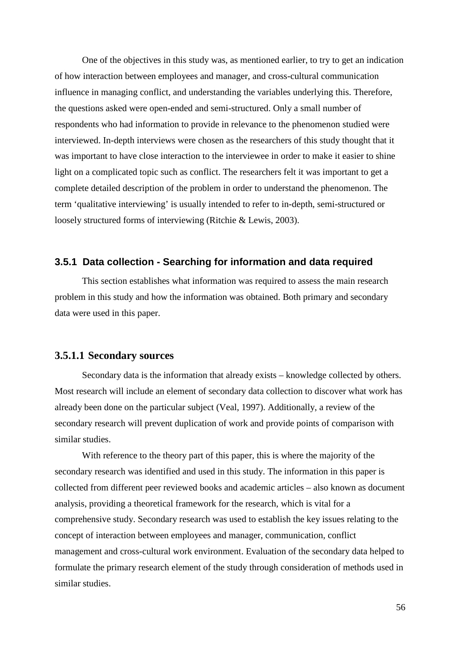One of the objectives in this study was, as mentioned earlier, to try to get an indication of how interaction between employees and manager, and cross-cultural communication influence in managing conflict, and understanding the variables underlying this. Therefore, the questions asked were open-ended and semi-structured. Only a small number of respondents who had information to provide in relevance to the phenomenon studied were interviewed. In-depth interviews were chosen as the researchers of this study thought that it was important to have close interaction to the interviewee in order to make it easier to shine light on a complicated topic such as conflict. The researchers felt it was important to get a complete detailed description of the problem in order to understand the phenomenon. The term 'qualitative interviewing' is usually intended to refer to in-depth, semi-structured or loosely structured forms of interviewing (Ritchie & Lewis, 2003).

#### **3.5.1 Data collection - Searching for information and data required**

This section establishes what information was required to assess the main research problem in this study and how the information was obtained. Both primary and secondary data were used in this paper.

### **3.5.1.1 Secondary sources**

Secondary data is the information that already exists – knowledge collected by others. Most research will include an element of secondary data collection to discover what work has already been done on the particular subject (Veal, 1997). Additionally, a review of the secondary research will prevent duplication of work and provide points of comparison with similar studies.

With reference to the theory part of this paper, this is where the majority of the secondary research was identified and used in this study. The information in this paper is collected from different peer reviewed books and academic articles – also known as document analysis, providing a theoretical framework for the research, which is vital for a comprehensive study. Secondary research was used to establish the key issues relating to the concept of interaction between employees and manager, communication, conflict management and cross-cultural work environment. Evaluation of the secondary data helped to formulate the primary research element of the study through consideration of methods used in similar studies.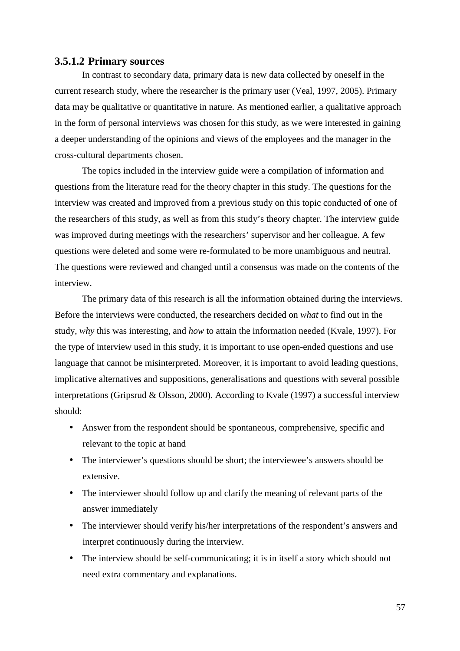#### **3.5.1.2 Primary sources**

In contrast to secondary data, primary data is new data collected by oneself in the current research study, where the researcher is the primary user (Veal, 1997, 2005). Primary data may be qualitative or quantitative in nature. As mentioned earlier, a qualitative approach in the form of personal interviews was chosen for this study, as we were interested in gaining a deeper understanding of the opinions and views of the employees and the manager in the cross-cultural departments chosen.

The topics included in the interview guide were a compilation of information and questions from the literature read for the theory chapter in this study. The questions for the interview was created and improved from a previous study on this topic conducted of one of the researchers of this study, as well as from this study's theory chapter. The interview guide was improved during meetings with the researchers' supervisor and her colleague. A few questions were deleted and some were re-formulated to be more unambiguous and neutral. The questions were reviewed and changed until a consensus was made on the contents of the interview.

The primary data of this research is all the information obtained during the interviews. Before the interviews were conducted, the researchers decided on *what* to find out in the study, *why* this was interesting, and *how* to attain the information needed (Kvale, 1997). For the type of interview used in this study, it is important to use open-ended questions and use language that cannot be misinterpreted. Moreover, it is important to avoid leading questions, implicative alternatives and suppositions, generalisations and questions with several possible interpretations (Gripsrud & Olsson, 2000). According to Kvale (1997) a successful interview should:

- Answer from the respondent should be spontaneous, comprehensive, specific and relevant to the topic at hand
- The interviewer's questions should be short; the interviewee's answers should be extensive.
- The interviewer should follow up and clarify the meaning of relevant parts of the answer immediately
- The interviewer should verify his/her interpretations of the respondent's answers and interpret continuously during the interview.
- The interview should be self-communicating; it is in itself a story which should not need extra commentary and explanations.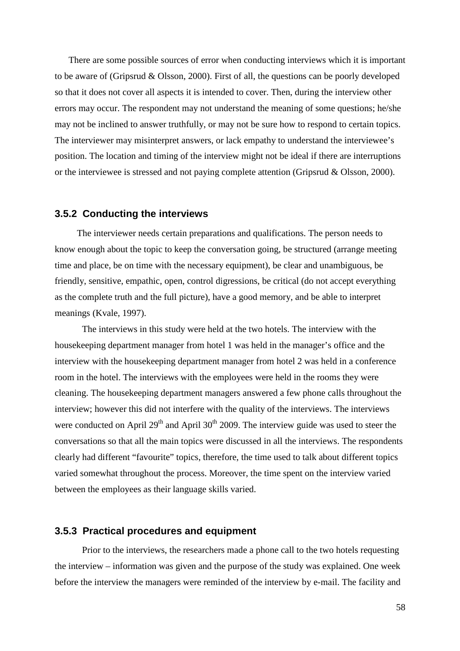There are some possible sources of error when conducting interviews which it is important to be aware of (Gripsrud & Olsson, 2000). First of all, the questions can be poorly developed so that it does not cover all aspects it is intended to cover. Then, during the interview other errors may occur. The respondent may not understand the meaning of some questions; he/she may not be inclined to answer truthfully, or may not be sure how to respond to certain topics. The interviewer may misinterpret answers, or lack empathy to understand the interviewee's position. The location and timing of the interview might not be ideal if there are interruptions or the interviewee is stressed and not paying complete attention (Gripsrud & Olsson, 2000).

#### **3.5.2 Conducting the interviews**

The interviewer needs certain preparations and qualifications. The person needs to know enough about the topic to keep the conversation going, be structured (arrange meeting time and place, be on time with the necessary equipment), be clear and unambiguous, be friendly, sensitive, empathic, open, control digressions, be critical (do not accept everything as the complete truth and the full picture), have a good memory, and be able to interpret meanings (Kvale, 1997).

 The interviews in this study were held at the two hotels. The interview with the housekeeping department manager from hotel 1 was held in the manager's office and the interview with the housekeeping department manager from hotel 2 was held in a conference room in the hotel. The interviews with the employees were held in the rooms they were cleaning. The housekeeping department managers answered a few phone calls throughout the interview; however this did not interfere with the quality of the interviews. The interviews were conducted on April  $29<sup>th</sup>$  and April  $30<sup>th</sup>$  2009. The interview guide was used to steer the conversations so that all the main topics were discussed in all the interviews. The respondents clearly had different "favourite" topics, therefore, the time used to talk about different topics varied somewhat throughout the process. Moreover, the time spent on the interview varied between the employees as their language skills varied.

## **3.5.3 Practical procedures and equipment**

Prior to the interviews, the researchers made a phone call to the two hotels requesting the interview – information was given and the purpose of the study was explained. One week before the interview the managers were reminded of the interview by e-mail. The facility and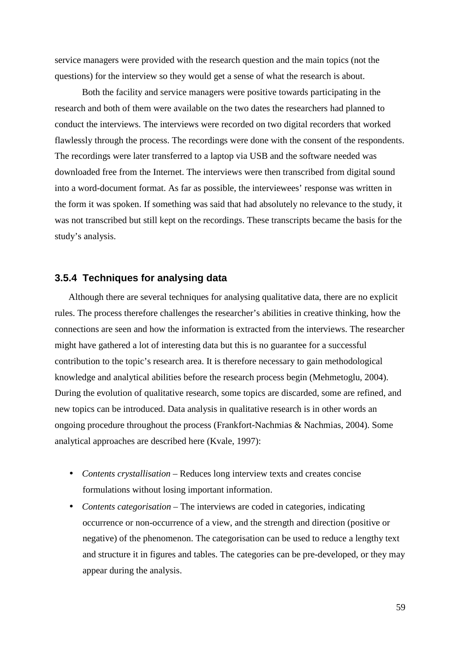service managers were provided with the research question and the main topics (not the questions) for the interview so they would get a sense of what the research is about.

Both the facility and service managers were positive towards participating in the research and both of them were available on the two dates the researchers had planned to conduct the interviews. The interviews were recorded on two digital recorders that worked flawlessly through the process. The recordings were done with the consent of the respondents. The recordings were later transferred to a laptop via USB and the software needed was downloaded free from the Internet. The interviews were then transcribed from digital sound into a word-document format. As far as possible, the interviewees' response was written in the form it was spoken. If something was said that had absolutely no relevance to the study, it was not transcribed but still kept on the recordings. These transcripts became the basis for the study's analysis.

#### **3.5.4 Techniques for analysing data**

Although there are several techniques for analysing qualitative data, there are no explicit rules. The process therefore challenges the researcher's abilities in creative thinking, how the connections are seen and how the information is extracted from the interviews. The researcher might have gathered a lot of interesting data but this is no guarantee for a successful contribution to the topic's research area. It is therefore necessary to gain methodological knowledge and analytical abilities before the research process begin (Mehmetoglu, 2004). During the evolution of qualitative research, some topics are discarded, some are refined, and new topics can be introduced. Data analysis in qualitative research is in other words an ongoing procedure throughout the process (Frankfort-Nachmias & Nachmias, 2004). Some analytical approaches are described here (Kvale, 1997):

- *Contents crystallisation* Reduces long interview texts and creates concise formulations without losing important information.
- *Contents categorisation* The interviews are coded in categories, indicating occurrence or non-occurrence of a view, and the strength and direction (positive or negative) of the phenomenon. The categorisation can be used to reduce a lengthy text and structure it in figures and tables. The categories can be pre-developed, or they may appear during the analysis.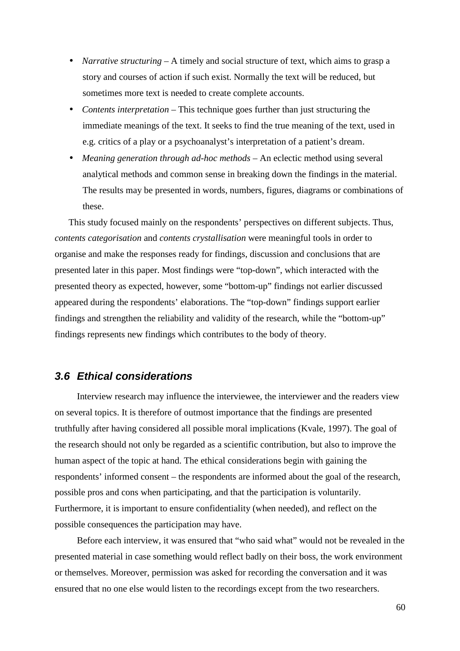- *Narrative structuring* A timely and social structure of text, which aims to grasp a story and courses of action if such exist. Normally the text will be reduced, but sometimes more text is needed to create complete accounts.
- *Contents interpretation* This technique goes further than just structuring the immediate meanings of the text. It seeks to find the true meaning of the text, used in e.g. critics of a play or a psychoanalyst's interpretation of a patient's dream.
- *Meaning generation through ad-hoc methods* An eclectic method using several analytical methods and common sense in breaking down the findings in the material. The results may be presented in words, numbers, figures, diagrams or combinations of these.

This study focused mainly on the respondents' perspectives on different subjects. Thus, *contents categorisation* and *contents crystallisation* were meaningful tools in order to organise and make the responses ready for findings, discussion and conclusions that are presented later in this paper. Most findings were "top-down", which interacted with the presented theory as expected, however, some "bottom-up" findings not earlier discussed appeared during the respondents' elaborations. The "top-down" findings support earlier findings and strengthen the reliability and validity of the research, while the "bottom-up" findings represents new findings which contributes to the body of theory.

## **3.6 Ethical considerations**

Interview research may influence the interviewee, the interviewer and the readers view on several topics. It is therefore of outmost importance that the findings are presented truthfully after having considered all possible moral implications (Kvale, 1997). The goal of the research should not only be regarded as a scientific contribution, but also to improve the human aspect of the topic at hand. The ethical considerations begin with gaining the respondents' informed consent – the respondents are informed about the goal of the research, possible pros and cons when participating, and that the participation is voluntarily. Furthermore, it is important to ensure confidentiality (when needed), and reflect on the possible consequences the participation may have.

Before each interview, it was ensured that "who said what" would not be revealed in the presented material in case something would reflect badly on their boss, the work environment or themselves. Moreover, permission was asked for recording the conversation and it was ensured that no one else would listen to the recordings except from the two researchers.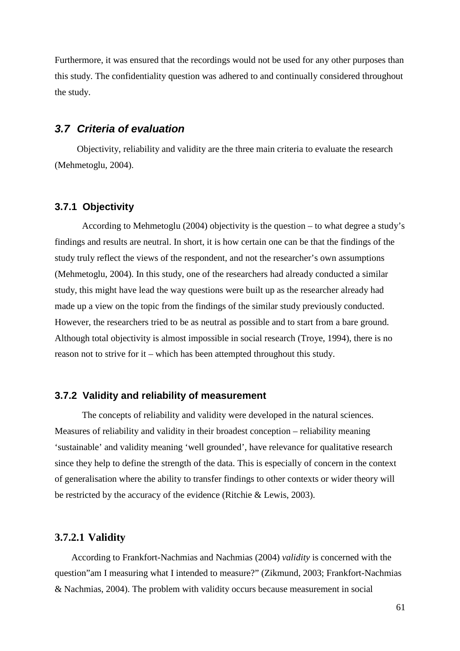Furthermore, it was ensured that the recordings would not be used for any other purposes than this study. The confidentiality question was adhered to and continually considered throughout the study.

## **3.7 Criteria of evaluation**

Objectivity, reliability and validity are the three main criteria to evaluate the research (Mehmetoglu, 2004).

### **3.7.1 Objectivity**

According to Mehmetoglu (2004) objectivity is the question – to what degree a study's findings and results are neutral. In short, it is how certain one can be that the findings of the study truly reflect the views of the respondent, and not the researcher's own assumptions (Mehmetoglu, 2004). In this study, one of the researchers had already conducted a similar study, this might have lead the way questions were built up as the researcher already had made up a view on the topic from the findings of the similar study previously conducted. However, the researchers tried to be as neutral as possible and to start from a bare ground. Although total objectivity is almost impossible in social research (Troye, 1994), there is no reason not to strive for it – which has been attempted throughout this study.

#### **3.7.2 Validity and reliability of measurement**

The concepts of reliability and validity were developed in the natural sciences. Measures of reliability and validity in their broadest conception – reliability meaning 'sustainable' and validity meaning 'well grounded', have relevance for qualitative research since they help to define the strength of the data. This is especially of concern in the context of generalisation where the ability to transfer findings to other contexts or wider theory will be restricted by the accuracy of the evidence (Ritchie & Lewis, 2003).

### **3.7.2.1 Validity**

According to Frankfort-Nachmias and Nachmias (2004) *validity* is concerned with the question"am I measuring what I intended to measure?" (Zikmund, 2003; Frankfort-Nachmias & Nachmias, 2004). The problem with validity occurs because measurement in social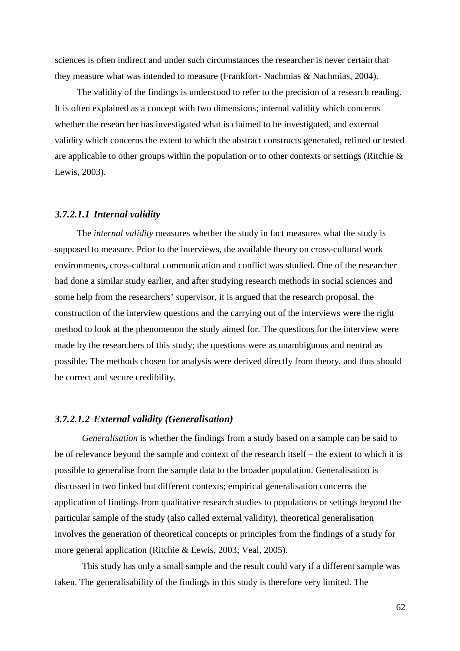sciences is often indirect and under such circumstances the researcher is never certain that they measure what was intended to measure (Frankfort- Nachmias & Nachmias, 2004).

The validity of the findings is understood to refer to the precision of a research reading. It is often explained as a concept with two dimensions; internal validity which concerns whether the researcher has investigated what is claimed to be investigated, and external validity which concerns the extent to which the abstract constructs generated, refined or tested are applicable to other groups within the population or to other contexts or settings (Ritchie & Lewis, 2003).

#### *3.7.2.1.1 Internal validity*

The *internal validity* measures whether the study in fact measures what the study is supposed to measure. Prior to the interviews, the available theory on cross-cultural work environments, cross-cultural communication and conflict was studied. One of the researcher had done a similar study earlier, and after studying research methods in social sciences and some help from the researchers' supervisor, it is argued that the research proposal, the construction of the interview questions and the carrying out of the interviews were the right method to look at the phenomenon the study aimed for. The questions for the interview were made by the researchers of this study; the questions were as unambiguous and neutral as possible. The methods chosen for analysis were derived directly from theory, and thus should be correct and secure credibility.

## *3.7.2.1.2 External validity (Generalisation)*

*Generalisation* is whether the findings from a study based on a sample can be said to be of relevance beyond the sample and context of the research itself – the extent to which it is possible to generalise from the sample data to the broader population. Generalisation is discussed in two linked but different contexts; empirical generalisation concerns the application of findings from qualitative research studies to populations or settings beyond the particular sample of the study (also called external validity), theoretical generalisation involves the generation of theoretical concepts or principles from the findings of a study for more general application (Ritchie & Lewis, 2003; Veal, 2005).

This study has only a small sample and the result could vary if a different sample was taken. The generalisability of the findings in this study is therefore very limited. The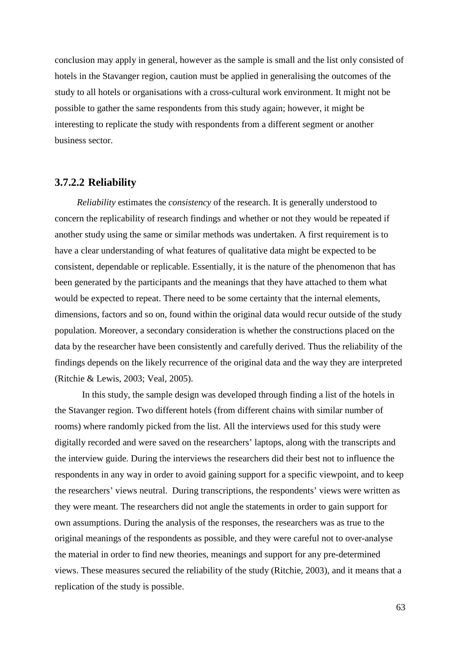conclusion may apply in general, however as the sample is small and the list only consisted of hotels in the Stavanger region, caution must be applied in generalising the outcomes of the study to all hotels or organisations with a cross-cultural work environment. It might not be possible to gather the same respondents from this study again; however, it might be interesting to replicate the study with respondents from a different segment or another business sector.

#### **3.7.2.2 Reliability**

*Reliability* estimates the *consistency* of the research. It is generally understood to concern the replicability of research findings and whether or not they would be repeated if another study using the same or similar methods was undertaken. A first requirement is to have a clear understanding of what features of qualitative data might be expected to be consistent, dependable or replicable. Essentially, it is the nature of the phenomenon that has been generated by the participants and the meanings that they have attached to them what would be expected to repeat. There need to be some certainty that the internal elements, dimensions, factors and so on, found within the original data would recur outside of the study population. Moreover, a secondary consideration is whether the constructions placed on the data by the researcher have been consistently and carefully derived. Thus the reliability of the findings depends on the likely recurrence of the original data and the way they are interpreted (Ritchie & Lewis, 2003; Veal, 2005).

 In this study, the sample design was developed through finding a list of the hotels in the Stavanger region. Two different hotels (from different chains with similar number of rooms) where randomly picked from the list. All the interviews used for this study were digitally recorded and were saved on the researchers' laptops, along with the transcripts and the interview guide. During the interviews the researchers did their best not to influence the respondents in any way in order to avoid gaining support for a specific viewpoint, and to keep the researchers' views neutral. During transcriptions, the respondents' views were written as they were meant. The researchers did not angle the statements in order to gain support for own assumptions. During the analysis of the responses, the researchers was as true to the original meanings of the respondents as possible, and they were careful not to over-analyse the material in order to find new theories, meanings and support for any pre-determined views. These measures secured the reliability of the study (Ritchie, 2003), and it means that a replication of the study is possible.

63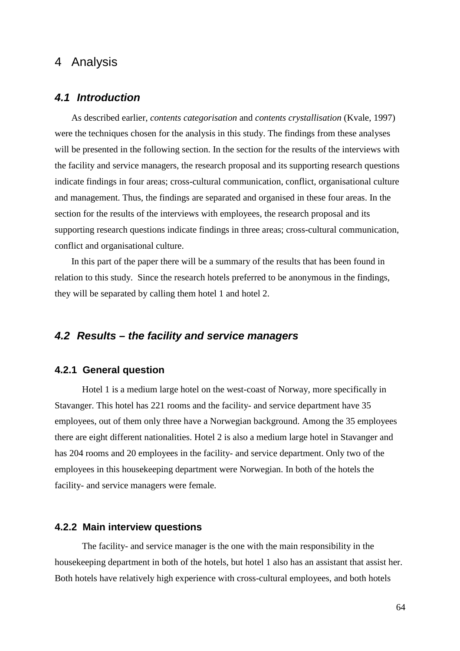# 4 Analysis

## **4.1 Introduction**

As described earlier, *contents categorisation* and *contents crystallisation* (Kvale, 1997) were the techniques chosen for the analysis in this study. The findings from these analyses will be presented in the following section. In the section for the results of the interviews with the facility and service managers, the research proposal and its supporting research questions indicate findings in four areas; cross-cultural communication, conflict, organisational culture and management. Thus, the findings are separated and organised in these four areas. In the section for the results of the interviews with employees, the research proposal and its supporting research questions indicate findings in three areas; cross-cultural communication, conflict and organisational culture.

In this part of the paper there will be a summary of the results that has been found in relation to this study. Since the research hotels preferred to be anonymous in the findings, they will be separated by calling them hotel 1 and hotel 2.

## **4.2 Results – the facility and service managers**

## **4.2.1 General question**

Hotel 1 is a medium large hotel on the west-coast of Norway, more specifically in Stavanger. This hotel has 221 rooms and the facility- and service department have 35 employees, out of them only three have a Norwegian background. Among the 35 employees there are eight different nationalities. Hotel 2 is also a medium large hotel in Stavanger and has 204 rooms and 20 employees in the facility- and service department. Only two of the employees in this housekeeping department were Norwegian. In both of the hotels the facility- and service managers were female.

#### **4.2.2 Main interview questions**

The facility- and service manager is the one with the main responsibility in the housekeeping department in both of the hotels, but hotel 1 also has an assistant that assist her. Both hotels have relatively high experience with cross-cultural employees, and both hotels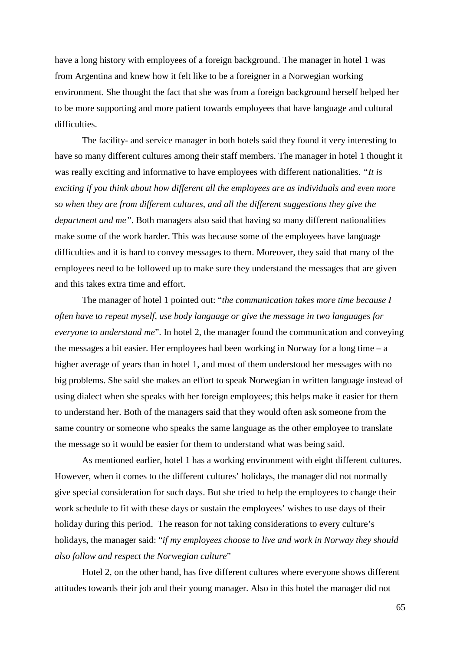have a long history with employees of a foreign background. The manager in hotel 1 was from Argentina and knew how it felt like to be a foreigner in a Norwegian working environment. She thought the fact that she was from a foreign background herself helped her to be more supporting and more patient towards employees that have language and cultural difficulties.

The facility- and service manager in both hotels said they found it very interesting to have so many different cultures among their staff members. The manager in hotel 1 thought it was really exciting and informative to have employees with different nationalities. *"It is exciting if you think about how different all the employees are as individuals and even more so when they are from different cultures, and all the different suggestions they give the department and me"*. Both managers also said that having so many different nationalities make some of the work harder. This was because some of the employees have language difficulties and it is hard to convey messages to them. Moreover, they said that many of the employees need to be followed up to make sure they understand the messages that are given and this takes extra time and effort.

The manager of hotel 1 pointed out: "*the communication takes more time because I often have to repeat myself, use body language or give the message in two languages for everyone to understand me*". In hotel 2, the manager found the communication and conveying the messages a bit easier. Her employees had been working in Norway for a long time  $- a$ higher average of years than in hotel 1, and most of them understood her messages with no big problems. She said she makes an effort to speak Norwegian in written language instead of using dialect when she speaks with her foreign employees; this helps make it easier for them to understand her. Both of the managers said that they would often ask someone from the same country or someone who speaks the same language as the other employee to translate the message so it would be easier for them to understand what was being said.

As mentioned earlier, hotel 1 has a working environment with eight different cultures. However, when it comes to the different cultures' holidays, the manager did not normally give special consideration for such days. But she tried to help the employees to change their work schedule to fit with these days or sustain the employees' wishes to use days of their holiday during this period. The reason for not taking considerations to every culture's holidays, the manager said: "*if my employees choose to live and work in Norway they should also follow and respect the Norwegian culture*"

Hotel 2, on the other hand, has five different cultures where everyone shows different attitudes towards their job and their young manager. Also in this hotel the manager did not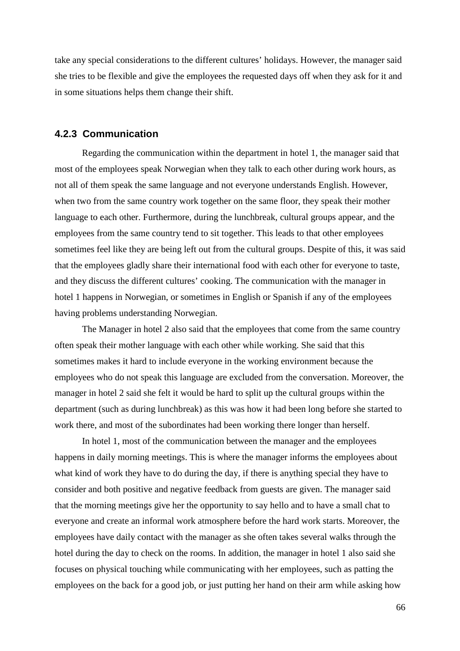take any special considerations to the different cultures' holidays. However, the manager said she tries to be flexible and give the employees the requested days off when they ask for it and in some situations helps them change their shift.

## **4.2.3 Communication**

Regarding the communication within the department in hotel 1, the manager said that most of the employees speak Norwegian when they talk to each other during work hours, as not all of them speak the same language and not everyone understands English. However, when two from the same country work together on the same floor, they speak their mother language to each other. Furthermore, during the lunchbreak, cultural groups appear, and the employees from the same country tend to sit together. This leads to that other employees sometimes feel like they are being left out from the cultural groups. Despite of this, it was said that the employees gladly share their international food with each other for everyone to taste, and they discuss the different cultures' cooking. The communication with the manager in hotel 1 happens in Norwegian, or sometimes in English or Spanish if any of the employees having problems understanding Norwegian.

The Manager in hotel 2 also said that the employees that come from the same country often speak their mother language with each other while working. She said that this sometimes makes it hard to include everyone in the working environment because the employees who do not speak this language are excluded from the conversation. Moreover, the manager in hotel 2 said she felt it would be hard to split up the cultural groups within the department (such as during lunchbreak) as this was how it had been long before she started to work there, and most of the subordinates had been working there longer than herself.

In hotel 1, most of the communication between the manager and the employees happens in daily morning meetings. This is where the manager informs the employees about what kind of work they have to do during the day, if there is anything special they have to consider and both positive and negative feedback from guests are given. The manager said that the morning meetings give her the opportunity to say hello and to have a small chat to everyone and create an informal work atmosphere before the hard work starts. Moreover, the employees have daily contact with the manager as she often takes several walks through the hotel during the day to check on the rooms. In addition, the manager in hotel 1 also said she focuses on physical touching while communicating with her employees, such as patting the employees on the back for a good job, or just putting her hand on their arm while asking how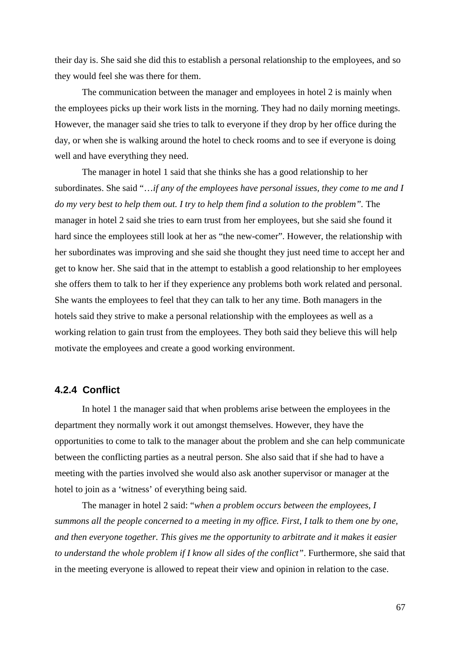their day is. She said she did this to establish a personal relationship to the employees, and so they would feel she was there for them.

The communication between the manager and employees in hotel 2 is mainly when the employees picks up their work lists in the morning. They had no daily morning meetings. However, the manager said she tries to talk to everyone if they drop by her office during the day, or when she is walking around the hotel to check rooms and to see if everyone is doing well and have everything they need.

The manager in hotel 1 said that she thinks she has a good relationship to her subordinates. She said "…*if any of the employees have personal issues, they come to me and I*  do my very best to help them out. I try to help them find a solution to the problem". The manager in hotel 2 said she tries to earn trust from her employees, but she said she found it hard since the employees still look at her as "the new-comer". However, the relationship with her subordinates was improving and she said she thought they just need time to accept her and get to know her. She said that in the attempt to establish a good relationship to her employees she offers them to talk to her if they experience any problems both work related and personal. She wants the employees to feel that they can talk to her any time. Both managers in the hotels said they strive to make a personal relationship with the employees as well as a working relation to gain trust from the employees. They both said they believe this will help motivate the employees and create a good working environment.

#### **4.2.4 Conflict**

In hotel 1 the manager said that when problems arise between the employees in the department they normally work it out amongst themselves. However, they have the opportunities to come to talk to the manager about the problem and she can help communicate between the conflicting parties as a neutral person. She also said that if she had to have a meeting with the parties involved she would also ask another supervisor or manager at the hotel to join as a 'witness' of everything being said.

The manager in hotel 2 said: "*when a problem occurs between the employees, I summons all the people concerned to a meeting in my office. First, I talk to them one by one, and then everyone together. This gives me the opportunity to arbitrate and it makes it easier to understand the whole problem if I know all sides of the conflict"*. Furthermore, she said that in the meeting everyone is allowed to repeat their view and opinion in relation to the case.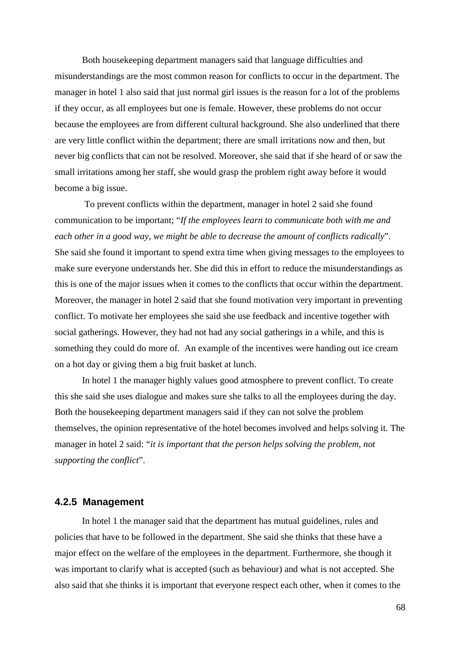Both housekeeping department managers said that language difficulties and misunderstandings are the most common reason for conflicts to occur in the department. The manager in hotel 1 also said that just normal girl issues is the reason for a lot of the problems if they occur, as all employees but one is female. However, these problems do not occur because the employees are from different cultural background. She also underlined that there are very little conflict within the department; there are small irritations now and then, but never big conflicts that can not be resolved. Moreover, she said that if she heard of or saw the small irritations among her staff, she would grasp the problem right away before it would become a big issue.

 To prevent conflicts within the department, manager in hotel 2 said she found communication to be important; "*If the employees learn to communicate both with me and each other in a good way, we might be able to decrease the amount of conflicts radically*". She said she found it important to spend extra time when giving messages to the employees to make sure everyone understands her. She did this in effort to reduce the misunderstandings as this is one of the major issues when it comes to the conflicts that occur within the department. Moreover, the manager in hotel 2 said that she found motivation very important in preventing conflict. To motivate her employees she said she use feedback and incentive together with social gatherings. However, they had not had any social gatherings in a while, and this is something they could do more of. An example of the incentives were handing out ice cream on a hot day or giving them a big fruit basket at lunch.

In hotel 1 the manager highly values good atmosphere to prevent conflict. To create this she said she uses dialogue and makes sure she talks to all the employees during the day. Both the housekeeping department managers said if they can not solve the problem themselves, the opinion representative of the hotel becomes involved and helps solving it. The manager in hotel 2 said: "*it is important that the person helps solving the problem, not supporting the conflict*".

#### **4.2.5 Management**

 In hotel 1 the manager said that the department has mutual guidelines, rules and policies that have to be followed in the department. She said she thinks that these have a major effect on the welfare of the employees in the department. Furthermore, she though it was important to clarify what is accepted (such as behaviour) and what is not accepted. She also said that she thinks it is important that everyone respect each other, when it comes to the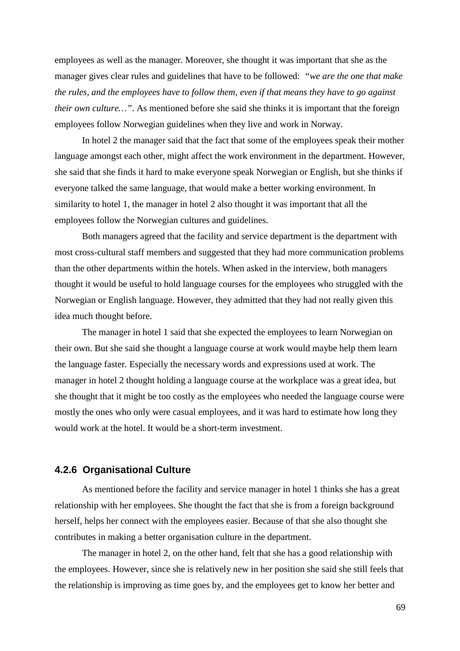employees as well as the manager. Moreover, she thought it was important that she as the manager gives clear rules and guidelines that have to be followed: *"we are the one that make the rules, and the employees have to follow them, even if that means they have to go against their own culture…"*. As mentioned before she said she thinks it is important that the foreign employees follow Norwegian guidelines when they live and work in Norway.

In hotel 2 the manager said that the fact that some of the employees speak their mother language amongst each other, might affect the work environment in the department. However, she said that she finds it hard to make everyone speak Norwegian or English, but she thinks if everyone talked the same language, that would make a better working environment. In similarity to hotel 1, the manager in hotel 2 also thought it was important that all the employees follow the Norwegian cultures and guidelines.

Both managers agreed that the facility and service department is the department with most cross-cultural staff members and suggested that they had more communication problems than the other departments within the hotels. When asked in the interview, both managers thought it would be useful to hold language courses for the employees who struggled with the Norwegian or English language. However, they admitted that they had not really given this idea much thought before.

The manager in hotel 1 said that she expected the employees to learn Norwegian on their own. But she said she thought a language course at work would maybe help them learn the language faster. Especially the necessary words and expressions used at work. The manager in hotel 2 thought holding a language course at the workplace was a great idea, but she thought that it might be too costly as the employees who needed the language course were mostly the ones who only were casual employees, and it was hard to estimate how long they would work at the hotel. It would be a short-term investment.

#### **4.2.6 Organisational Culture**

As mentioned before the facility and service manager in hotel 1 thinks she has a great relationship with her employees. She thought the fact that she is from a foreign background herself, helps her connect with the employees easier. Because of that she also thought she contributes in making a better organisation culture in the department.

The manager in hotel 2, on the other hand, felt that she has a good relationship with the employees. However, since she is relatively new in her position she said she still feels that the relationship is improving as time goes by, and the employees get to know her better and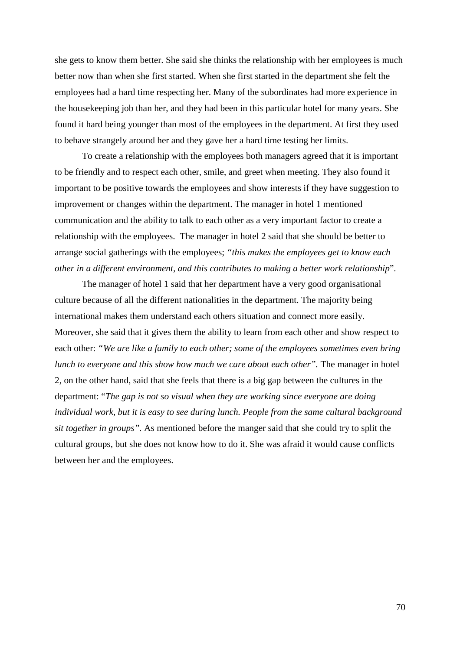she gets to know them better. She said she thinks the relationship with her employees is much better now than when she first started. When she first started in the department she felt the employees had a hard time respecting her. Many of the subordinates had more experience in the housekeeping job than her, and they had been in this particular hotel for many years. She found it hard being younger than most of the employees in the department. At first they used to behave strangely around her and they gave her a hard time testing her limits.

To create a relationship with the employees both managers agreed that it is important to be friendly and to respect each other, smile, and greet when meeting. They also found it important to be positive towards the employees and show interests if they have suggestion to improvement or changes within the department. The manager in hotel 1 mentioned communication and the ability to talk to each other as a very important factor to create a relationship with the employees. The manager in hotel 2 said that she should be better to arrange social gatherings with the employees; *"this makes the employees get to know each other in a different environment, and this contributes to making a better work relationship*".

The manager of hotel 1 said that her department have a very good organisational culture because of all the different nationalities in the department. The majority being international makes them understand each others situation and connect more easily. Moreover, she said that it gives them the ability to learn from each other and show respect to each other: *"We are like a family to each other; some of the employees sometimes even bring lunch to everyone and this show how much we care about each other".* The manager in hotel 2, on the other hand, said that she feels that there is a big gap between the cultures in the department: "*The gap is not so visual when they are working since everyone are doing individual work, but it is easy to see during lunch. People from the same cultural background sit together in groups".* As mentioned before the manger said that she could try to split the cultural groups, but she does not know how to do it. She was afraid it would cause conflicts between her and the employees.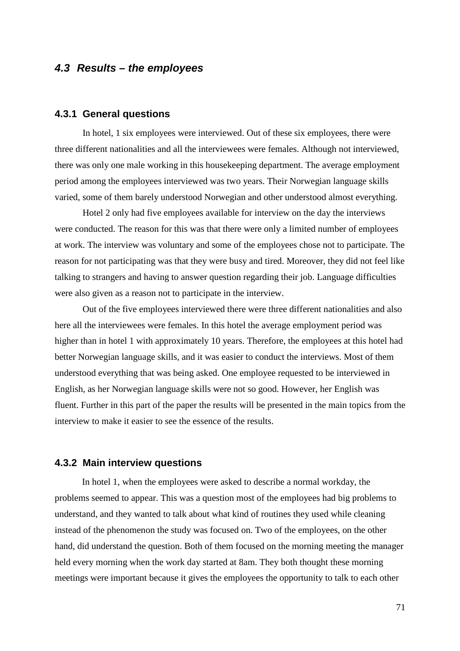## **4.3 Results – the employees**

#### **4.3.1 General questions**

In hotel, 1 six employees were interviewed. Out of these six employees, there were three different nationalities and all the interviewees were females. Although not interviewed, there was only one male working in this housekeeping department. The average employment period among the employees interviewed was two years. Their Norwegian language skills varied, some of them barely understood Norwegian and other understood almost everything.

Hotel 2 only had five employees available for interview on the day the interviews were conducted. The reason for this was that there were only a limited number of employees at work. The interview was voluntary and some of the employees chose not to participate. The reason for not participating was that they were busy and tired. Moreover, they did not feel like talking to strangers and having to answer question regarding their job. Language difficulties were also given as a reason not to participate in the interview.

Out of the five employees interviewed there were three different nationalities and also here all the interviewees were females. In this hotel the average employment period was higher than in hotel 1 with approximately 10 years. Therefore, the employees at this hotel had better Norwegian language skills, and it was easier to conduct the interviews. Most of them understood everything that was being asked. One employee requested to be interviewed in English, as her Norwegian language skills were not so good. However, her English was fluent. Further in this part of the paper the results will be presented in the main topics from the interview to make it easier to see the essence of the results.

## **4.3.2 Main interview questions**

In hotel 1, when the employees were asked to describe a normal workday, the problems seemed to appear. This was a question most of the employees had big problems to understand, and they wanted to talk about what kind of routines they used while cleaning instead of the phenomenon the study was focused on. Two of the employees, on the other hand, did understand the question. Both of them focused on the morning meeting the manager held every morning when the work day started at 8am. They both thought these morning meetings were important because it gives the employees the opportunity to talk to each other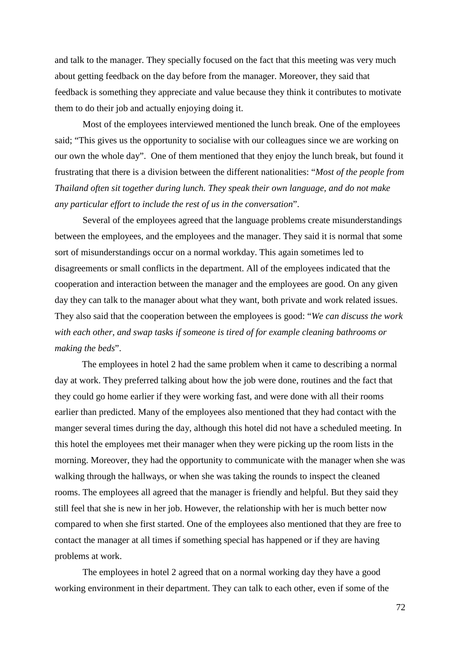and talk to the manager. They specially focused on the fact that this meeting was very much about getting feedback on the day before from the manager. Moreover, they said that feedback is something they appreciate and value because they think it contributes to motivate them to do their job and actually enjoying doing it.

Most of the employees interviewed mentioned the lunch break. One of the employees said; "This gives us the opportunity to socialise with our colleagues since we are working on our own the whole day". One of them mentioned that they enjoy the lunch break, but found it frustrating that there is a division between the different nationalities: "*Most of the people from Thailand often sit together during lunch. They speak their own language, and do not make any particular effort to include the rest of us in the conversation*".

Several of the employees agreed that the language problems create misunderstandings between the employees, and the employees and the manager. They said it is normal that some sort of misunderstandings occur on a normal workday. This again sometimes led to disagreements or small conflicts in the department. All of the employees indicated that the cooperation and interaction between the manager and the employees are good. On any given day they can talk to the manager about what they want, both private and work related issues. They also said that the cooperation between the employees is good: "*We can discuss the work with each other, and swap tasks if someone is tired of for example cleaning bathrooms or making the beds*".

The employees in hotel 2 had the same problem when it came to describing a normal day at work. They preferred talking about how the job were done, routines and the fact that they could go home earlier if they were working fast, and were done with all their rooms earlier than predicted. Many of the employees also mentioned that they had contact with the manger several times during the day, although this hotel did not have a scheduled meeting. In this hotel the employees met their manager when they were picking up the room lists in the morning. Moreover, they had the opportunity to communicate with the manager when she was walking through the hallways, or when she was taking the rounds to inspect the cleaned rooms. The employees all agreed that the manager is friendly and helpful. But they said they still feel that she is new in her job. However, the relationship with her is much better now compared to when she first started. One of the employees also mentioned that they are free to contact the manager at all times if something special has happened or if they are having problems at work.

The employees in hotel 2 agreed that on a normal working day they have a good working environment in their department. They can talk to each other, even if some of the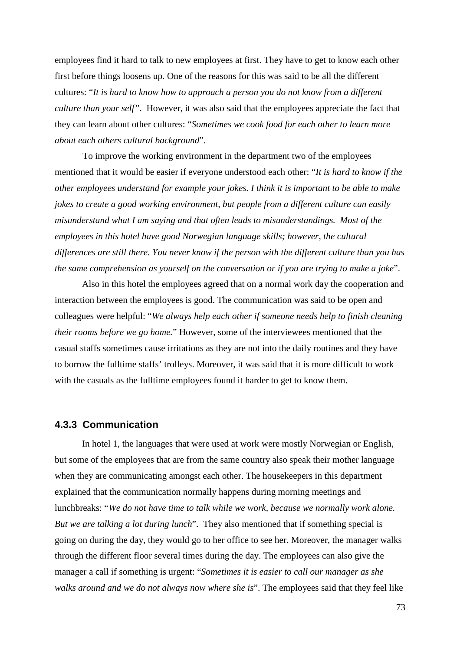employees find it hard to talk to new employees at first. They have to get to know each other first before things loosens up. One of the reasons for this was said to be all the different cultures: "*It is hard to know how to approach a person you do not know from a different culture than your self"*. However, it was also said that the employees appreciate the fact that they can learn about other cultures: "*Sometimes we cook food for each other to learn more about each others cultural background*".

To improve the working environment in the department two of the employees mentioned that it would be easier if everyone understood each other: "*It is hard to know if the other employees understand for example your jokes. I think it is important to be able to make jokes to create a good working environment, but people from a different culture can easily misunderstand what I am saying and that often leads to misunderstandings. Most of the employees in this hotel have good Norwegian language skills; however, the cultural differences are still there. You never know if the person with the different culture than you has the same comprehension as yourself on the conversation or if you are trying to make a joke*".

Also in this hotel the employees agreed that on a normal work day the cooperation and interaction between the employees is good. The communication was said to be open and colleagues were helpful: "*We always help each other if someone needs help to finish cleaning their rooms before we go home.*" However, some of the interviewees mentioned that the casual staffs sometimes cause irritations as they are not into the daily routines and they have to borrow the fulltime staffs' trolleys. Moreover, it was said that it is more difficult to work with the casuals as the fulltime employees found it harder to get to know them.

#### **4.3.3 Communication**

In hotel 1, the languages that were used at work were mostly Norwegian or English, but some of the employees that are from the same country also speak their mother language when they are communicating amongst each other. The housekeepers in this department explained that the communication normally happens during morning meetings and lunchbreaks: "*We do not have time to talk while we work, because we normally work alone. But we are talking a lot during lunch*". They also mentioned that if something special is going on during the day, they would go to her office to see her. Moreover, the manager walks through the different floor several times during the day. The employees can also give the manager a call if something is urgent: "*Sometimes it is easier to call our manager as she walks around and we do not always now where she is*". The employees said that they feel like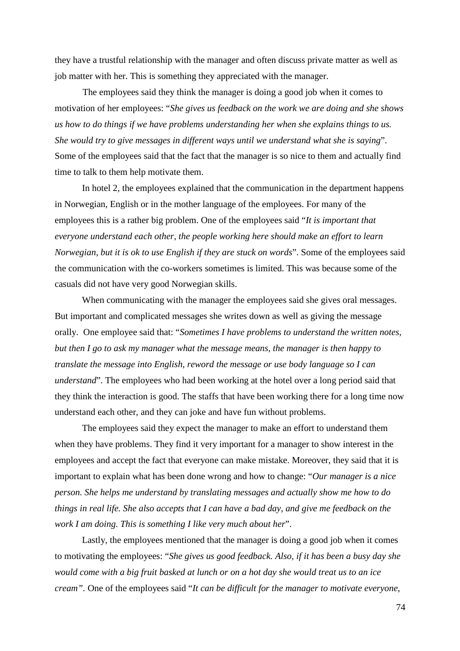they have a trustful relationship with the manager and often discuss private matter as well as job matter with her. This is something they appreciated with the manager.

The employees said they think the manager is doing a good job when it comes to motivation of her employees: "*She gives us feedback on the work we are doing and she shows us how to do things if we have problems understanding her when she explains things to us. She would try to give messages in different ways until we understand what she is saying*". Some of the employees said that the fact that the manager is so nice to them and actually find time to talk to them help motivate them.

In hotel 2, the employees explained that the communication in the department happens in Norwegian, English or in the mother language of the employees. For many of the employees this is a rather big problem. One of the employees said "*It is important that everyone understand each other, the people working here should make an effort to learn Norwegian, but it is ok to use English if they are stuck on words*". Some of the employees said the communication with the co-workers sometimes is limited. This was because some of the casuals did not have very good Norwegian skills.

When communicating with the manager the employees said she gives oral messages. But important and complicated messages she writes down as well as giving the message orally. One employee said that: "*Sometimes I have problems to understand the written notes, but then I go to ask my manager what the message means, the manager is then happy to translate the message into English, reword the message or use body language so I can understand*". The employees who had been working at the hotel over a long period said that they think the interaction is good. The staffs that have been working there for a long time now understand each other, and they can joke and have fun without problems.

The employees said they expect the manager to make an effort to understand them when they have problems. They find it very important for a manager to show interest in the employees and accept the fact that everyone can make mistake. Moreover, they said that it is important to explain what has been done wrong and how to change: "*Our manager is a nice person. She helps me understand by translating messages and actually show me how to do things in real life. She also accepts that I can have a bad day, and give me feedback on the work I am doing. This is something I like very much about her*".

Lastly, the employees mentioned that the manager is doing a good job when it comes to motivating the employees: "*She gives us good feedback. Also, if it has been a busy day she would come with a big fruit basked at lunch or on a hot day she would treat us to an ice cream".* One of the employees said "*It can be difficult for the manager to motivate everyone,*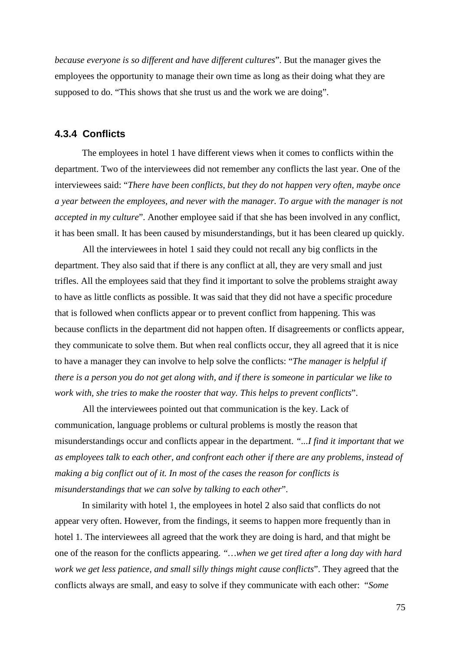*because everyone is so different and have different cultures*". But the manager gives the employees the opportunity to manage their own time as long as their doing what they are supposed to do. "This shows that she trust us and the work we are doing".

#### **4.3.4 Conflicts**

The employees in hotel 1 have different views when it comes to conflicts within the department. Two of the interviewees did not remember any conflicts the last year. One of the interviewees said: "*There have been conflicts, but they do not happen very often, maybe once a year between the employees, and never with the manager. To argue with the manager is not accepted in my culture*". Another employee said if that she has been involved in any conflict, it has been small. It has been caused by misunderstandings, but it has been cleared up quickly.

All the interviewees in hotel 1 said they could not recall any big conflicts in the department. They also said that if there is any conflict at all, they are very small and just trifles. All the employees said that they find it important to solve the problems straight away to have as little conflicts as possible. It was said that they did not have a specific procedure that is followed when conflicts appear or to prevent conflict from happening. This was because conflicts in the department did not happen often. If disagreements or conflicts appear, they communicate to solve them. But when real conflicts occur, they all agreed that it is nice to have a manager they can involve to help solve the conflicts: "*The manager is helpful if there is a person you do not get along with, and if there is someone in particular we like to work with, she tries to make the rooster that way. This helps to prevent conflicts*".

All the interviewees pointed out that communication is the key. Lack of communication, language problems or cultural problems is mostly the reason that misunderstandings occur and conflicts appear in the department. *"...I find it important that we as employees talk to each other, and confront each other if there are any problems, instead of making a big conflict out of it. In most of the cases the reason for conflicts is misunderstandings that we can solve by talking to each other*".

In similarity with hotel 1, the employees in hotel 2 also said that conflicts do not appear very often. However, from the findings, it seems to happen more frequently than in hotel 1. The interviewees all agreed that the work they are doing is hard, and that might be one of the reason for the conflicts appearing. *"…when we get tired after a long day with hard work we get less patience, and small silly things might cause conflicts*". They agreed that the conflicts always are small, and easy to solve if they communicate with each other: "*Some*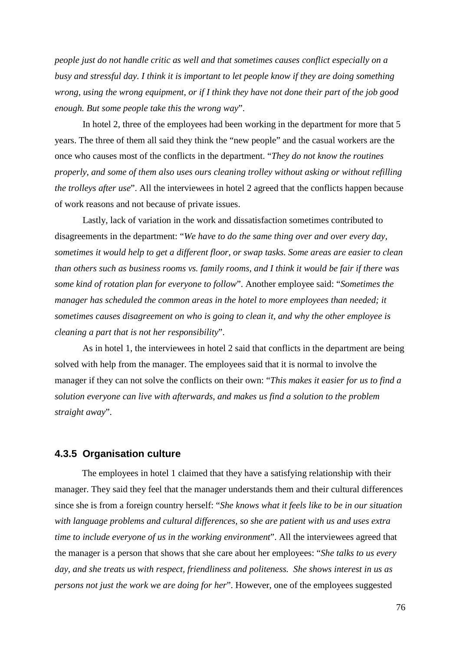*people just do not handle critic as well and that sometimes causes conflict especially on a busy and stressful day. I think it is important to let people know if they are doing something wrong, using the wrong equipment, or if I think they have not done their part of the job good enough. But some people take this the wrong way*".

In hotel 2, three of the employees had been working in the department for more that 5 years. The three of them all said they think the "new people" and the casual workers are the once who causes most of the conflicts in the department. "*They do not know the routines properly, and some of them also uses ours cleaning trolley without asking or without refilling the trolleys after use*". All the interviewees in hotel 2 agreed that the conflicts happen because of work reasons and not because of private issues.

Lastly, lack of variation in the work and dissatisfaction sometimes contributed to disagreements in the department: "*We have to do the same thing over and over every day, sometimes it would help to get a different floor, or swap tasks. Some areas are easier to clean than others such as business rooms vs. family rooms, and I think it would be fair if there was some kind of rotation plan for everyone to follow*". Another employee said: "*Sometimes the manager has scheduled the common areas in the hotel to more employees than needed; it sometimes causes disagreement on who is going to clean it, and why the other employee is cleaning a part that is not her responsibility*".

As in hotel 1, the interviewees in hotel 2 said that conflicts in the department are being solved with help from the manager. The employees said that it is normal to involve the manager if they can not solve the conflicts on their own: "*This makes it easier for us to find a solution everyone can live with afterwards, and makes us find a solution to the problem straight away*".

#### **4.3.5 Organisation culture**

The employees in hotel 1 claimed that they have a satisfying relationship with their manager. They said they feel that the manager understands them and their cultural differences since she is from a foreign country herself: "*She knows what it feels like to be in our situation with language problems and cultural differences, so she are patient with us and uses extra time to include everyone of us in the working environment*". All the interviewees agreed that the manager is a person that shows that she care about her employees: "*She talks to us every day, and she treats us with respect, friendliness and politeness. She shows interest in us as persons not just the work we are doing for her*". However, one of the employees suggested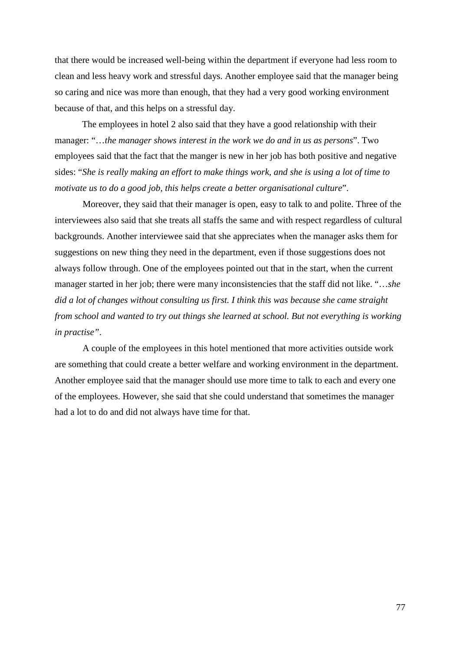that there would be increased well-being within the department if everyone had less room to clean and less heavy work and stressful days. Another employee said that the manager being so caring and nice was more than enough, that they had a very good working environment because of that, and this helps on a stressful day.

The employees in hotel 2 also said that they have a good relationship with their manager: "…*the manager shows interest in the work we do and in us as persons*". Two employees said that the fact that the manger is new in her job has both positive and negative sides: "*She is really making an effort to make things work, and she is using a lot of time to motivate us to do a good job, this helps create a better organisational culture*".

Moreover, they said that their manager is open, easy to talk to and polite. Three of the interviewees also said that she treats all staffs the same and with respect regardless of cultural backgrounds. Another interviewee said that she appreciates when the manager asks them for suggestions on new thing they need in the department, even if those suggestions does not always follow through. One of the employees pointed out that in the start, when the current manager started in her job; there were many inconsistencies that the staff did not like. "…*she did a lot of changes without consulting us first. I think this was because she came straight from school and wanted to try out things she learned at school. But not everything is working in practise"*.

A couple of the employees in this hotel mentioned that more activities outside work are something that could create a better welfare and working environment in the department. Another employee said that the manager should use more time to talk to each and every one of the employees. However, she said that she could understand that sometimes the manager had a lot to do and did not always have time for that.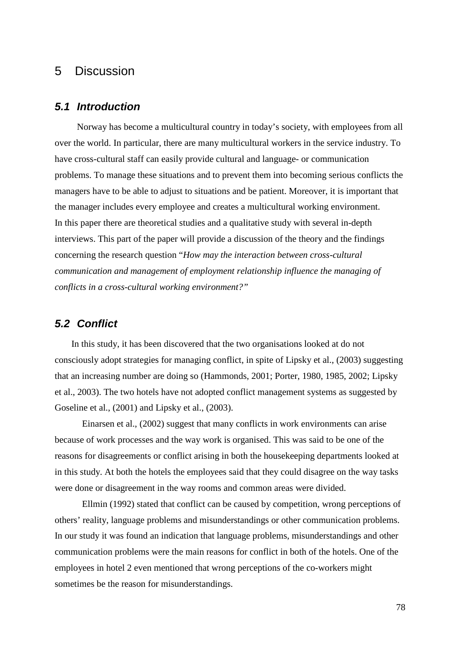# 5 Discussion

#### **5.1 Introduction**

Norway has become a multicultural country in today's society, with employees from all over the world. In particular, there are many multicultural workers in the service industry. To have cross-cultural staff can easily provide cultural and language- or communication problems. To manage these situations and to prevent them into becoming serious conflicts the managers have to be able to adjust to situations and be patient. Moreover, it is important that the manager includes every employee and creates a multicultural working environment. In this paper there are theoretical studies and a qualitative study with several in-depth interviews. This part of the paper will provide a discussion of the theory and the findings concerning the research question "*How may the interaction between cross-cultural communication and management of employment relationship influence the managing of conflicts in a cross-cultural working environment?"*

#### **5.2 Conflict**

In this study, it has been discovered that the two organisations looked at do not consciously adopt strategies for managing conflict, in spite of Lipsky et al., (2003) suggesting that an increasing number are doing so (Hammonds, 2001; Porter, 1980, 1985, 2002; Lipsky et al., 2003). The two hotels have not adopted conflict management systems as suggested by Goseline et al., (2001) and Lipsky et al., (2003).

Einarsen et al., (2002) suggest that many conflicts in work environments can arise because of work processes and the way work is organised. This was said to be one of the reasons for disagreements or conflict arising in both the housekeeping departments looked at in this study. At both the hotels the employees said that they could disagree on the way tasks were done or disagreement in the way rooms and common areas were divided.

Ellmin (1992) stated that conflict can be caused by competition, wrong perceptions of others' reality, language problems and misunderstandings or other communication problems. In our study it was found an indication that language problems, misunderstandings and other communication problems were the main reasons for conflict in both of the hotels. One of the employees in hotel 2 even mentioned that wrong perceptions of the co-workers might sometimes be the reason for misunderstandings.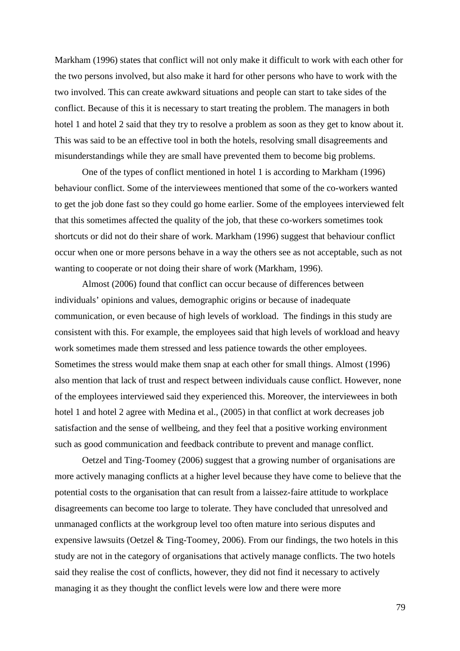Markham (1996) states that conflict will not only make it difficult to work with each other for the two persons involved, but also make it hard for other persons who have to work with the two involved. This can create awkward situations and people can start to take sides of the conflict. Because of this it is necessary to start treating the problem. The managers in both hotel 1 and hotel 2 said that they try to resolve a problem as soon as they get to know about it. This was said to be an effective tool in both the hotels, resolving small disagreements and misunderstandings while they are small have prevented them to become big problems.

 One of the types of conflict mentioned in hotel 1 is according to Markham (1996) behaviour conflict. Some of the interviewees mentioned that some of the co-workers wanted to get the job done fast so they could go home earlier. Some of the employees interviewed felt that this sometimes affected the quality of the job, that these co-workers sometimes took shortcuts or did not do their share of work. Markham (1996) suggest that behaviour conflict occur when one or more persons behave in a way the others see as not acceptable, such as not wanting to cooperate or not doing their share of work (Markham, 1996).

 Almost (2006) found that conflict can occur because of differences between individuals' opinions and values, demographic origins or because of inadequate communication, or even because of high levels of workload. The findings in this study are consistent with this. For example, the employees said that high levels of workload and heavy work sometimes made them stressed and less patience towards the other employees. Sometimes the stress would make them snap at each other for small things. Almost (1996) also mention that lack of trust and respect between individuals cause conflict. However, none of the employees interviewed said they experienced this. Moreover, the interviewees in both hotel 1 and hotel 2 agree with Medina et al., (2005) in that conflict at work decreases job satisfaction and the sense of wellbeing, and they feel that a positive working environment such as good communication and feedback contribute to prevent and manage conflict.

 Oetzel and Ting-Toomey (2006) suggest that a growing number of organisations are more actively managing conflicts at a higher level because they have come to believe that the potential costs to the organisation that can result from a laissez-faire attitude to workplace disagreements can become too large to tolerate. They have concluded that unresolved and unmanaged conflicts at the workgroup level too often mature into serious disputes and expensive lawsuits (Oetzel & Ting-Toomey, 2006). From our findings, the two hotels in this study are not in the category of organisations that actively manage conflicts. The two hotels said they realise the cost of conflicts, however, they did not find it necessary to actively managing it as they thought the conflict levels were low and there were more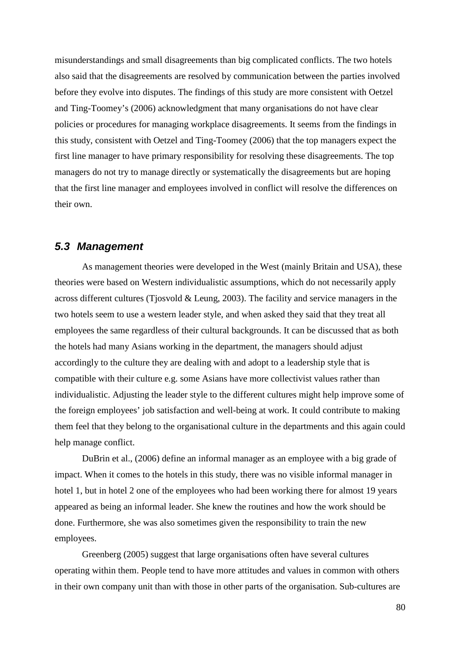misunderstandings and small disagreements than big complicated conflicts. The two hotels also said that the disagreements are resolved by communication between the parties involved before they evolve into disputes. The findings of this study are more consistent with Oetzel and Ting-Toomey's (2006) acknowledgment that many organisations do not have clear policies or procedures for managing workplace disagreements. It seems from the findings in this study, consistent with Oetzel and Ting-Toomey (2006) that the top managers expect the first line manager to have primary responsibility for resolving these disagreements. The top managers do not try to manage directly or systematically the disagreements but are hoping that the first line manager and employees involved in conflict will resolve the differences on their own.

#### **5.3 Management**

As management theories were developed in the West (mainly Britain and USA), these theories were based on Western individualistic assumptions, which do not necessarily apply across different cultures (Tjosvold & Leung, 2003). The facility and service managers in the two hotels seem to use a western leader style, and when asked they said that they treat all employees the same regardless of their cultural backgrounds. It can be discussed that as both the hotels had many Asians working in the department, the managers should adjust accordingly to the culture they are dealing with and adopt to a leadership style that is compatible with their culture e.g. some Asians have more collectivist values rather than individualistic. Adjusting the leader style to the different cultures might help improve some of the foreign employees' job satisfaction and well-being at work. It could contribute to making them feel that they belong to the organisational culture in the departments and this again could help manage conflict.

 DuBrin et al., (2006) define an informal manager as an employee with a big grade of impact. When it comes to the hotels in this study, there was no visible informal manager in hotel 1, but in hotel 2 one of the employees who had been working there for almost 19 years appeared as being an informal leader. She knew the routines and how the work should be done. Furthermore, she was also sometimes given the responsibility to train the new employees.

 Greenberg (2005) suggest that large organisations often have several cultures operating within them. People tend to have more attitudes and values in common with others in their own company unit than with those in other parts of the organisation. Sub-cultures are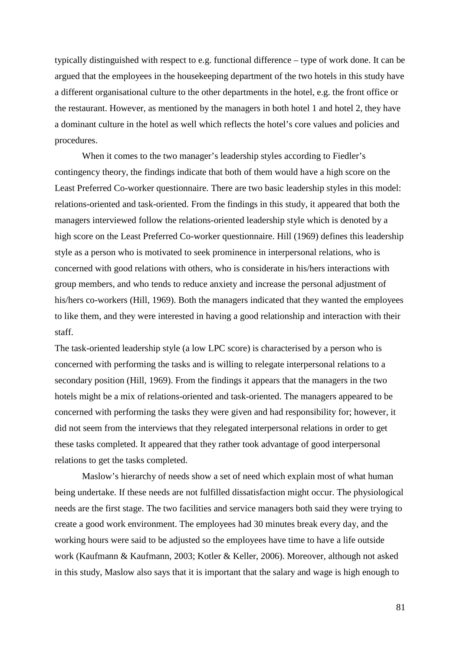typically distinguished with respect to e.g. functional difference – type of work done. It can be argued that the employees in the housekeeping department of the two hotels in this study have a different organisational culture to the other departments in the hotel, e.g. the front office or the restaurant. However, as mentioned by the managers in both hotel 1 and hotel 2, they have a dominant culture in the hotel as well which reflects the hotel's core values and policies and procedures.

When it comes to the two manager's leadership styles according to Fiedler's contingency theory, the findings indicate that both of them would have a high score on the Least Preferred Co-worker questionnaire. There are two basic leadership styles in this model: relations-oriented and task-oriented. From the findings in this study, it appeared that both the managers interviewed follow the relations-oriented leadership style which is denoted by a high score on the Least Preferred Co-worker questionnaire. Hill (1969) defines this leadership style as a person who is motivated to seek prominence in interpersonal relations, who is concerned with good relations with others, who is considerate in his/hers interactions with group members, and who tends to reduce anxiety and increase the personal adjustment of his/hers co-workers (Hill, 1969). Both the managers indicated that they wanted the employees to like them, and they were interested in having a good relationship and interaction with their staff.

The task-oriented leadership style (a low LPC score) is characterised by a person who is concerned with performing the tasks and is willing to relegate interpersonal relations to a secondary position (Hill, 1969). From the findings it appears that the managers in the two hotels might be a mix of relations-oriented and task-oriented. The managers appeared to be concerned with performing the tasks they were given and had responsibility for; however, it did not seem from the interviews that they relegated interpersonal relations in order to get these tasks completed. It appeared that they rather took advantage of good interpersonal relations to get the tasks completed.

 Maslow's hierarchy of needs show a set of need which explain most of what human being undertake. If these needs are not fulfilled dissatisfaction might occur. The physiological needs are the first stage. The two facilities and service managers both said they were trying to create a good work environment. The employees had 30 minutes break every day, and the working hours were said to be adjusted so the employees have time to have a life outside work (Kaufmann & Kaufmann, 2003; Kotler & Keller, 2006). Moreover, although not asked in this study, Maslow also says that it is important that the salary and wage is high enough to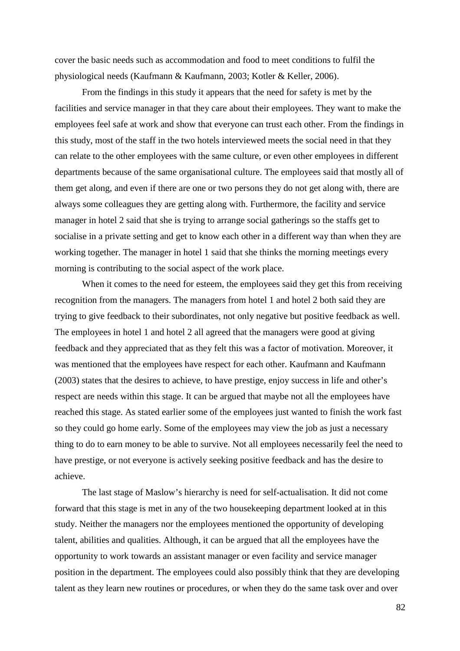cover the basic needs such as accommodation and food to meet conditions to fulfil the physiological needs (Kaufmann & Kaufmann, 2003; Kotler & Keller, 2006).

From the findings in this study it appears that the need for safety is met by the facilities and service manager in that they care about their employees. They want to make the employees feel safe at work and show that everyone can trust each other. From the findings in this study, most of the staff in the two hotels interviewed meets the social need in that they can relate to the other employees with the same culture, or even other employees in different departments because of the same organisational culture. The employees said that mostly all of them get along, and even if there are one or two persons they do not get along with, there are always some colleagues they are getting along with. Furthermore, the facility and service manager in hotel 2 said that she is trying to arrange social gatherings so the staffs get to socialise in a private setting and get to know each other in a different way than when they are working together. The manager in hotel 1 said that she thinks the morning meetings every morning is contributing to the social aspect of the work place.

When it comes to the need for esteem, the employees said they get this from receiving recognition from the managers. The managers from hotel 1 and hotel 2 both said they are trying to give feedback to their subordinates, not only negative but positive feedback as well. The employees in hotel 1 and hotel 2 all agreed that the managers were good at giving feedback and they appreciated that as they felt this was a factor of motivation. Moreover, it was mentioned that the employees have respect for each other. Kaufmann and Kaufmann (2003) states that the desires to achieve, to have prestige, enjoy success in life and other's respect are needs within this stage. It can be argued that maybe not all the employees have reached this stage. As stated earlier some of the employees just wanted to finish the work fast so they could go home early. Some of the employees may view the job as just a necessary thing to do to earn money to be able to survive. Not all employees necessarily feel the need to have prestige, or not everyone is actively seeking positive feedback and has the desire to achieve.

The last stage of Maslow's hierarchy is need for self-actualisation. It did not come forward that this stage is met in any of the two housekeeping department looked at in this study. Neither the managers nor the employees mentioned the opportunity of developing talent, abilities and qualities. Although, it can be argued that all the employees have the opportunity to work towards an assistant manager or even facility and service manager position in the department. The employees could also possibly think that they are developing talent as they learn new routines or procedures, or when they do the same task over and over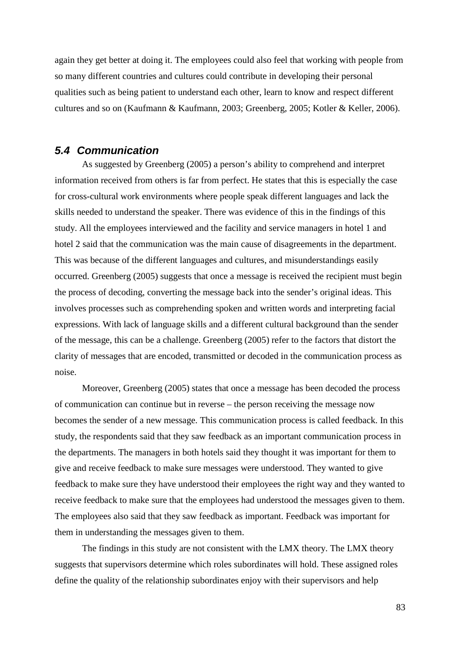again they get better at doing it. The employees could also feel that working with people from so many different countries and cultures could contribute in developing their personal qualities such as being patient to understand each other, learn to know and respect different cultures and so on (Kaufmann & Kaufmann, 2003; Greenberg, 2005; Kotler & Keller, 2006).

## **5.4 Communication**

 As suggested by Greenberg (2005) a person's ability to comprehend and interpret information received from others is far from perfect. He states that this is especially the case for cross-cultural work environments where people speak different languages and lack the skills needed to understand the speaker. There was evidence of this in the findings of this study. All the employees interviewed and the facility and service managers in hotel 1 and hotel 2 said that the communication was the main cause of disagreements in the department. This was because of the different languages and cultures, and misunderstandings easily occurred. Greenberg (2005) suggests that once a message is received the recipient must begin the process of decoding, converting the message back into the sender's original ideas. This involves processes such as comprehending spoken and written words and interpreting facial expressions. With lack of language skills and a different cultural background than the sender of the message, this can be a challenge. Greenberg (2005) refer to the factors that distort the clarity of messages that are encoded, transmitted or decoded in the communication process as noise.

 Moreover, Greenberg (2005) states that once a message has been decoded the process of communication can continue but in reverse – the person receiving the message now becomes the sender of a new message. This communication process is called feedback. In this study, the respondents said that they saw feedback as an important communication process in the departments. The managers in both hotels said they thought it was important for them to give and receive feedback to make sure messages were understood. They wanted to give feedback to make sure they have understood their employees the right way and they wanted to receive feedback to make sure that the employees had understood the messages given to them. The employees also said that they saw feedback as important. Feedback was important for them in understanding the messages given to them.

 The findings in this study are not consistent with the LMX theory. The LMX theory suggests that supervisors determine which roles subordinates will hold. These assigned roles define the quality of the relationship subordinates enjoy with their supervisors and help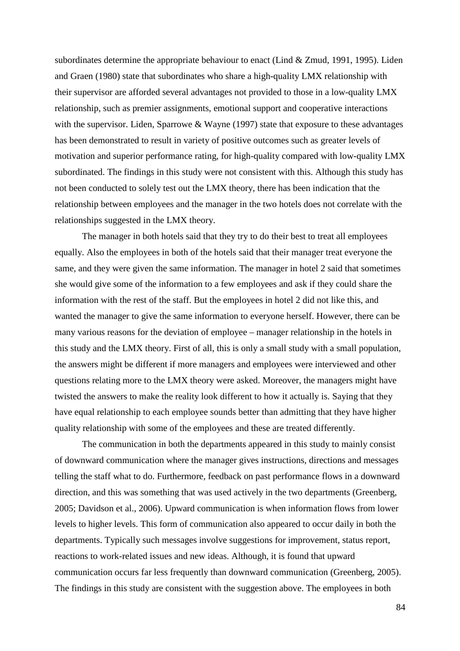subordinates determine the appropriate behaviour to enact (Lind & Zmud, 1991, 1995). Liden and Graen (1980) state that subordinates who share a high-quality LMX relationship with their supervisor are afforded several advantages not provided to those in a low-quality LMX relationship, such as premier assignments, emotional support and cooperative interactions with the supervisor. Liden, Sparrowe  $&$  Wayne (1997) state that exposure to these advantages has been demonstrated to result in variety of positive outcomes such as greater levels of motivation and superior performance rating, for high-quality compared with low-quality LMX subordinated. The findings in this study were not consistent with this. Although this study has not been conducted to solely test out the LMX theory, there has been indication that the relationship between employees and the manager in the two hotels does not correlate with the relationships suggested in the LMX theory.

The manager in both hotels said that they try to do their best to treat all employees equally. Also the employees in both of the hotels said that their manager treat everyone the same, and they were given the same information. The manager in hotel 2 said that sometimes she would give some of the information to a few employees and ask if they could share the information with the rest of the staff. But the employees in hotel 2 did not like this, and wanted the manager to give the same information to everyone herself. However, there can be many various reasons for the deviation of employee – manager relationship in the hotels in this study and the LMX theory. First of all, this is only a small study with a small population, the answers might be different if more managers and employees were interviewed and other questions relating more to the LMX theory were asked. Moreover, the managers might have twisted the answers to make the reality look different to how it actually is. Saying that they have equal relationship to each employee sounds better than admitting that they have higher quality relationship with some of the employees and these are treated differently.

 The communication in both the departments appeared in this study to mainly consist of downward communication where the manager gives instructions, directions and messages telling the staff what to do. Furthermore, feedback on past performance flows in a downward direction, and this was something that was used actively in the two departments (Greenberg, 2005; Davidson et al., 2006). Upward communication is when information flows from lower levels to higher levels. This form of communication also appeared to occur daily in both the departments. Typically such messages involve suggestions for improvement, status report, reactions to work-related issues and new ideas. Although, it is found that upward communication occurs far less frequently than downward communication (Greenberg, 2005). The findings in this study are consistent with the suggestion above. The employees in both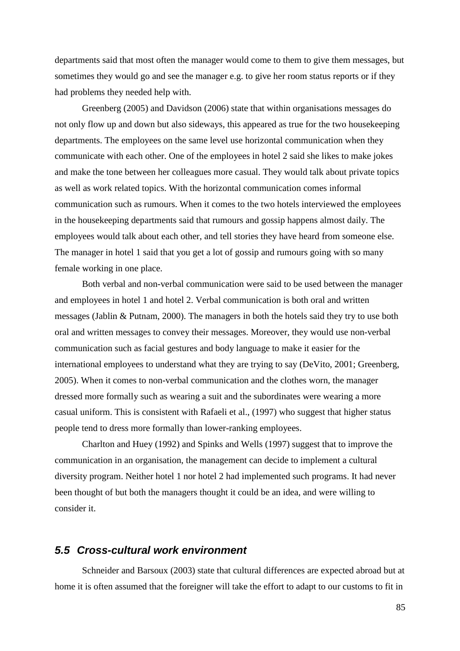departments said that most often the manager would come to them to give them messages, but sometimes they would go and see the manager e.g. to give her room status reports or if they had problems they needed help with.

 Greenberg (2005) and Davidson (2006) state that within organisations messages do not only flow up and down but also sideways, this appeared as true for the two housekeeping departments. The employees on the same level use horizontal communication when they communicate with each other. One of the employees in hotel 2 said she likes to make jokes and make the tone between her colleagues more casual. They would talk about private topics as well as work related topics. With the horizontal communication comes informal communication such as rumours. When it comes to the two hotels interviewed the employees in the housekeeping departments said that rumours and gossip happens almost daily. The employees would talk about each other, and tell stories they have heard from someone else. The manager in hotel 1 said that you get a lot of gossip and rumours going with so many female working in one place.

 Both verbal and non-verbal communication were said to be used between the manager and employees in hotel 1 and hotel 2. Verbal communication is both oral and written messages (Jablin & Putnam, 2000). The managers in both the hotels said they try to use both oral and written messages to convey their messages. Moreover, they would use non-verbal communication such as facial gestures and body language to make it easier for the international employees to understand what they are trying to say (DeVito, 2001; Greenberg, 2005). When it comes to non-verbal communication and the clothes worn, the manager dressed more formally such as wearing a suit and the subordinates were wearing a more casual uniform. This is consistent with Rafaeli et al., (1997) who suggest that higher status people tend to dress more formally than lower-ranking employees.

 Charlton and Huey (1992) and Spinks and Wells (1997) suggest that to improve the communication in an organisation, the management can decide to implement a cultural diversity program. Neither hotel 1 nor hotel 2 had implemented such programs. It had never been thought of but both the managers thought it could be an idea, and were willing to consider it.

## **5.5 Cross-cultural work environment**

Schneider and Barsoux (2003) state that cultural differences are expected abroad but at home it is often assumed that the foreigner will take the effort to adapt to our customs to fit in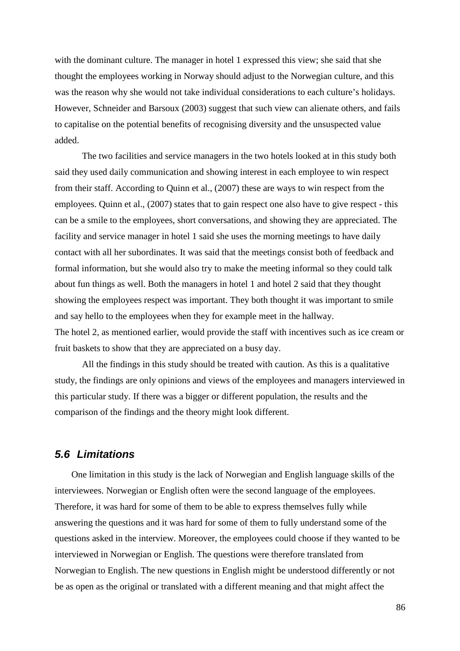with the dominant culture. The manager in hotel 1 expressed this view; she said that she thought the employees working in Norway should adjust to the Norwegian culture, and this was the reason why she would not take individual considerations to each culture's holidays. However, Schneider and Barsoux (2003) suggest that such view can alienate others, and fails to capitalise on the potential benefits of recognising diversity and the unsuspected value added.

The two facilities and service managers in the two hotels looked at in this study both said they used daily communication and showing interest in each employee to win respect from their staff. According to Quinn et al., (2007) these are ways to win respect from the employees. Quinn et al., (2007) states that to gain respect one also have to give respect - this can be a smile to the employees, short conversations, and showing they are appreciated. The facility and service manager in hotel 1 said she uses the morning meetings to have daily contact with all her subordinates. It was said that the meetings consist both of feedback and formal information, but she would also try to make the meeting informal so they could talk about fun things as well. Both the managers in hotel 1 and hotel 2 said that they thought showing the employees respect was important. They both thought it was important to smile and say hello to the employees when they for example meet in the hallway. The hotel 2, as mentioned earlier, would provide the staff with incentives such as ice cream or fruit baskets to show that they are appreciated on a busy day.

 All the findings in this study should be treated with caution. As this is a qualitative study, the findings are only opinions and views of the employees and managers interviewed in this particular study. If there was a bigger or different population, the results and the comparison of the findings and the theory might look different.

## **5.6 Limitations**

One limitation in this study is the lack of Norwegian and English language skills of the interviewees. Norwegian or English often were the second language of the employees. Therefore, it was hard for some of them to be able to express themselves fully while answering the questions and it was hard for some of them to fully understand some of the questions asked in the interview. Moreover, the employees could choose if they wanted to be interviewed in Norwegian or English. The questions were therefore translated from Norwegian to English. The new questions in English might be understood differently or not be as open as the original or translated with a different meaning and that might affect the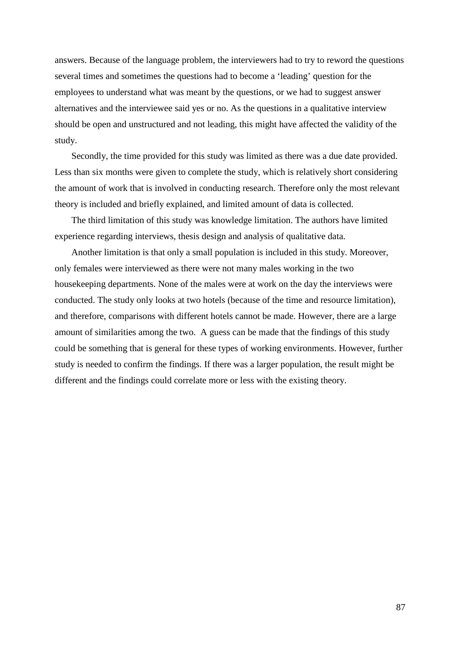answers. Because of the language problem, the interviewers had to try to reword the questions several times and sometimes the questions had to become a 'leading' question for the employees to understand what was meant by the questions, or we had to suggest answer alternatives and the interviewee said yes or no. As the questions in a qualitative interview should be open and unstructured and not leading, this might have affected the validity of the study.

Secondly, the time provided for this study was limited as there was a due date provided. Less than six months were given to complete the study, which is relatively short considering the amount of work that is involved in conducting research. Therefore only the most relevant theory is included and briefly explained, and limited amount of data is collected.

The third limitation of this study was knowledge limitation. The authors have limited experience regarding interviews, thesis design and analysis of qualitative data.

Another limitation is that only a small population is included in this study. Moreover, only females were interviewed as there were not many males working in the two housekeeping departments. None of the males were at work on the day the interviews were conducted. The study only looks at two hotels (because of the time and resource limitation), and therefore, comparisons with different hotels cannot be made. However, there are a large amount of similarities among the two. A guess can be made that the findings of this study could be something that is general for these types of working environments. However, further study is needed to confirm the findings. If there was a larger population, the result might be different and the findings could correlate more or less with the existing theory.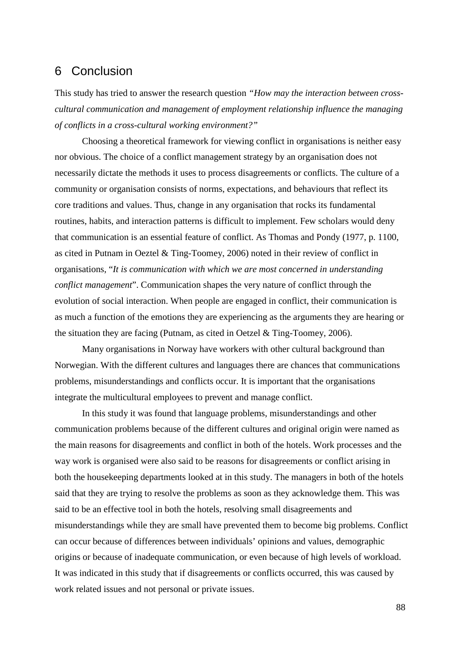# 6 Conclusion

This study has tried to answer the research question *"How may the interaction between crosscultural communication and management of employment relationship influence the managing of conflicts in a cross-cultural working environment?"* 

Choosing a theoretical framework for viewing conflict in organisations is neither easy nor obvious. The choice of a conflict management strategy by an organisation does not necessarily dictate the methods it uses to process disagreements or conflicts. The culture of a community or organisation consists of norms, expectations, and behaviours that reflect its core traditions and values. Thus, change in any organisation that rocks its fundamental routines, habits, and interaction patterns is difficult to implement. Few scholars would deny that communication is an essential feature of conflict. As Thomas and Pondy (1977, p. 1100, as cited in Putnam in Oeztel & Ting-Toomey, 2006) noted in their review of conflict in organisations, "*It is communication with which we are most concerned in understanding conflict management*". Communication shapes the very nature of conflict through the evolution of social interaction. When people are engaged in conflict, their communication is as much a function of the emotions they are experiencing as the arguments they are hearing or the situation they are facing (Putnam, as cited in Oetzel & Ting-Toomey, 2006).

Many organisations in Norway have workers with other cultural background than Norwegian. With the different cultures and languages there are chances that communications problems, misunderstandings and conflicts occur. It is important that the organisations integrate the multicultural employees to prevent and manage conflict.

 In this study it was found that language problems, misunderstandings and other communication problems because of the different cultures and original origin were named as the main reasons for disagreements and conflict in both of the hotels. Work processes and the way work is organised were also said to be reasons for disagreements or conflict arising in both the housekeeping departments looked at in this study. The managers in both of the hotels said that they are trying to resolve the problems as soon as they acknowledge them. This was said to be an effective tool in both the hotels, resolving small disagreements and misunderstandings while they are small have prevented them to become big problems. Conflict can occur because of differences between individuals' opinions and values, demographic origins or because of inadequate communication, or even because of high levels of workload. It was indicated in this study that if disagreements or conflicts occurred, this was caused by work related issues and not personal or private issues.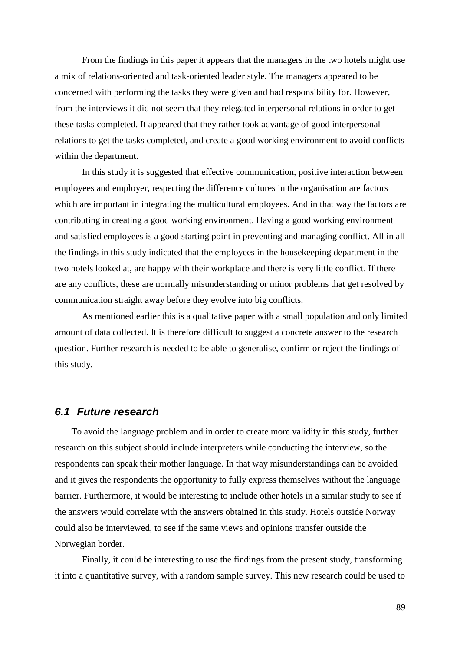From the findings in this paper it appears that the managers in the two hotels might use a mix of relations-oriented and task-oriented leader style. The managers appeared to be concerned with performing the tasks they were given and had responsibility for. However, from the interviews it did not seem that they relegated interpersonal relations in order to get these tasks completed. It appeared that they rather took advantage of good interpersonal relations to get the tasks completed, and create a good working environment to avoid conflicts within the department.

 In this study it is suggested that effective communication, positive interaction between employees and employer, respecting the difference cultures in the organisation are factors which are important in integrating the multicultural employees. And in that way the factors are contributing in creating a good working environment. Having a good working environment and satisfied employees is a good starting point in preventing and managing conflict. All in all the findings in this study indicated that the employees in the housekeeping department in the two hotels looked at, are happy with their workplace and there is very little conflict. If there are any conflicts, these are normally misunderstanding or minor problems that get resolved by communication straight away before they evolve into big conflicts.

 As mentioned earlier this is a qualitative paper with a small population and only limited amount of data collected. It is therefore difficult to suggest a concrete answer to the research question. Further research is needed to be able to generalise, confirm or reject the findings of this study.

## **6.1 Future research**

To avoid the language problem and in order to create more validity in this study, further research on this subject should include interpreters while conducting the interview, so the respondents can speak their mother language. In that way misunderstandings can be avoided and it gives the respondents the opportunity to fully express themselves without the language barrier. Furthermore, it would be interesting to include other hotels in a similar study to see if the answers would correlate with the answers obtained in this study. Hotels outside Norway could also be interviewed, to see if the same views and opinions transfer outside the Norwegian border.

Finally, it could be interesting to use the findings from the present study, transforming it into a quantitative survey, with a random sample survey. This new research could be used to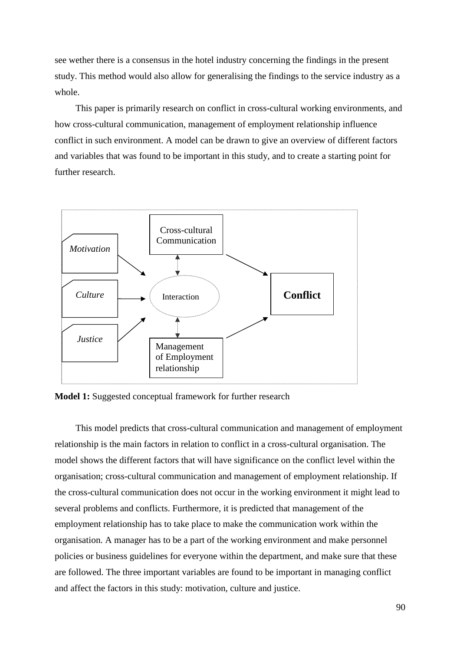see wether there is a consensus in the hotel industry concerning the findings in the present study. This method would also allow for generalising the findings to the service industry as a whole.

This paper is primarily research on conflict in cross-cultural working environments, and how cross-cultural communication, management of employment relationship influence conflict in such environment. A model can be drawn to give an overview of different factors and variables that was found to be important in this study, and to create a starting point for further research.



**Model 1:** Suggested conceptual framework for further research

This model predicts that cross-cultural communication and management of employment relationship is the main factors in relation to conflict in a cross-cultural organisation. The model shows the different factors that will have significance on the conflict level within the organisation; cross-cultural communication and management of employment relationship. If the cross-cultural communication does not occur in the working environment it might lead to several problems and conflicts. Furthermore, it is predicted that management of the employment relationship has to take place to make the communication work within the organisation. A manager has to be a part of the working environment and make personnel policies or business guidelines for everyone within the department, and make sure that these are followed. The three important variables are found to be important in managing conflict and affect the factors in this study: motivation, culture and justice.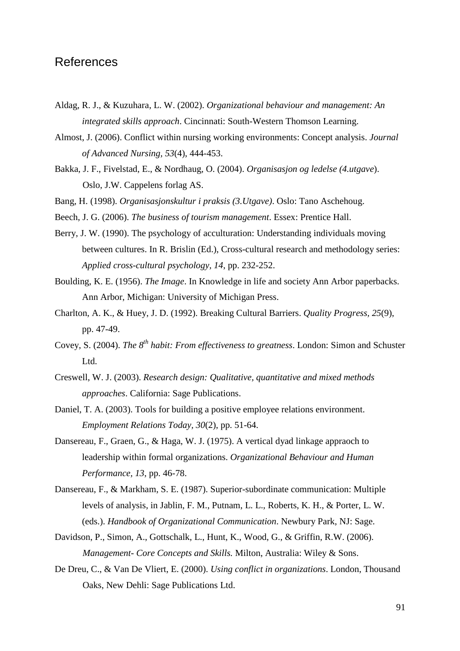# References

- Aldag, R. J., & Kuzuhara, L. W. (2002). *Organizational behaviour and management: An integrated skills approach*. Cincinnati: South-Western Thomson Learning.
- Almost, J. (2006). Conflict within nursing working environments: Concept analysis. *Journal of Advanced Nursing, 53*(4), 444-453.
- Bakka, J. F., Fivelstad, E., & Nordhaug, O. (2004). *Organisasjon og ledelse (4.utgave*). Oslo, J.W. Cappelens forlag AS.
- Bang, H. (1998). *Organisasjonskultur i praksis (3.Utgave)*. Oslo: Tano Aschehoug.
- Beech, J. G. (2006). *The business of tourism management*. Essex: Prentice Hall.
- Berry, J. W. (1990). The psychology of acculturation: Understanding individuals moving between cultures. In R. Brislin (Ed.), Cross-cultural research and methodology series: *Applied cross-cultural psychology, 14*, pp. 232-252.
- Boulding, K. E. (1956). *The Image*. In Knowledge in life and society Ann Arbor paperbacks. Ann Arbor, Michigan: University of Michigan Press.
- Charlton, A. K., & Huey, J. D. (1992). Breaking Cultural Barriers. *Quality Progress, 25*(9), pp. 47-49.
- Covey, S. (2004). *The 8th habit: From effectiveness to greatness*. London: Simon and Schuster L<sub>td</sub>
- Creswell, W. J. (2003). *Research design: Qualitative, quantitative and mixed methods approaches*. California: Sage Publications.
- Daniel, T. A. (2003). Tools for building a positive employee relations environment. *Employment Relations Today, 30*(2), pp. 51-64.
- Dansereau, F., Graen, G., & Haga, W. J. (1975). A vertical dyad linkage appraoch to leadership within formal organizations. *Organizational Behaviour and Human Performance, 13*, pp. 46-78.
- Dansereau, F., & Markham, S. E. (1987). Superior-subordinate communication: Multiple levels of analysis, in Jablin, F. M., Putnam, L. L., Roberts, K. H., & Porter, L. W. (eds.). *Handbook of Organizational Communication*. Newbury Park, NJ: Sage.
- Davidson, P., Simon, A., Gottschalk, L., Hunt, K., Wood, G., & Griffin, R.W. (2006). *Management- Core Concepts and Skills.* Milton, Australia: Wiley & Sons.
- De Dreu, C., & Van De Vliert, E. (2000). *Using conflict in organizations*. London, Thousand Oaks, New Dehli: Sage Publications Ltd.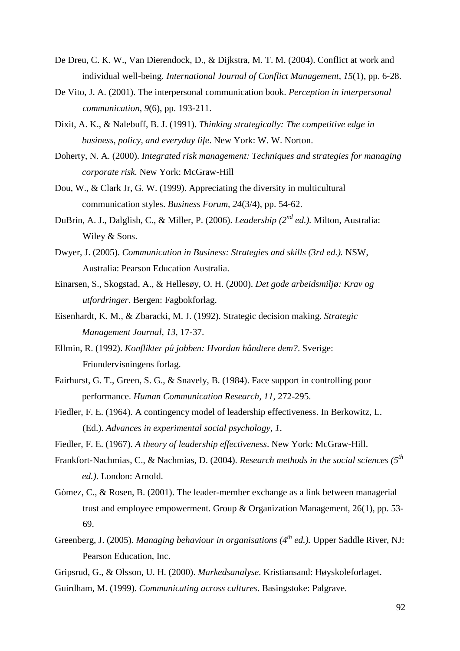- De Dreu, C. K. W., Van Dierendock, D., & Dijkstra, M. T. M. (2004). Conflict at work and individual well-being. *International Journal of Conflict Management, 15*(1), pp. 6-28.
- De Vito, J. A. (2001). The interpersonal communication book. *Perception in interpersonal communication, 9*(6), pp. 193-211.
- Dixit, A. K., & Nalebuff, B. J. (1991). *Thinking strategically: The competitive edge in business, policy, and everyday life*. New York: W. W. Norton.
- Doherty, N. A. (2000). *Integrated risk management: Techniques and strategies for managing corporate risk.* New York: McGraw-Hill
- Dou, W., & Clark Jr, G. W. (1999). Appreciating the diversity in multicultural communication styles. *Business Forum, 24*(3/4), pp. 54-62.
- DuBrin, A. J., Dalglish, C., & Miller, P. (2006). *Leadership (2nd ed.).* Milton, Australia: Wiley & Sons.
- Dwyer, J. (2005). *Communication in Business: Strategies and skills (3rd ed.).* NSW, Australia: Pearson Education Australia.
- Einarsen, S., Skogstad, A., & Hellesøy, O. H. (2000). *Det gode arbeidsmiljø: Krav og utfordringer*. Bergen: Fagbokforlag.
- Eisenhardt, K. M., & Zbaracki, M. J. (1992). Strategic decision making. *Strategic Management Journal, 13*, 17-37.
- Ellmin, R. (1992). *Konflikter på jobben: Hvordan håndtere dem?*. Sverige: Friundervisningens forlag.
- Fairhurst, G. T., Green, S. G., & Snavely, B. (1984). Face support in controlling poor performance. *Human Communication Research, 11*, 272-295.
- Fiedler, F. E. (1964). A contingency model of leadership effectiveness. In Berkowitz, L. (Ed.). *Advances in experimental social psychology, 1*.
- Fiedler, F. E. (1967). *A theory of leadership effectiveness*. New York: McGraw-Hill.
- Frankfort-Nachmias, C., & Nachmias, D. (2004). *Research methods in the social sciences* (5<sup>*th*</sup>  *ed.)*. London: Arnold.
- Gòmez, C., & Rosen, B. (2001). The leader-member exchange as a link between managerial trust and employee empowerment. Group & Organization Management, 26(1), pp. 53- 69.
- Greenberg, J. (2005). *Managing behaviour in organisations (4th ed.).* Upper Saddle River, NJ: Pearson Education, Inc.
- Gripsrud, G., & Olsson, U. H. (2000). *Markedsanalyse*. Kristiansand: Høyskoleforlaget.
- Guirdham, M. (1999). *Communicating across cultures*. Basingstoke: Palgrave.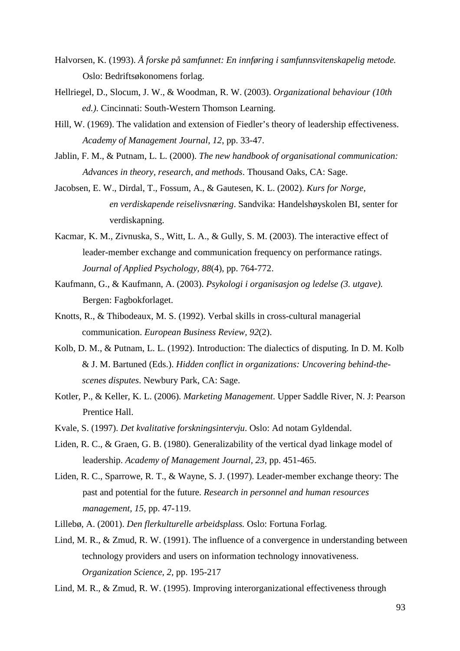- Halvorsen, K. (1993). *Å forske på samfunnet: En innføring i samfunnsvitenskapelig metode.* Oslo: Bedriftsøkonomens forlag.
- Hellriegel, D., Slocum, J. W., & Woodman, R. W. (2003). *Organizational behaviour (10th ed.)*. Cincinnati: South-Western Thomson Learning.
- Hill, W. (1969). The validation and extension of Fiedler's theory of leadership effectiveness. *Academy of Management Journal, 12*, pp. 33-47.
- Jablin, F. M., & Putnam, L. L. (2000). *The new handbook of organisational communication: Advances in theory, research, and methods*. Thousand Oaks, CA: Sage.
- Jacobsen, E. W., Dirdal, T., Fossum, A., & Gautesen, K. L. (2002). *Kurs for Norge, en verdiskapende reiselivsnæring*. Sandvika: Handelshøyskolen BI, senter for verdiskapning.
- Kacmar, K. M., Zivnuska, S., Witt, L. A., & Gully, S. M. (2003). The interactive effect of leader-member exchange and communication frequency on performance ratings. *Journal of Applied Psychology, 88*(4), pp. 764-772.
- Kaufmann, G., & Kaufmann, A. (2003). *Psykologi i organisasjon og ledelse (3. utgave).*  Bergen: Fagbokforlaget.
- Knotts, R., & Thibodeaux, M. S. (1992). Verbal skills in cross-cultural managerial communication. *European Business Review, 92*(2).
- Kolb, D. M., & Putnam, L. L. (1992). Introduction: The dialectics of disputing. In D. M. Kolb & J. M. Bartuned (Eds.). *Hidden conflict in organizations: Uncovering behind-the scenes disputes*. Newbury Park, CA: Sage.
- Kotler, P., & Keller, K. L. (2006). *Marketing Management*. Upper Saddle River, N. J: Pearson Prentice Hall.
- Kvale, S. (1997). *Det kvalitative forskningsintervju*. Oslo: Ad notam Gyldendal.
- Liden, R. C., & Graen, G. B. (1980). Generalizability of the vertical dyad linkage model of leadership. *Academy of Management Journal, 23*, pp. 451-465.
- Liden, R. C., Sparrowe, R. T., & Wayne, S. J. (1997). Leader-member exchange theory: The past and potential for the future. *Research in personnel and human resources management, 15,* pp. 47-119.
- Lillebø, A. (2001). *Den flerkulturelle arbeidsplass.* Oslo: Fortuna Forlag.
- Lind, M. R., & Zmud, R. W. (1991). The influence of a convergence in understanding between technology providers and users on information technology innovativeness. *Organization Science, 2,* pp. 195-217

Lind, M. R., & Zmud, R. W. (1995). Improving interorganizational effectiveness through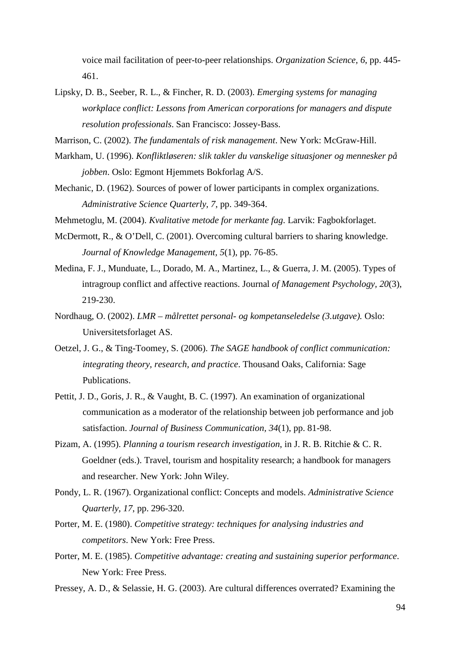voice mail facilitation of peer-to-peer relationships. *Organization Science, 6*, pp. 445- 461.

Lipsky, D. B., Seeber, R. L., & Fincher, R. D. (2003). *Emerging systems for managing workplace conflict: Lessons from American corporations for managers and dispute resolution professionals*. San Francisco: Jossey-Bass.

Marrison, C. (2002). *The fundamentals of risk management*. New York: McGraw-Hill.

- Markham, U. (1996). *Konfliktløseren: slik takler du vanskelige situasjoner og mennesker på jobben*. Oslo: Egmont Hjemmets Bokforlag A/S.
- Mechanic, D. (1962). Sources of power of lower participants in complex organizations. *Administrative Science Quarterly, 7*, pp. 349-364.
- Mehmetoglu, M. (2004). *Kvalitative metode for merkante fag*. Larvik: Fagbokforlaget.
- McDermott, R., & O'Dell, C. (2001). Overcoming cultural barriers to sharing knowledge. *Journal of Knowledge Management, 5*(1), pp. 76-85.
- Medina, F. J., Munduate, L., Dorado, M. A., Martinez, L., & Guerra, J. M. (2005). Types of intragroup conflict and affective reactions. Journal *of Management Psychology, 20*(3), 219-230.
- Nordhaug, O. (2002). *LMR målrettet personal- og kompetanseledelse (3.utgave).* Oslo: Universitetsforlaget AS.
- Oetzel, J. G., & Ting-Toomey, S. (2006). *The SAGE handbook of conflict communication: integrating theory, research, and practice*. Thousand Oaks, California: Sage Publications.
- Pettit, J. D., Goris, J. R., & Vaught, B. C. (1997). An examination of organizational communication as a moderator of the relationship between job performance and job satisfaction. *Journal of Business Communication, 34*(1), pp. 81-98.
- Pizam, A. (1995). *Planning a tourism research investigation*, in J. R. B. Ritchie & C. R. Goeldner (eds.). Travel, tourism and hospitality research; a handbook for managers and researcher. New York: John Wiley.
- Pondy, L. R. (1967). Organizational conflict: Concepts and models. *Administrative Science Quarterly, 17*, pp. 296-320.
- Porter, M. E. (1980). *Competitive strategy: techniques for analysing industries and competitors*. New York: Free Press.
- Porter, M. E. (1985). *Competitive advantage: creating and sustaining superior performance*. New York: Free Press.
- Pressey, A. D., & Selassie, H. G. (2003). Are cultural differences overrated? Examining the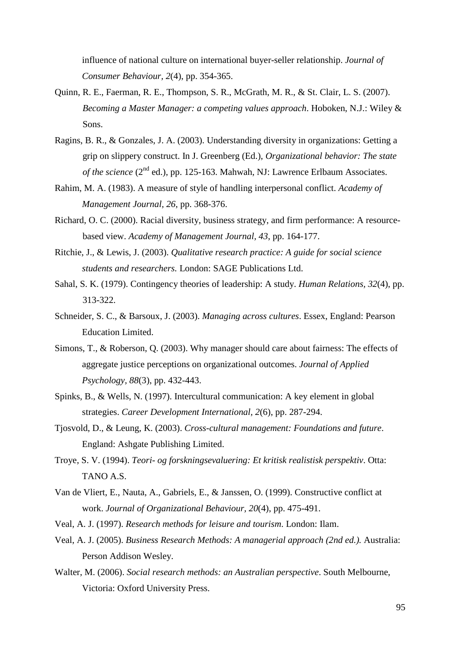influence of national culture on international buyer-seller relationship. *Journal of Consumer Behaviour, 2*(4), pp. 354-365.

- Quinn, R. E., Faerman, R. E., Thompson, S. R., McGrath, M. R., & St. Clair, L. S. (2007). *Becoming a Master Manager: a competing values approach*. Hoboken, N.J.: Wiley & Sons.
- Ragins, B. R., & Gonzales, J. A. (2003). Understanding diversity in organizations: Getting a grip on slippery construct. In J. Greenberg (Ed.), *Organizational behavior: The state of the science* (2<sup>nd</sup> ed.), pp. 125-163. Mahwah, NJ: Lawrence Erlbaum Associates.
- Rahim, M. A. (1983). A measure of style of handling interpersonal conflict. *Academy of Management Journal, 26*, pp. 368-376.
- Richard, O. C. (2000). Racial diversity, business strategy, and firm performance: A resourcebased view. *Academy of Management Journal, 43*, pp. 164-177.
- Ritchie, J., & Lewis, J. (2003). *Qualitative research practice: A guide for social science students and researchers.* London: SAGE Publications Ltd.
- Sahal, S. K. (1979). Contingency theories of leadership: A study. *Human Relations, 32*(4), pp. 313-322.
- Schneider, S. C., & Barsoux, J. (2003). *Managing across cultures*. Essex, England: Pearson Education Limited.
- Simons, T., & Roberson, Q. (2003). Why manager should care about fairness: The effects of aggregate justice perceptions on organizational outcomes. *Journal of Applied Psychology, 88*(3), pp. 432-443.
- Spinks, B., & Wells, N. (1997). Intercultural communication: A key element in global strategies. *Career Development International, 2*(6), pp. 287-294.
- Tjosvold, D., & Leung, K. (2003). *Cross-cultural management: Foundations and future*. England: Ashgate Publishing Limited.
- Troye, S. V. (1994). *Teori- og forskningsevaluering: Et kritisk realistisk perspektiv*. Otta: TANO A.S.
- Van de Vliert, E., Nauta, A., Gabriels, E., & Janssen, O. (1999). Constructive conflict at work. *Journal of Organizational Behaviour, 20*(4), pp. 475-491.
- Veal, A. J. (1997). *Research methods for leisure and tourism*. London: Ilam.
- Veal, A. J. (2005). *Business Research Methods: A managerial approach (2nd ed.).* Australia: Person Addison Wesley.
- Walter, M. (2006). *Social research methods: an Australian perspective*. South Melbourne, Victoria: Oxford University Press.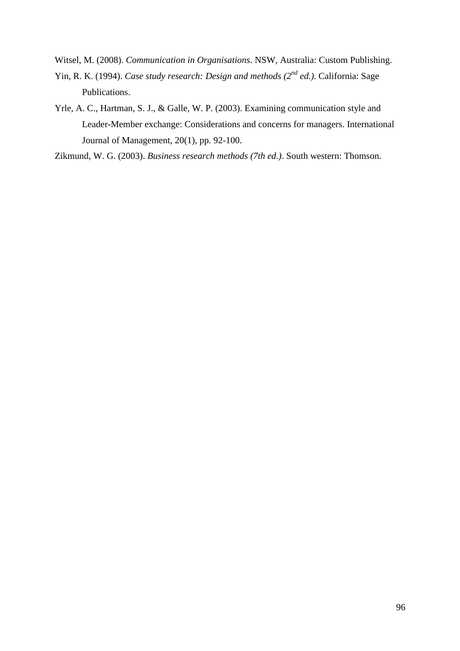Witsel, M. (2008). *Communication in Organisations*. NSW, Australia: Custom Publishing.

- Yin, R. K. (1994). *Case study research: Design and methods (2nd ed.)*. California: Sage Publications.
- Yrle, A. C., Hartman, S. J., & Galle, W. P. (2003). Examining communication style and Leader-Member exchange: Considerations and concerns for managers. International Journal of Management, 20(1), pp. 92-100.

Zikmund, W. G. (2003). *Business research methods (7th ed.)*. South western: Thomson.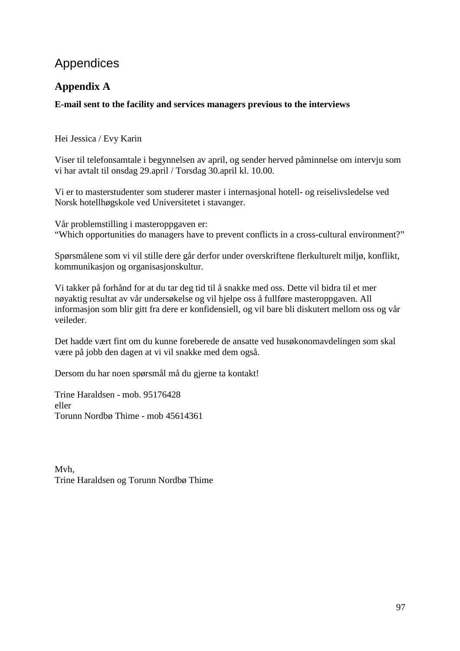# Appendices

# **Appendix A**

## **E-mail sent to the facility and services managers previous to the interviews**

Hei Jessica / Evy Karin

Viser til telefonsamtale i begynnelsen av april, og sender herved påminnelse om intervju som vi har avtalt til onsdag 29.april / Torsdag 30.april kl. 10.00.

Vi er to masterstudenter som studerer master i internasjonal hotell- og reiselivsledelse ved Norsk hotellhøgskole ved Universitetet i stavanger.

Vår problemstilling i masteroppgaven er: "Which opportunities do managers have to prevent conflicts in a cross-cultural environment?"

Spørsmålene som vi vil stille dere går derfor under overskriftene flerkulturelt miljø, konflikt, kommunikasjon og organisasjonskultur.

Vi takker på forhånd for at du tar deg tid til å snakke med oss. Dette vil bidra til et mer nøyaktig resultat av vår undersøkelse og vil hjelpe oss å fullføre masteroppgaven. All informasjon som blir gitt fra dere er konfidensiell, og vil bare bli diskutert mellom oss og vår veileder.

Det hadde vært fint om du kunne foreberede de ansatte ved husøkonomavdelingen som skal være på jobb den dagen at vi vil snakke med dem også.

Dersom du har noen spørsmål må du gjerne ta kontakt!

Trine Haraldsen - mob. 95176428 eller Torunn Nordbø Thime - mob 45614361

Mvh, Trine Haraldsen og Torunn Nordbø Thime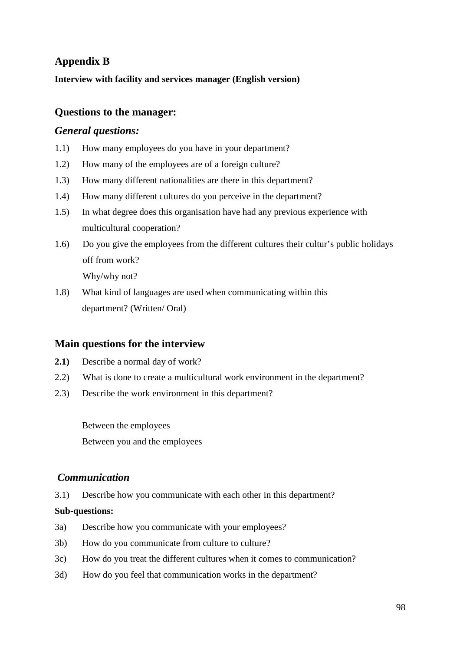# **Appendix B**

**Interview with facility and services manager (English version)** 

## **Questions to the manager:**

## *General questions:*

- 1.1) How many employees do you have in your department?
- 1.2) How many of the employees are of a foreign culture?
- 1.3) How many different nationalities are there in this department?
- 1.4) How many different cultures do you perceive in the department?
- 1.5) In what degree does this organisation have had any previous experience with multicultural cooperation?
- 1.6) Do you give the employees from the different cultures their cultur's public holidays off from work? Why/why not?
- 1.8) What kind of languages are used when communicating within this department? (Written/ Oral)

## **Main questions for the interview**

- **2.1)** Describe a normal day of work?
- 2.2) What is done to create a multicultural work environment in the department?
- 2.3) Describe the work environment in this department?

Between the employees Between you and the employees

## *Communication*

3.1) Describe how you communicate with each other in this department?

- 3a) Describe how you communicate with your employees?
- 3b) How do you communicate from culture to culture?
- 3c) How do you treat the different cultures when it comes to communication?
- 3d) How do you feel that communication works in the department?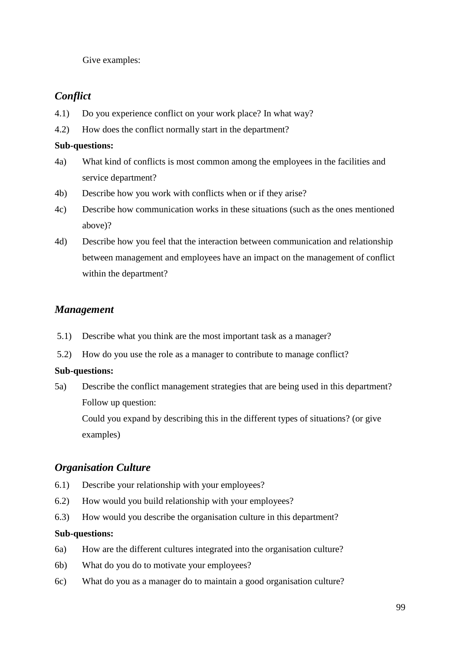Give examples:

# *Conflict*

- 4.1) Do you experience conflict on your work place? In what way?
- 4.2) How does the conflict normally start in the department?

## **Sub-questions:**

- 4a) What kind of conflicts is most common among the employees in the facilities and service department?
- 4b) Describe how you work with conflicts when or if they arise?
- 4c) Describe how communication works in these situations (such as the ones mentioned above)?
- 4d) Describe how you feel that the interaction between communication and relationship between management and employees have an impact on the management of conflict within the department?

# *Management*

- 5.1) Describe what you think are the most important task as a manager?
- 5.2) How do you use the role as a manager to contribute to manage conflict?

## **Sub-questions:**

5a) Describe the conflict management strategies that are being used in this department? Follow up question:

Could you expand by describing this in the different types of situations? (or give examples)

# *Organisation Culture*

- 6.1) Describe your relationship with your employees?
- 6.2) How would you build relationship with your employees?
- 6.3) How would you describe the organisation culture in this department?

- 6a) How are the different cultures integrated into the organisation culture?
- 6b) What do you do to motivate your employees?
- 6c) What do you as a manager do to maintain a good organisation culture?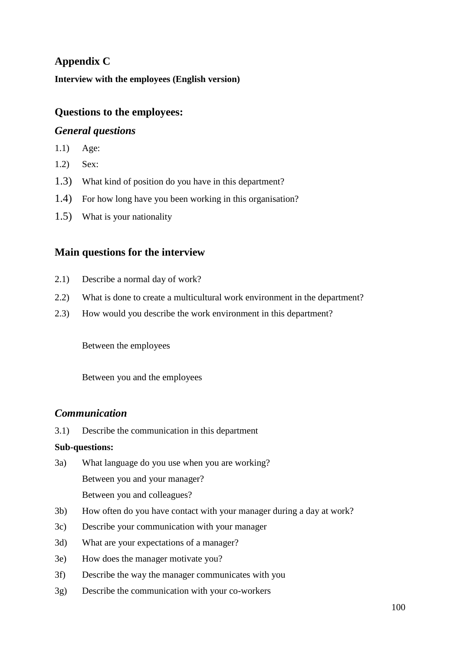# **Appendix C**

**Interview with the employees (English version)** 

# **Questions to the employees:**

## *General questions*

- 1.1) Age:
- 1.2) Sex:
- 1.3) What kind of position do you have in this department?
- 1.4) For how long have you been working in this organisation?
- 1.5) What is your nationality

# **Main questions for the interview**

- 2.1) Describe a normal day of work?
- 2.2) What is done to create a multicultural work environment in the department?
- 2.3) How would you describe the work environment in this department?

Between the employees

Between you and the employees

## *Communication*

3.1) Describe the communication in this department

- 3a) What language do you use when you are working? Between you and your manager? Between you and colleagues?
- 3b) How often do you have contact with your manager during a day at work?
- 3c) Describe your communication with your manager
- 3d) What are your expectations of a manager?
- 3e) How does the manager motivate you?
- 3f) Describe the way the manager communicates with you
- 3g) Describe the communication with your co-workers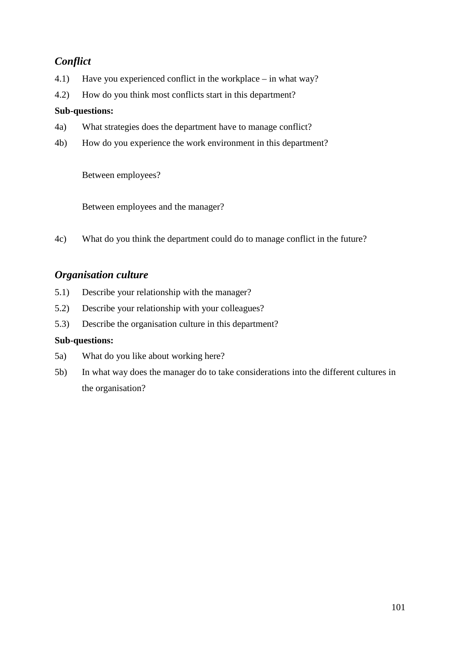# *Conflict*

- 4.1) Have you experienced conflict in the workplace in what way?
- 4.2) How do you think most conflicts start in this department?

## **Sub-questions:**

- 4a) What strategies does the department have to manage conflict?
- 4b) How do you experience the work environment in this department?

Between employees?

Between employees and the manager?

4c) What do you think the department could do to manage conflict in the future?

# *Organisation culture*

- 5.1) Describe your relationship with the manager?
- 5.2) Describe your relationship with your colleagues?
- 5.3) Describe the organisation culture in this department?

- 5a) What do you like about working here?
- 5b) In what way does the manager do to take considerations into the different cultures in the organisation?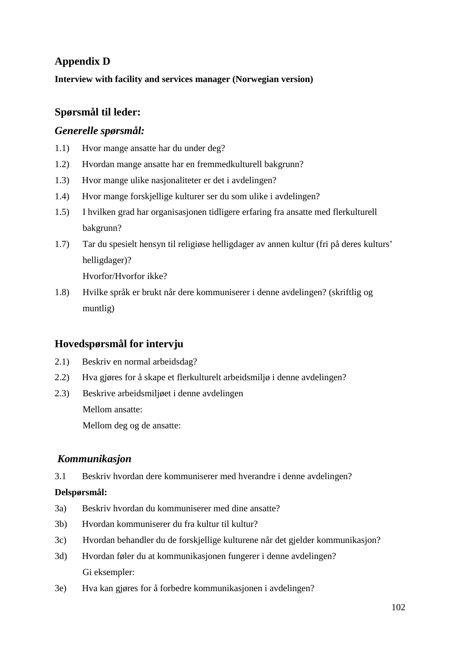# **Appendix D**

**Interview with facility and services manager (Norwegian version)** 

# **Spørsmål til leder:**

## *Generelle spørsmål:*

- 1.1) Hvor mange ansatte har du under deg?
- 1.2) Hvordan mange ansatte har en fremmedkulturell bakgrunn?
- 1.3) Hvor mange ulike nasjonaliteter er det i avdelingen?
- 1.4) Hvor mange forskjellige kulturer ser du som ulike i avdelingen?
- 1.5) I hvilken grad har organisasjonen tidligere erfaring fra ansatte med flerkulturell bakgrunn?
- 1.7) Tar du spesielt hensyn til religiøse helligdager av annen kultur (fri på deres kulturs' helligdager)?

Hvorfor/Hvorfor ikke?

1.8) Hvilke språk er brukt når dere kommuniserer i denne avdelingen? (skriftlig og muntlig)

# **Hovedspørsmål for intervju**

- 2.1) Beskriv en normal arbeidsdag?
- 2.2) Hva gjøres for å skape et flerkulturelt arbeidsmiljø i denne avdelingen?
- 2.3) Beskrive arbeidsmiljøet i denne avdelingen Mellom ansatte: Mellom deg og de ansatte:

## *Kommunikasjon*

3.1 Beskriv hvordan dere kommuniserer med hverandre i denne avdelingen?

## **Delspørsmål:**

- 3a) Beskriv hvordan du kommuniserer med dine ansatte?
- 3b) Hvordan kommuniserer du fra kultur til kultur?
- 3c) Hvordan behandler du de forskjellige kulturene når det gjelder kommunikasjon?
- 3d) Hvordan føler du at kommunikasjonen fungerer i denne avdelingen? Gi eksempler:
- 3e) Hva kan gjøres for å forbedre kommunikasjonen i avdelingen?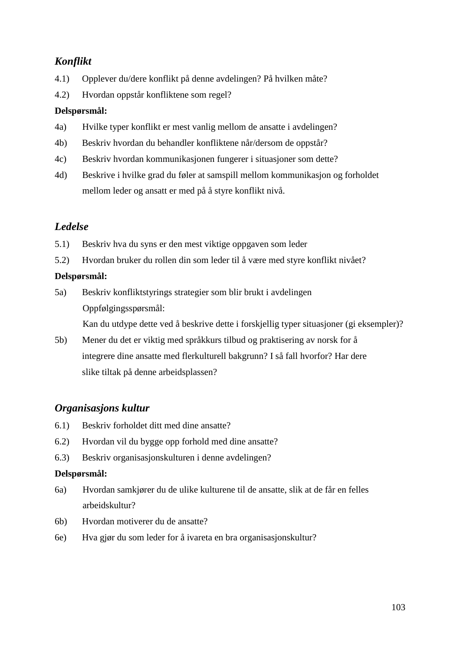# *Konflikt*

- 4.1) Opplever du/dere konflikt på denne avdelingen? På hvilken måte?
- 4.2) Hvordan oppstår konfliktene som regel?

## **Delspørsmål:**

- 4a) Hvilke typer konflikt er mest vanlig mellom de ansatte i avdelingen?
- 4b) Beskriv hvordan du behandler konfliktene når/dersom de oppstår?
- 4c) Beskriv hvordan kommunikasjonen fungerer i situasjoner som dette?
- 4d) Beskrive i hvilke grad du føler at samspill mellom kommunikasjon og forholdet mellom leder og ansatt er med på å styre konflikt nivå.

# *Ledelse*

- 5.1) Beskriv hva du syns er den mest viktige oppgaven som leder
- 5.2) Hvordan bruker du rollen din som leder til å være med styre konflikt nivået?

## **Delspørsmål:**

5a) Beskriv konfliktstyrings strategier som blir brukt i avdelingen Oppfølgingsspørsmål:

Kan du utdype dette ved å beskrive dette i forskjellig typer situasjoner (gi eksempler)?

5b) Mener du det er viktig med språkkurs tilbud og praktisering av norsk for å integrere dine ansatte med flerkulturell bakgrunn? I så fall hvorfor? Har dere slike tiltak på denne arbeidsplassen?

# *Organisasjons kultur*

- 6.1) Beskriv forholdet ditt med dine ansatte?
- 6.2) Hvordan vil du bygge opp forhold med dine ansatte?
- 6.3) Beskriv organisasjonskulturen i denne avdelingen?

## **Delspørsmål:**

- 6a) Hvordan samkjører du de ulike kulturene til de ansatte, slik at de får en felles arbeidskultur?
- 6b) Hvordan motiverer du de ansatte?
- 6e) Hva gjør du som leder for å ivareta en bra organisasjonskultur?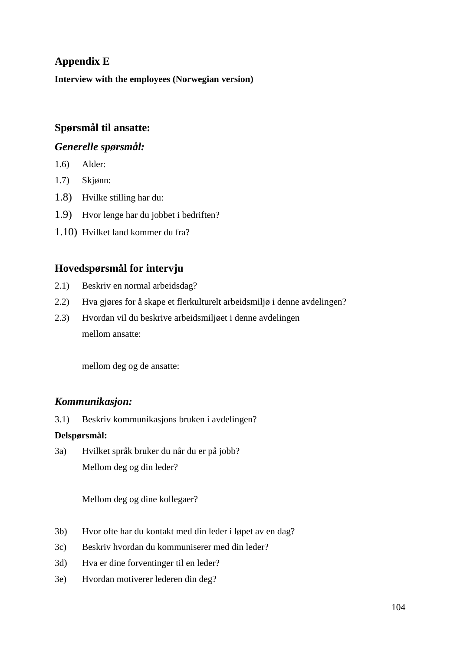# **Appendix E**

**Interview with the employees (Norwegian version)** 

# **Spørsmål til ansatte:**

## *Generelle spørsmål:*

- 1.6) Alder:
- 1.7) Skjønn:
- 1.8) Hvilke stilling har du:
- 1.9) Hvor lenge har du jobbet i bedriften?
- 1.10) Hvilket land kommer du fra?

# **Hovedspørsmål for intervju**

- 2.1) Beskriv en normal arbeidsdag?
- 2.2) Hva gjøres for å skape et flerkulturelt arbeidsmiljø i denne avdelingen?
- 2.3) Hvordan vil du beskrive arbeidsmiljøet i denne avdelingen mellom ansatte:

mellom deg og de ansatte:

## *Kommunikasjon:*

3.1) Beskriv kommunikasjons bruken i avdelingen?

## **Delspørsmål:**

3a) Hvilket språk bruker du når du er på jobb? Mellom deg og din leder?

Mellom deg og dine kollegaer?

- 3b) Hvor ofte har du kontakt med din leder i løpet av en dag?
- 3c) Beskriv hvordan du kommuniserer med din leder?
- 3d) Hva er dine forventinger til en leder?
- 3e) Hvordan motiverer lederen din deg?